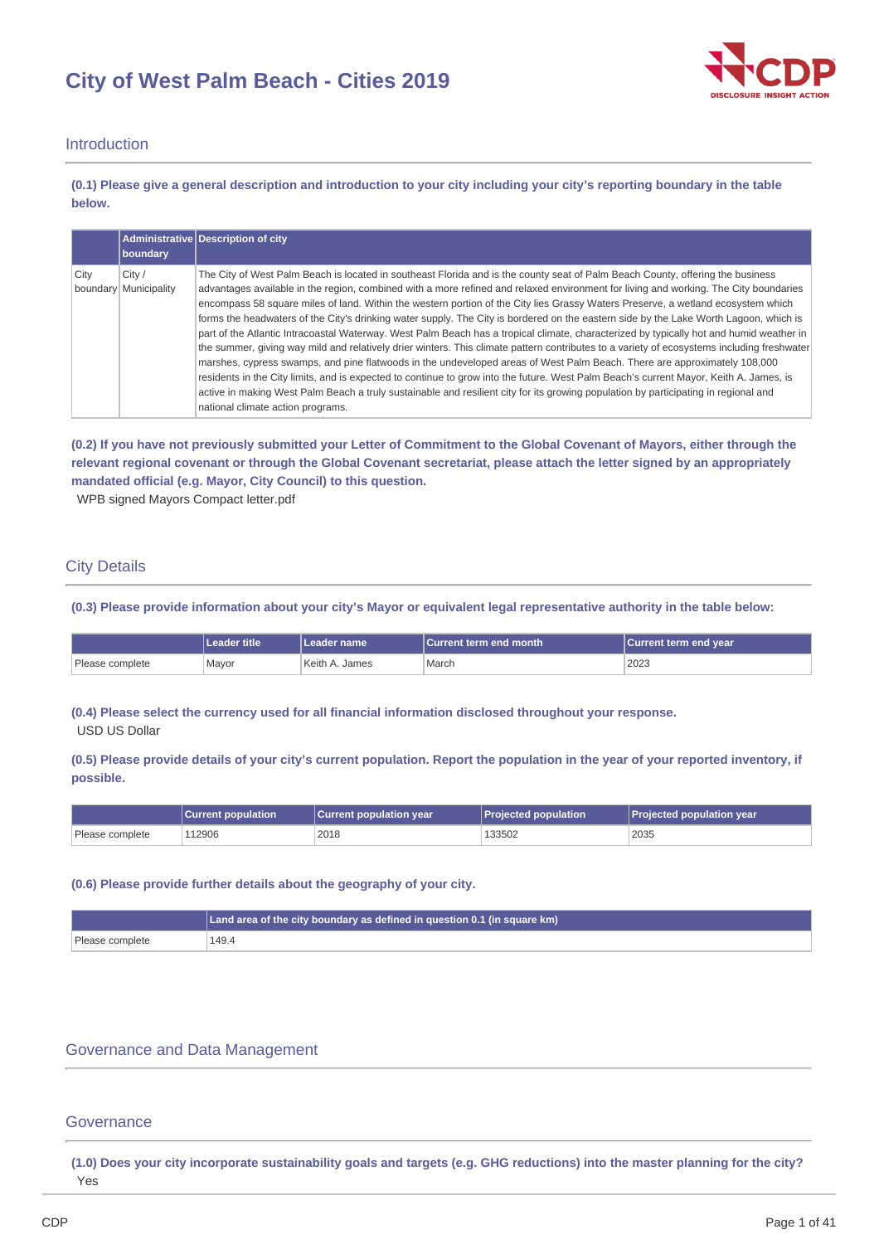# **City of West Palm Beach - Cities 2019**



### Introduction

(0.1) Please give a general description and introduction to your city including your city's reporting boundary in the table **below.**

|      |                                 | Administrative Description of city                                                                                                                                                                                                                                                                                                                                                                                                                                                                                                                                                                                                                                                                                                                                                                                                                                                                                                                                                                                                                                                                                                                                                                                                                                                             |
|------|---------------------------------|------------------------------------------------------------------------------------------------------------------------------------------------------------------------------------------------------------------------------------------------------------------------------------------------------------------------------------------------------------------------------------------------------------------------------------------------------------------------------------------------------------------------------------------------------------------------------------------------------------------------------------------------------------------------------------------------------------------------------------------------------------------------------------------------------------------------------------------------------------------------------------------------------------------------------------------------------------------------------------------------------------------------------------------------------------------------------------------------------------------------------------------------------------------------------------------------------------------------------------------------------------------------------------------------|
|      | boundary                        |                                                                                                                                                                                                                                                                                                                                                                                                                                                                                                                                                                                                                                                                                                                                                                                                                                                                                                                                                                                                                                                                                                                                                                                                                                                                                                |
| City | City /<br>boundary Municipality | The City of West Palm Beach is located in southeast Florida and is the county seat of Palm Beach County, offering the business<br>advantages available in the region, combined with a more refined and relaxed environment for living and working. The City boundaries<br>encompass 58 square miles of land. Within the western portion of the City lies Grassy Waters Preserve, a wetland ecosystem which<br>forms the headwaters of the City's drinking water supply. The City is bordered on the eastern side by the Lake Worth Lagoon, which is<br>part of the Atlantic Intracoastal Waterway. West Palm Beach has a tropical climate, characterized by typically hot and humid weather in<br>the summer, giving way mild and relatively drier winters. This climate pattern contributes to a variety of ecosystems including freshwater<br>marshes, cypress swamps, and pine flatwoods in the undeveloped areas of West Palm Beach. There are approximately 108,000<br>residents in the City limits, and is expected to continue to grow into the future. West Palm Beach's current Mayor, Keith A. James, is<br>active in making West Palm Beach a truly sustainable and resilient city for its growing population by participating in regional and<br>national climate action programs. |

(0.2) If you have not previously submitted your Letter of Commitment to the Global Covenant of Mayors, either through the relevant regional covenant or through the Global Covenant secretariat, please attach the letter signed by an appropriately **mandated official (e.g. Mayor, City Council) to this question.**

WPB signed Mayors Compact letter.pdf

### City Details

(0.3) Please provide information about your city's Mayor or equivalent legal representative authority in the table below:

|                 | Leader title | l Leader name      | l Current term end month | Current term end year |
|-----------------|--------------|--------------------|--------------------------|-----------------------|
| Please complete | Mayor        | Keith A<br>. James | March                    | 2023                  |

**(0.4) Please select the currency used for all financial information disclosed throughout your response.** USD US Dollar

(0.5) Please provide details of your city's current population. Report the population in the year of your reported inventory, if **possible.**

|                 | <b>Current population</b> | <b>Current population year</b> | Projected population | Projected population year |
|-----------------|---------------------------|--------------------------------|----------------------|---------------------------|
| Please complete | 112906                    | 2018                           | 133502               | 2035                      |

### **(0.6) Please provide further details about the geography of your city.**

|                 | Land area of the city boundary as defined in question 0.1 (in square $km$ ) |
|-----------------|-----------------------------------------------------------------------------|
| Please complete | 149.4                                                                       |

### Governance and Data Management

### **Governance**

(1.0) Does your city incorporate sustainability goals and targets (e.g. GHG reductions) into the master planning for the city? Yes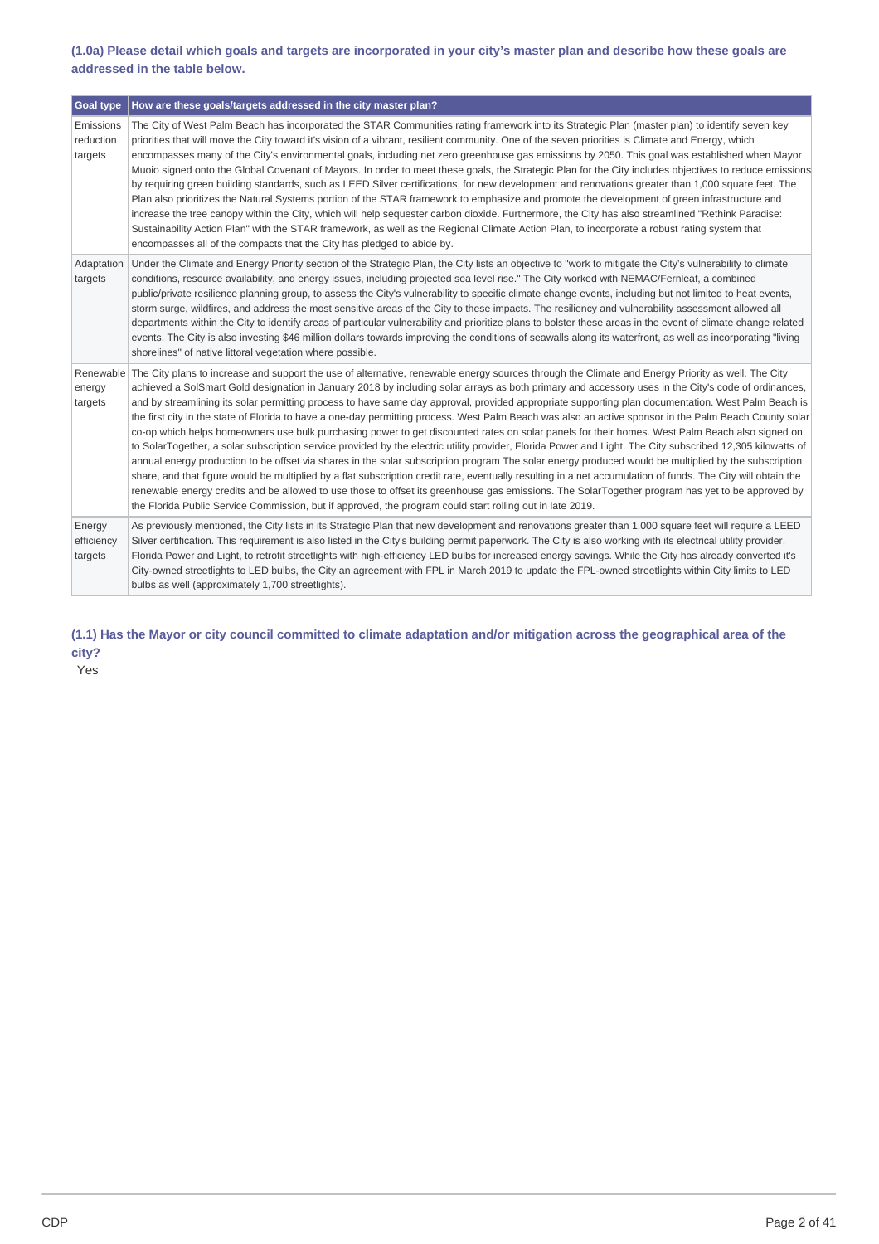### (1.0a) Please detail which goals and targets are incorporated in your city's master plan and describe how these goals are **addressed in the table below.**

| <b>Goal type</b>                  | How are these goals/targets addressed in the city master plan?                                                                                                                                                                                                                                                                                                                                                                                                                                                                                                                                                                                                                                                                                                                                                                                                                                                                                                                                                                                                                                                                                                                                                                                                                                                                                                                                                                                                                                                                              |
|-----------------------------------|---------------------------------------------------------------------------------------------------------------------------------------------------------------------------------------------------------------------------------------------------------------------------------------------------------------------------------------------------------------------------------------------------------------------------------------------------------------------------------------------------------------------------------------------------------------------------------------------------------------------------------------------------------------------------------------------------------------------------------------------------------------------------------------------------------------------------------------------------------------------------------------------------------------------------------------------------------------------------------------------------------------------------------------------------------------------------------------------------------------------------------------------------------------------------------------------------------------------------------------------------------------------------------------------------------------------------------------------------------------------------------------------------------------------------------------------------------------------------------------------------------------------------------------------|
| Emissions<br>reduction<br>targets | The City of West Palm Beach has incorporated the STAR Communities rating framework into its Strategic Plan (master plan) to identify seven key<br>priorities that will move the City toward it's vision of a vibrant, resilient community. One of the seven priorities is Climate and Energy, which<br>encompasses many of the City's environmental goals, including net zero greenhouse gas emissions by 2050. This goal was established when Mayor<br>Muoio signed onto the Global Covenant of Mayors. In order to meet these goals, the Strategic Plan for the City includes objectives to reduce emissions<br>by requiring green building standards, such as LEED Silver certifications, for new development and renovations greater than 1,000 square feet. The<br>Plan also prioritizes the Natural Systems portion of the STAR framework to emphasize and promote the development of green infrastructure and<br>increase the tree canopy within the City, which will help sequester carbon dioxide. Furthermore, the City has also streamlined "Rethink Paradise:<br>Sustainability Action Plan" with the STAR framework, as well as the Regional Climate Action Plan, to incorporate a robust rating system that<br>encompasses all of the compacts that the City has pledged to abide by.                                                                                                                                                                                                                                         |
| Adaptation<br>targets             | Under the Climate and Energy Priority section of the Strategic Plan, the City lists an objective to "work to mitigate the City's vulnerability to climate<br>conditions, resource availability, and energy issues, including projected sea level rise." The City worked with NEMAC/Fernleaf, a combined<br>public/private resilience planning group, to assess the City's vulnerability to specific climate change events, including but not limited to heat events,<br>storm surge, wildfires, and address the most sensitive areas of the City to these impacts. The resiliency and vulnerability assessment allowed all<br>departments within the City to identify areas of particular vulnerability and prioritize plans to bolster these areas in the event of climate change related<br>events. The City is also investing \$46 million dollars towards improving the conditions of seawalls along its waterfront, as well as incorporating "living<br>shorelines" of native littoral vegetation where possible.                                                                                                                                                                                                                                                                                                                                                                                                                                                                                                                      |
| energy<br>targets                 | Renewable The City plans to increase and support the use of alternative, renewable energy sources through the Climate and Energy Priority as well. The City<br>achieved a SolSmart Gold designation in January 2018 by including solar arrays as both primary and accessory uses in the City's code of ordinances,<br>and by streamlining its solar permitting process to have same day approval, provided appropriate supporting plan documentation. West Palm Beach is<br>the first city in the state of Florida to have a one-day permitting process. West Palm Beach was also an active sponsor in the Palm Beach County solar<br>co-op which helps homeowners use bulk purchasing power to get discounted rates on solar panels for their homes. West Palm Beach also signed on<br>to SolarTogether, a solar subscription service provided by the electric utility provider, Florida Power and Light. The City subscribed 12,305 kilowatts of<br>annual energy production to be offset via shares in the solar subscription program The solar energy produced would be multiplied by the subscription<br>share, and that figure would be multiplied by a flat subscription credit rate, eventually resulting in a net accumulation of funds. The City will obtain the<br>renewable energy credits and be allowed to use those to offset its greenhouse gas emissions. The SolarTogether program has yet to be approved by<br>the Florida Public Service Commission, but if approved, the program could start rolling out in late 2019. |
| Energy<br>efficiency<br>targets   | As previously mentioned, the City lists in its Strategic Plan that new development and renovations greater than 1,000 square feet will require a LEED<br>Silver certification. This requirement is also listed in the City's building permit paperwork. The City is also working with its electrical utility provider,<br>Florida Power and Light, to retrofit streetlights with high-efficiency LED bulbs for increased energy savings. While the City has already converted it's<br>City-owned streetlights to LED bulbs, the City an agreement with FPL in March 2019 to update the FPL-owned streetlights within City limits to LED<br>bulbs as well (approximately 1,700 streetlights).                                                                                                                                                                                                                                                                                                                                                                                                                                                                                                                                                                                                                                                                                                                                                                                                                                                |

(1.1) Has the Mayor or city council committed to climate adaptation and/or mitigation across the geographical area of the **city?**

Yes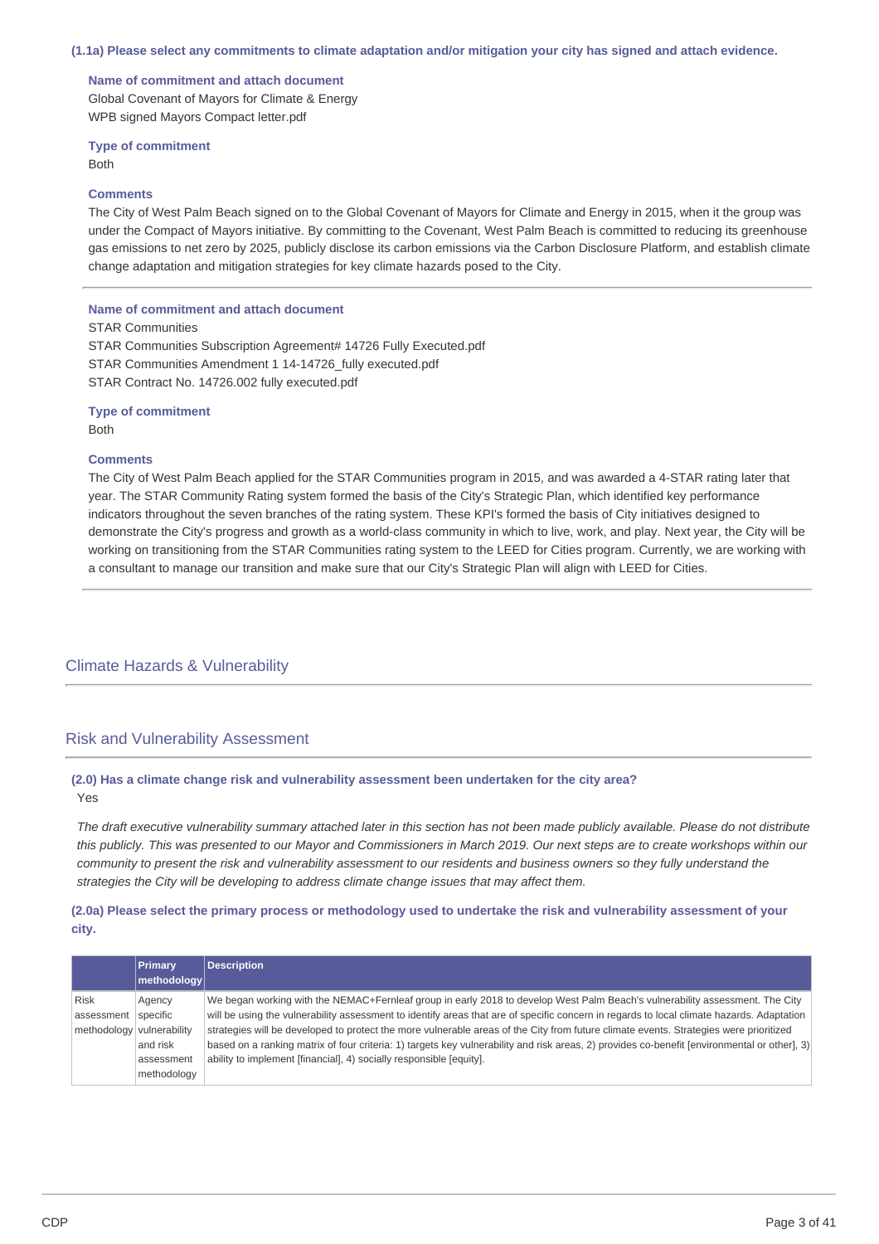#### (1.1a) Please select any commitments to climate adaptation and/or mitigation your city has signed and attach evidence.

**Name of commitment and attach document** Global Covenant of Mayors for Climate & Energy WPB signed Mayors Compact letter.pdf

**Type of commitment** Both

#### **Comments**

The City of West Palm Beach signed on to the Global Covenant of Mayors for Climate and Energy in 2015, when it the group was under the Compact of Mayors initiative. By committing to the Covenant, West Palm Beach is committed to reducing its greenhouse gas emissions to net zero by 2025, publicly disclose its carbon emissions via the Carbon Disclosure Platform, and establish climate change adaptation and mitigation strategies for key climate hazards posed to the City.

#### **Name of commitment and attach document**

STAR Communities

STAR Communities Subscription Agreement# 14726 Fully Executed.pdf STAR Communities Amendment 1 14-14726\_fully executed.pdf STAR Contract No. 14726.002 fully executed.pdf

**Type of commitment** Both

#### **Comments**

The City of West Palm Beach applied for the STAR Communities program in 2015, and was awarded a 4-STAR rating later that year. The STAR Community Rating system formed the basis of the City's Strategic Plan, which identified key performance indicators throughout the seven branches of the rating system. These KPI's formed the basis of City initiatives designed to demonstrate the City's progress and growth as a world-class community in which to live, work, and play. Next year, the City will be working on transitioning from the STAR Communities rating system to the LEED for Cities program. Currently, we are working with a consultant to manage our transition and make sure that our City's Strategic Plan will align with LEED for Cities.

### Climate Hazards & Vulnerability

### Risk and Vulnerability Assessment

### **(2.0) Has a climate change risk and vulnerability assessment been undertaken for the city area?** Yes

The draft executive vulnerability summary attached later in this section has not been made publicly available. Please do not distribute this publicly. This was presented to our Mayor and Commissioners in March 2019. Our next steps are to create workshops within our community to present the risk and vulnerability assessment to our residents and business owners so they fully understand the *strategies the City will be developing to address climate change issues that may affect them.*

### (2.0a) Please select the primary process or methodology used to undertake the risk and vulnerability assessment of your **city.**

|                           | Primary     | <b>Description</b>                                                                                                                           |
|---------------------------|-------------|----------------------------------------------------------------------------------------------------------------------------------------------|
|                           | methodology |                                                                                                                                              |
| <b>Risk</b>               | Agency      | We began working with the NEMAC+Fernleaf group in early 2018 to develop West Palm Beach's vulnerability assessment. The City                 |
| assessment                | specific    | will be using the vulnerability assessment to identify areas that are of specific concern in regards to local climate hazards. Adaptation    |
| methodology vulnerability |             | strategies will be developed to protect the more vulnerable areas of the City from future climate events. Strategies were prioritized        |
|                           | and risk    | based on a ranking matrix of four criteria: 1) targets key vulnerability and risk areas, 2) provides co-benefit [environmental or other], 3) |
|                           | assessment  | ability to implement [financial], 4) socially responsible [equity].                                                                          |
|                           | methodology |                                                                                                                                              |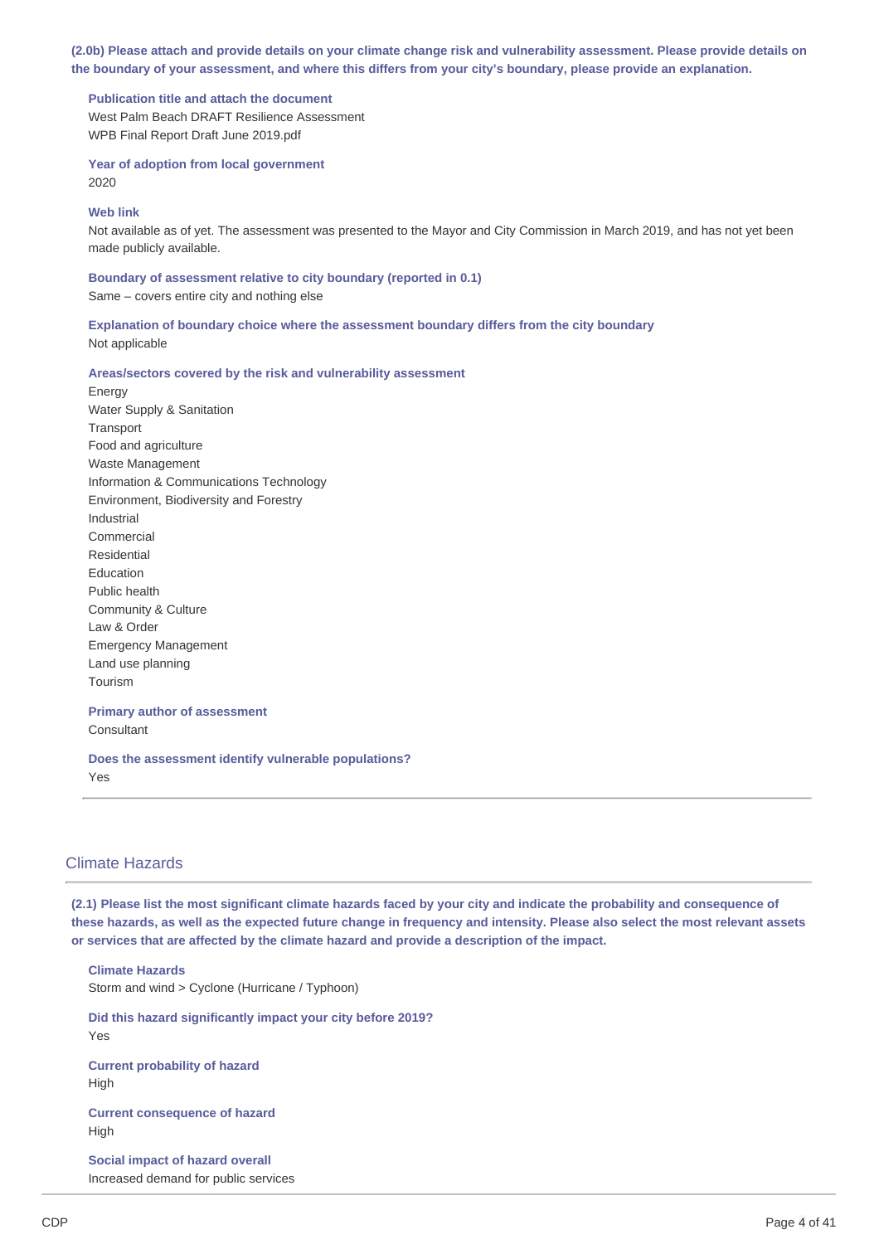(2.0b) Please attach and provide details on your climate change risk and vulnerability assessment. Please provide details on the boundary of your assessment, and where this differs from your city's boundary, please provide an explanation.

**Publication title and attach the document** West Palm Beach DRAFT Resilience Assessment WPB Final Report Draft June 2019.pdf

**Year of adoption from local government** 2020

#### **Web link**

Not available as of yet. The assessment was presented to the Mayor and City Commission in March 2019, and has not yet been made publicly available.

**Boundary of assessment relative to city boundary (reported in 0.1)** Same – covers entire city and nothing else

**Explanation of boundary choice where the assessment boundary differs from the city boundary** Not applicable

#### **Areas/sectors covered by the risk and vulnerability assessment**

Energy Water Supply & Sanitation **Transport** Food and agriculture Waste Management Information & Communications Technology Environment, Biodiversity and Forestry Industrial Commercial Residential Education Public health Community & Culture Law & Order Emergency Management Land use planning Tourism

# **Primary author of assessment**

**Consultant** 

**Does the assessment identify vulnerable populations?** Yes

### Climate Hazards

(2.1) Please list the most significant climate hazards faced by your city and indicate the probability and consequence of these hazards, as well as the expected future change in frequency and intensity. Please also select the most relevant assets **or services that are affected by the climate hazard and provide a description of the impact.**

**Climate Hazards** Storm and wind > Cyclone (Hurricane / Typhoon) **Did this hazard significantly impact your city before 2019?** Yes **Current probability of hazard** High

**Current consequence of hazard** High

**Social impact of hazard overall** Increased demand for public services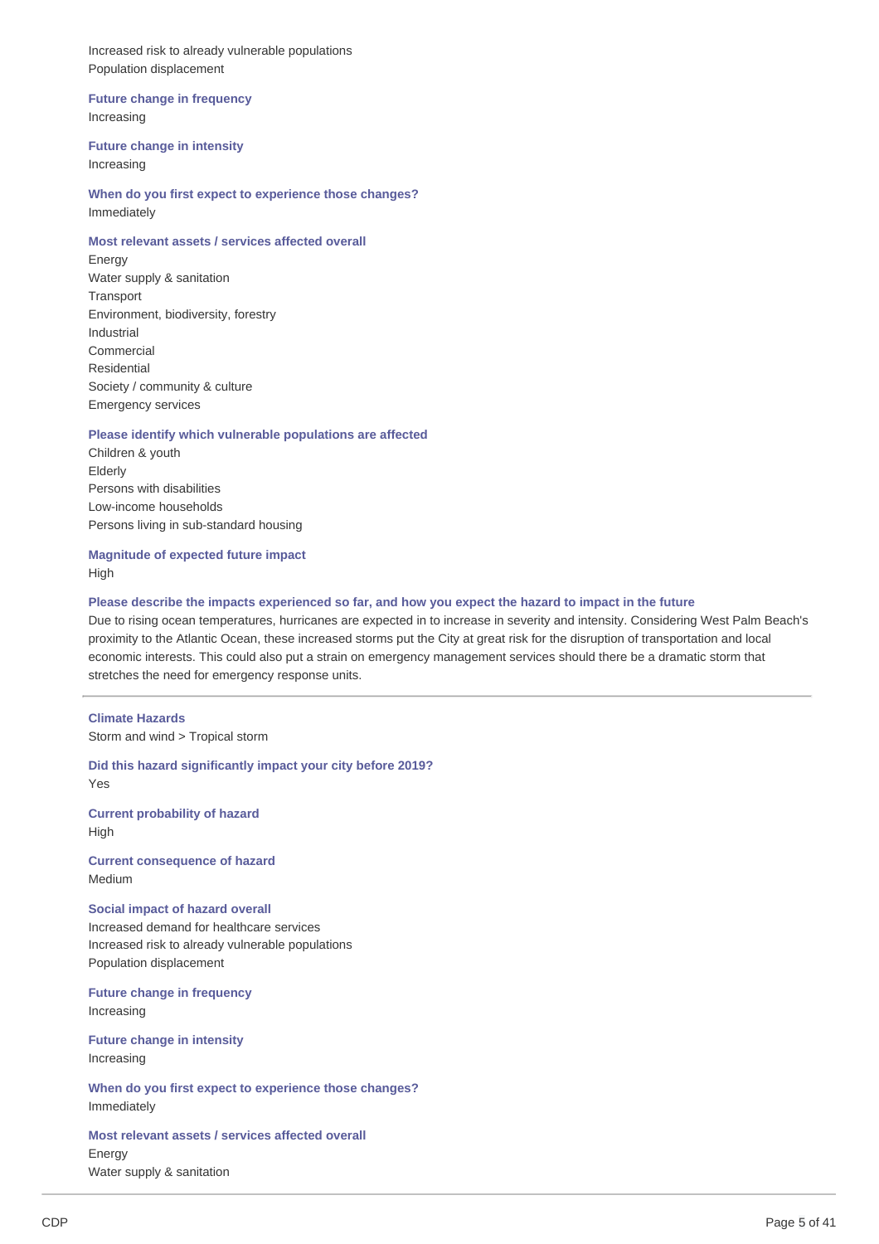Increased risk to already vulnerable populations Population displacement

### **Future change in frequency**

Increasing

### **Future change in intensity**

Increasing

**When do you first expect to experience those changes?** Immediately

### **Most relevant assets / services affected overall**

Energy Water supply & sanitation **Transport** Environment, biodiversity, forestry Industrial Commercial Residential Society / community & culture Emergency services

### **Please identify which vulnerable populations are affected**

Children & youth Elderly Persons with disabilities Low-income households Persons living in sub-standard housing

**Magnitude of expected future impact** High

### Please describe the impacts experienced so far, and how you expect the hazard to impact in the future

Due to rising ocean temperatures, hurricanes are expected in to increase in severity and intensity. Considering West Palm Beach's proximity to the Atlantic Ocean, these increased storms put the City at great risk for the disruption of transportation and local economic interests. This could also put a strain on emergency management services should there be a dramatic storm that stretches the need for emergency response units.

**Climate Hazards** Storm and wind > Tropical storm

**Did this hazard significantly impact your city before 2019?** Yes **Current probability of hazard** High

**Current consequence of hazard** Medium

**Social impact of hazard overall** Increased demand for healthcare services Increased risk to already vulnerable populations Population displacement

**Future change in frequency** Increasing

**Future change in intensity** Increasing

**When do you first expect to experience those changes?** Immediately

**Most relevant assets / services affected overall** Energy Water supply & sanitation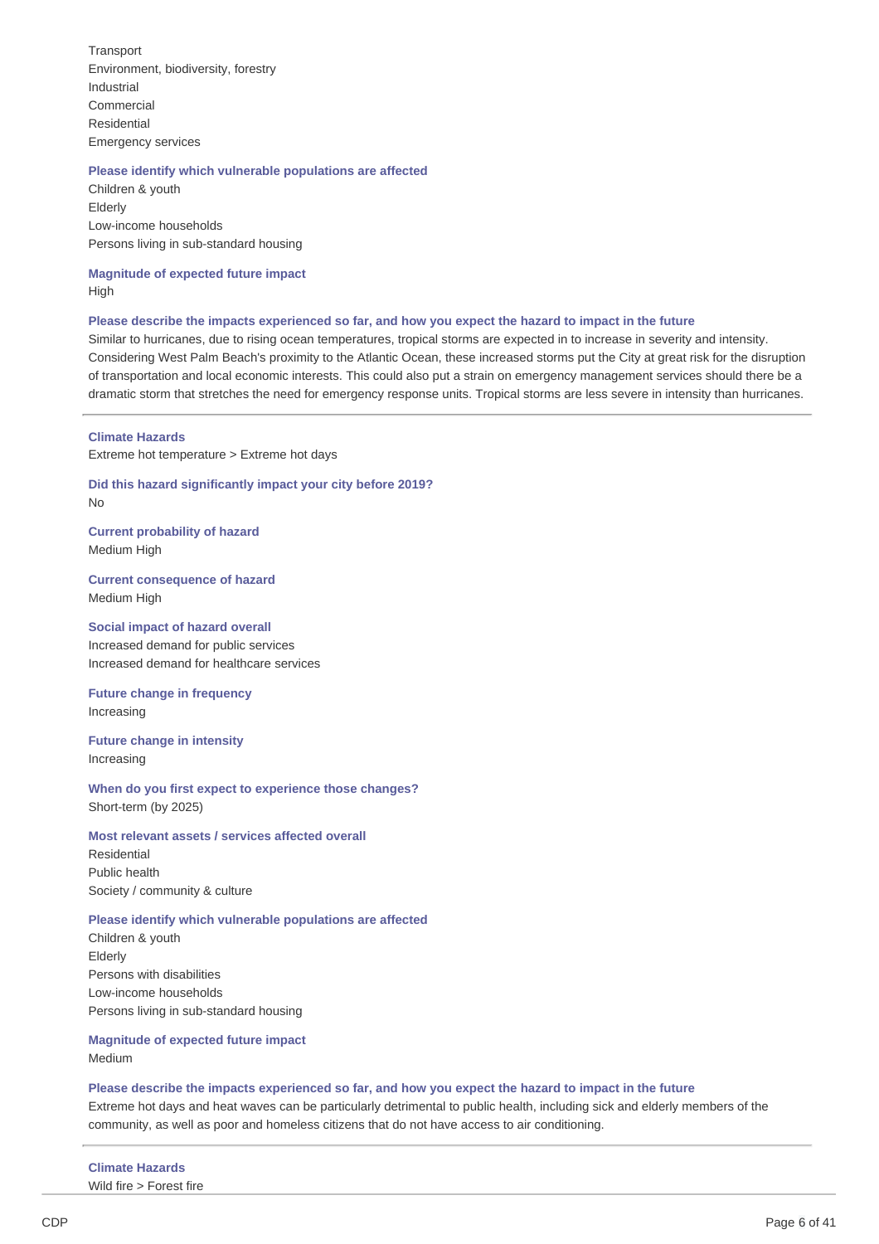**Transport** Environment, biodiversity, forestry Industrial Commercial Residential Emergency services

### **Please identify which vulnerable populations are affected**

Children & youth Elderly Low-income households Persons living in sub-standard housing

### **Magnitude of expected future impact** High

#### Please describe the impacts experienced so far, and how you expect the hazard to impact in the future

Similar to hurricanes, due to rising ocean temperatures, tropical storms are expected in to increase in severity and intensity. Considering West Palm Beach's proximity to the Atlantic Ocean, these increased storms put the City at great risk for the disruption of transportation and local economic interests. This could also put a strain on emergency management services should there be a dramatic storm that stretches the need for emergency response units. Tropical storms are less severe in intensity than hurricanes.

### **Climate Hazards**

Extreme hot temperature > Extreme hot days

**Did this hazard significantly impact your city before 2019?** No

**Current probability of hazard** Medium High

**Current consequence of hazard** Medium High

### **Social impact of hazard overall** Increased demand for public services Increased demand for healthcare services

**Future change in frequency** Increasing

**Future change in intensity** Increasing

**When do you first expect to experience those changes?** Short-term (by 2025)

### **Most relevant assets / services affected overall**

Residential Public health Society / community & culture

### **Please identify which vulnerable populations are affected**

Children & youth Elderly Persons with disabilities Low-income households Persons living in sub-standard housing

### **Magnitude of expected future impact** Medium

### Please describe the impacts experienced so far, and how you expect the hazard to impact in the future

Extreme hot days and heat waves can be particularly detrimental to public health, including sick and elderly members of the community, as well as poor and homeless citizens that do not have access to air conditioning.

### **Climate Hazards**

Wild fire > Forest fire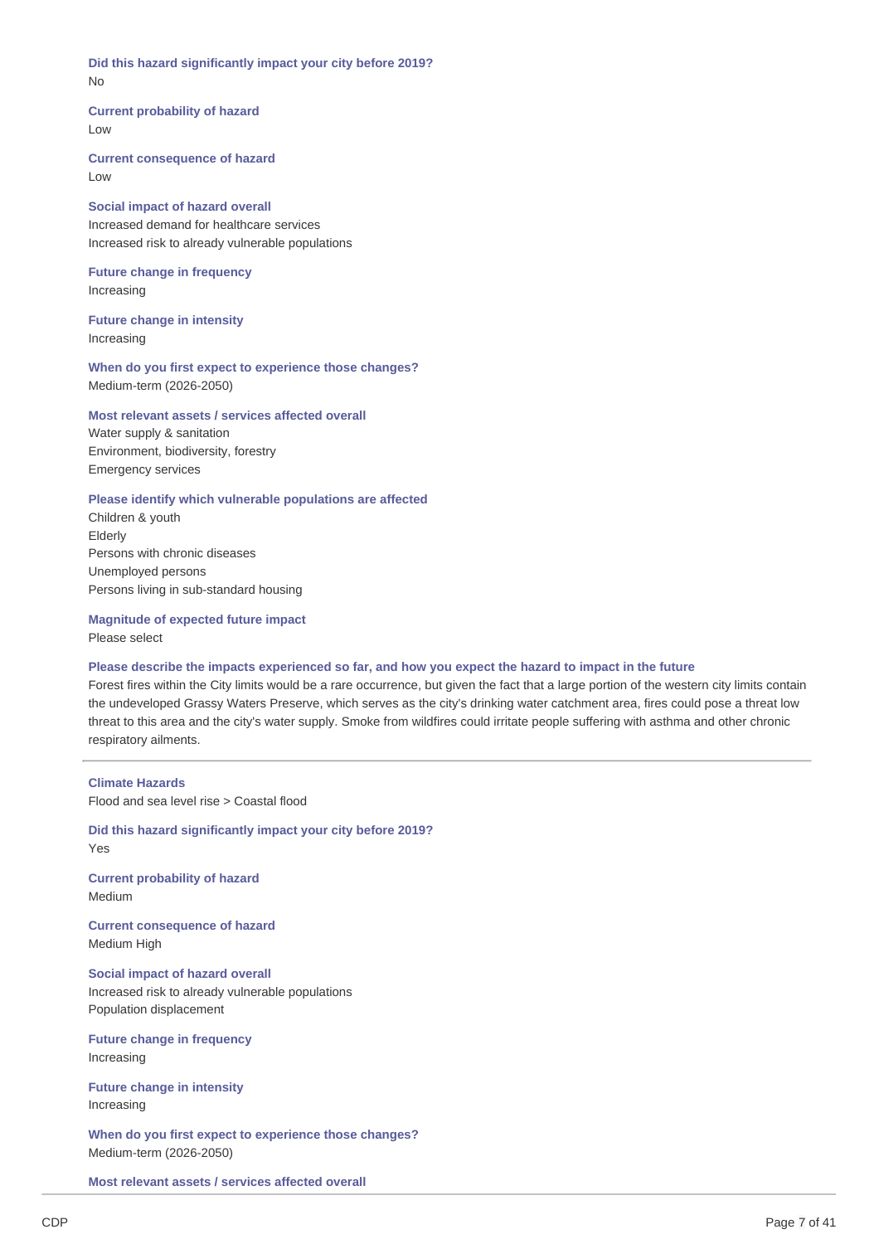**Did this hazard significantly impact your city before 2019?** No

**Current probability of hazard** Low

**Current consequence of hazard** Low

**Social impact of hazard overall** Increased demand for healthcare services Increased risk to already vulnerable populations

**Future change in frequency** Increasing

**Future change in intensity** Increasing

**When do you first expect to experience those changes?** Medium-term (2026-2050)

### **Most relevant assets / services affected overall**

Water supply & sanitation Environment, biodiversity, forestry Emergency services

### **Please identify which vulnerable populations are affected**

Children & youth Elderly Persons with chronic diseases Unemployed persons Persons living in sub-standard housing

#### **Magnitude of expected future impact**

Please select

#### Please describe the impacts experienced so far, and how you expect the hazard to impact in the future

Forest fires within the City limits would be a rare occurrence, but given the fact that a large portion of the western city limits contain the undeveloped Grassy Waters Preserve, which serves as the city's drinking water catchment area, fires could pose a threat low threat to this area and the city's water supply. Smoke from wildfires could irritate people suffering with asthma and other chronic respiratory ailments.

**Climate Hazards** Flood and sea level rise > Coastal flood

**Did this hazard significantly impact your city before 2019?** Yes

**Current probability of hazard** Medium

**Current consequence of hazard** Medium High

**Social impact of hazard overall** Increased risk to already vulnerable populations Population displacement

**Future change in frequency** Increasing

**Future change in intensity** Increasing

**When do you first expect to experience those changes?** Medium-term (2026-2050)

**Most relevant assets / services affected overall**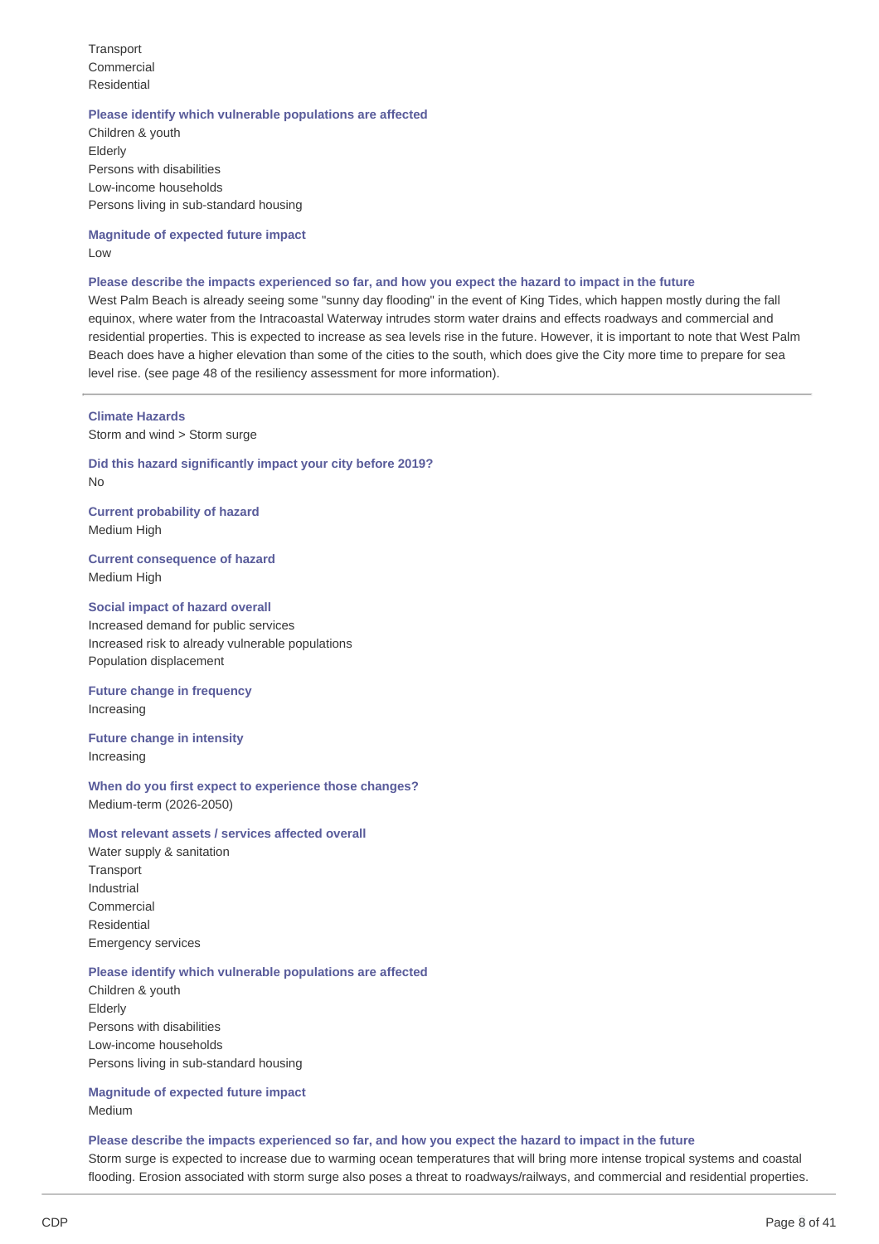**Transport** Commercial Residential

#### **Please identify which vulnerable populations are affected**

Children & youth Elderly Persons with disabilities Low-income households Persons living in sub-standard housing

**Magnitude of expected future impact** Low

### Please describe the impacts experienced so far, and how you expect the hazard to impact in the future

West Palm Beach is already seeing some "sunny day flooding" in the event of King Tides, which happen mostly during the fall equinox, where water from the Intracoastal Waterway intrudes storm water drains and effects roadways and commercial and residential properties. This is expected to increase as sea levels rise in the future. However, it is important to note that West Palm Beach does have a higher elevation than some of the cities to the south, which does give the City more time to prepare for sea level rise. (see page 48 of the resiliency assessment for more information).

### **Climate Hazards**

Storm and wind > Storm surge

**Did this hazard significantly impact your city before 2019?** No

**Current probability of hazard** Medium High

**Current consequence of hazard** Medium High

#### **Social impact of hazard overall**

Increased demand for public services Increased risk to already vulnerable populations Population displacement

**Future change in frequency** Increasing

### **Future change in intensity** Increasing

**When do you first expect to experience those changes?** Medium-term (2026-2050)

### **Most relevant assets / services affected overall**

Water supply & sanitation **Transport** Industrial Commercial Residential Emergency services

#### **Please identify which vulnerable populations are affected**

Children & youth Elderly Persons with disabilities Low-income households Persons living in sub-standard housing

**Magnitude of expected future impact** Medium

Please describe the impacts experienced so far, and how you expect the hazard to impact in the future Storm surge is expected to increase due to warming ocean temperatures that will bring more intense tropical systems and coastal flooding. Erosion associated with storm surge also poses a threat to roadways/railways, and commercial and residential properties.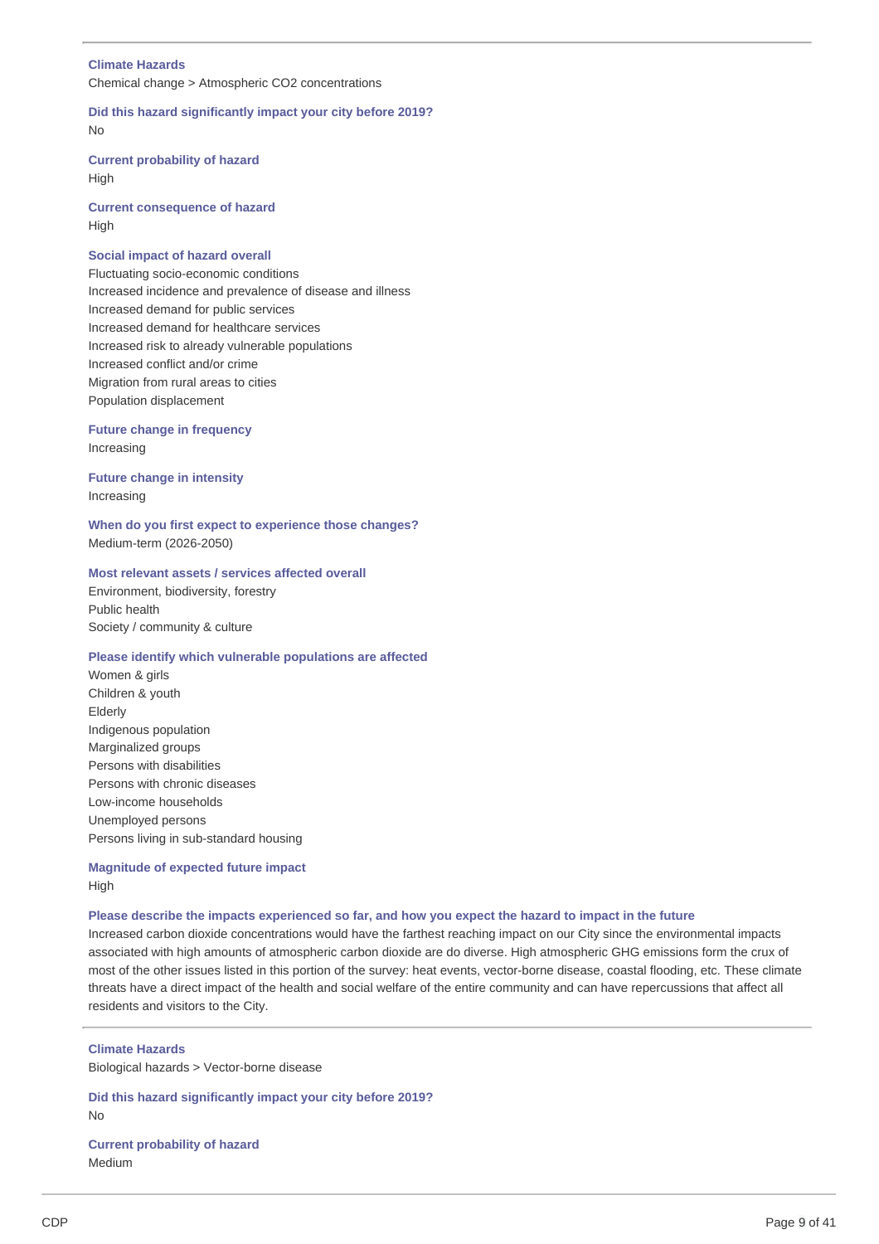### **Climate Hazards**

Chemical change > Atmospheric CO2 concentrations

**Did this hazard significantly impact your city before 2019?** No

**Current probability of hazard** High

**Current consequence of hazard** High

### **Social impact of hazard overall**

Fluctuating socio-economic conditions Increased incidence and prevalence of disease and illness Increased demand for public services Increased demand for healthcare services Increased risk to already vulnerable populations Increased conflict and/or crime Migration from rural areas to cities Population displacement

### **Future change in frequency** Increasing

**Future change in intensity** Increasing

**When do you first expect to experience those changes?** Medium-term (2026-2050)

### **Most relevant assets / services affected overall**

Environment, biodiversity, forestry Public health Society / community & culture

### **Please identify which vulnerable populations are affected**

Women & girls Children & youth Elderly Indigenous population Marginalized groups Persons with disabilities Persons with chronic diseases Low-income households Unemployed persons Persons living in sub-standard housing

### **Magnitude of expected future impact** High

#### Please describe the impacts experienced so far, and how you expect the hazard to impact in the future

Increased carbon dioxide concentrations would have the farthest reaching impact on our City since the environmental impacts associated with high amounts of atmospheric carbon dioxide are do diverse. High atmospheric GHG emissions form the crux of most of the other issues listed in this portion of the survey: heat events, vector-borne disease, coastal flooding, etc. These climate threats have a direct impact of the health and social welfare of the entire community and can have repercussions that affect all residents and visitors to the City.

### **Climate Hazards**

Biological hazards > Vector-borne disease

**Did this hazard significantly impact your city before 2019?** No

**Current probability of hazard** Medium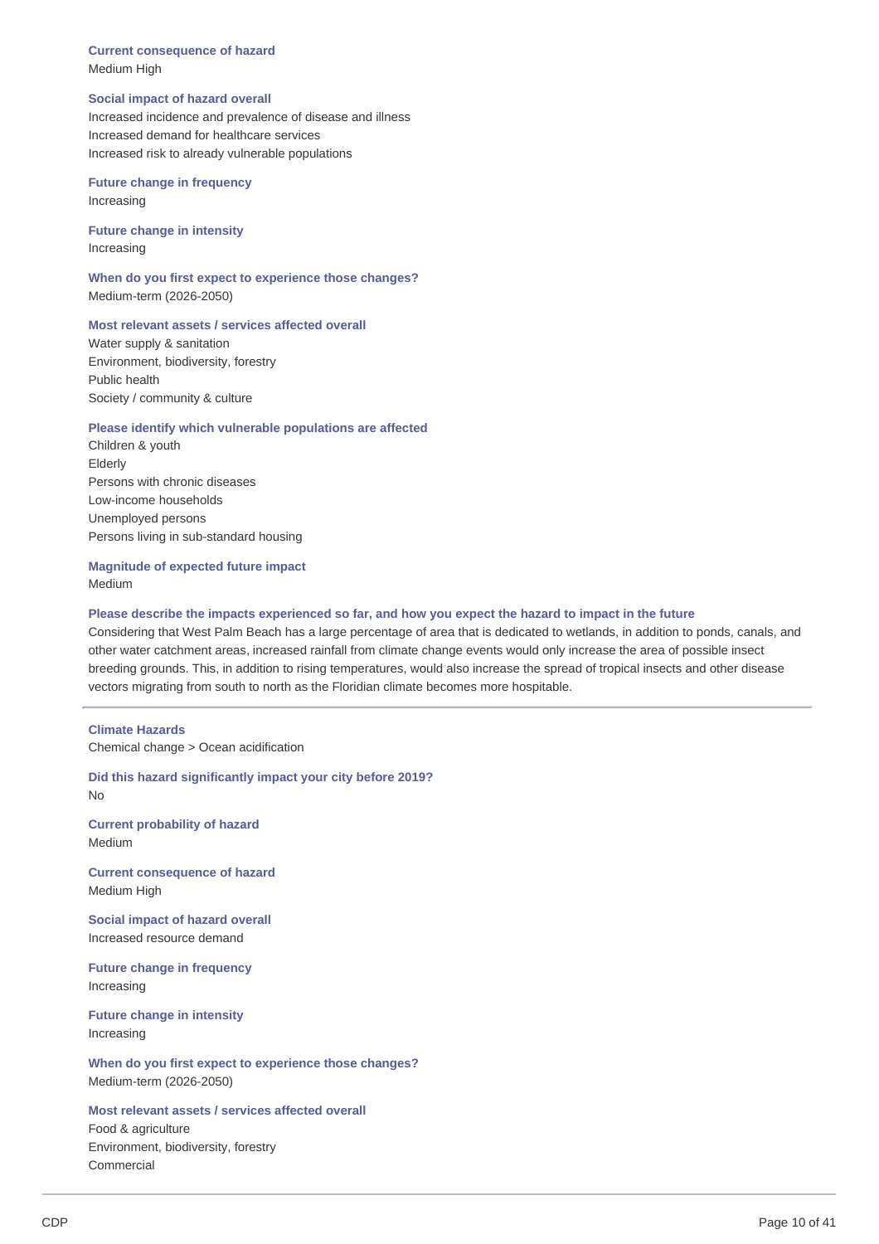**Current consequence of hazard** Medium High

#### **Social impact of hazard overall**

Increased incidence and prevalence of disease and illness Increased demand for healthcare services Increased risk to already vulnerable populations

**Future change in frequency** Increasing

**Future change in intensity** Increasing

**When do you first expect to experience those changes?** Medium-term (2026-2050)

#### **Most relevant assets / services affected overall**

Water supply & sanitation Environment, biodiversity, forestry Public health Society / community & culture

### **Please identify which vulnerable populations are affected**

Children & youth Elderly Persons with chronic diseases Low-income households Unemployed persons Persons living in sub-standard housing

### **Magnitude of expected future impact** Medium

### Please describe the impacts experienced so far, and how you expect the hazard to impact in the future

Considering that West Palm Beach has a large percentage of area that is dedicated to wetlands, in addition to ponds, canals, and other water catchment areas, increased rainfall from climate change events would only increase the area of possible insect breeding grounds. This, in addition to rising temperatures, would also increase the spread of tropical insects and other disease vectors migrating from south to north as the Floridian climate becomes more hospitable.

#### **Climate Hazards**

Chemical change > Ocean acidification

**Did this hazard significantly impact your city before 2019?** No

**Current probability of hazard** Medium

**Current consequence of hazard** Medium High

**Social impact of hazard overall** Increased resource demand

**Future change in frequency** Increasing

**Future change in intensity** Increasing

**When do you first expect to experience those changes?** Medium-term (2026-2050)

**Most relevant assets / services affected overall** Food & agriculture Environment, biodiversity, forestry Commercial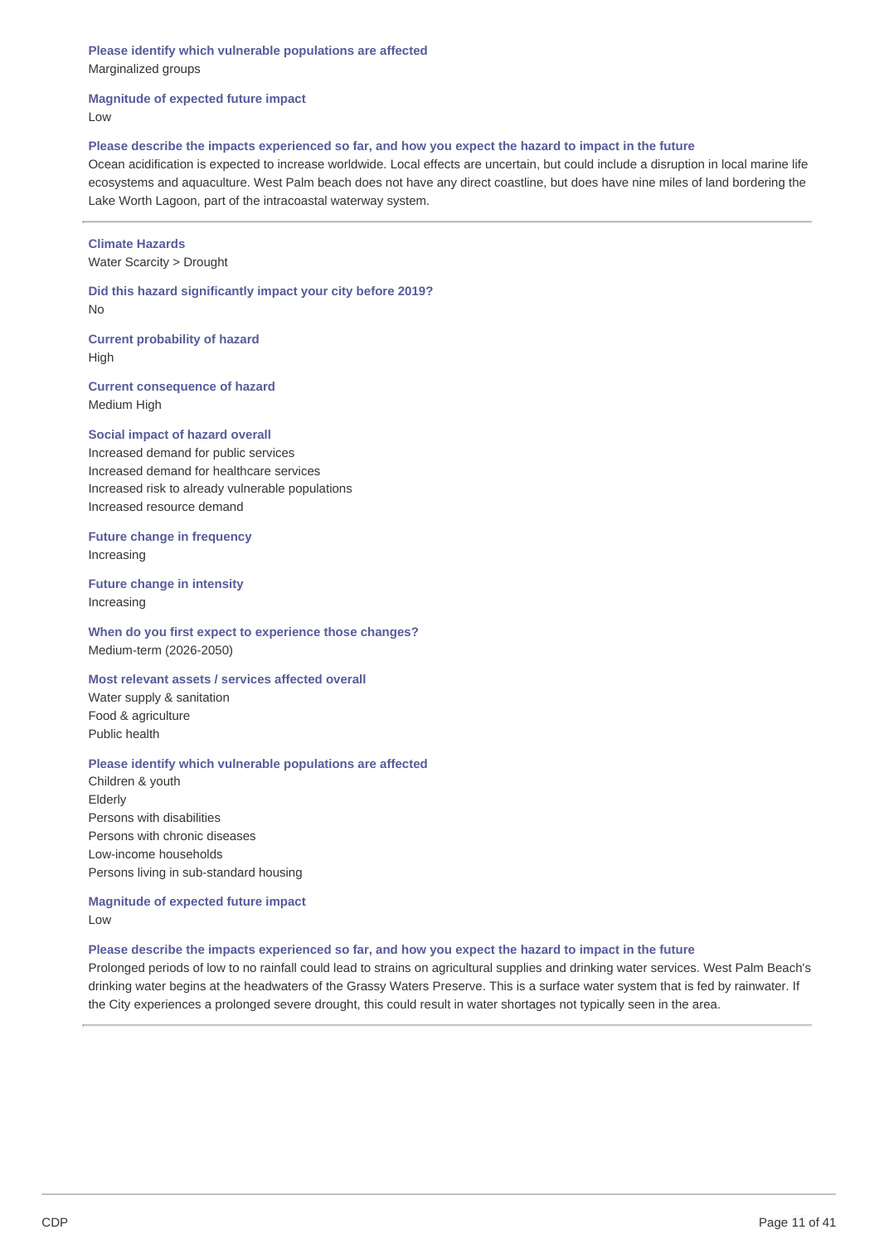**Please identify which vulnerable populations are affected** Marginalized groups

**Magnitude of expected future impact**

Low

### Please describe the impacts experienced so far, and how you expect the hazard to impact in the future

Ocean acidification is expected to increase worldwide. Local effects are uncertain, but could include a disruption in local marine life ecosystems and aquaculture. West Palm beach does not have any direct coastline, but does have nine miles of land bordering the Lake Worth Lagoon, part of the intracoastal waterway system.

### **Climate Hazards**

Water Scarcity > Drought

**Did this hazard significantly impact your city before 2019?** No

**Current probability of hazard** High

**Current consequence of hazard** Medium High

### **Social impact of hazard overall**

Increased demand for public services Increased demand for healthcare services Increased risk to already vulnerable populations Increased resource demand

**Future change in frequency** Increasing

**Future change in intensity** Increasing

**When do you first expect to experience those changes?** Medium-term (2026-2050)

**Most relevant assets / services affected overall**

Water supply & sanitation Food & agriculture Public health

### **Please identify which vulnerable populations are affected**

Children & youth Elderly Persons with disabilities Persons with chronic diseases Low-income households Persons living in sub-standard housing

**Magnitude of expected future impact** Low

### Please describe the impacts experienced so far, and how you expect the hazard to impact in the future

Prolonged periods of low to no rainfall could lead to strains on agricultural supplies and drinking water services. West Palm Beach's drinking water begins at the headwaters of the Grassy Waters Preserve. This is a surface water system that is fed by rainwater. If the City experiences a prolonged severe drought, this could result in water shortages not typically seen in the area.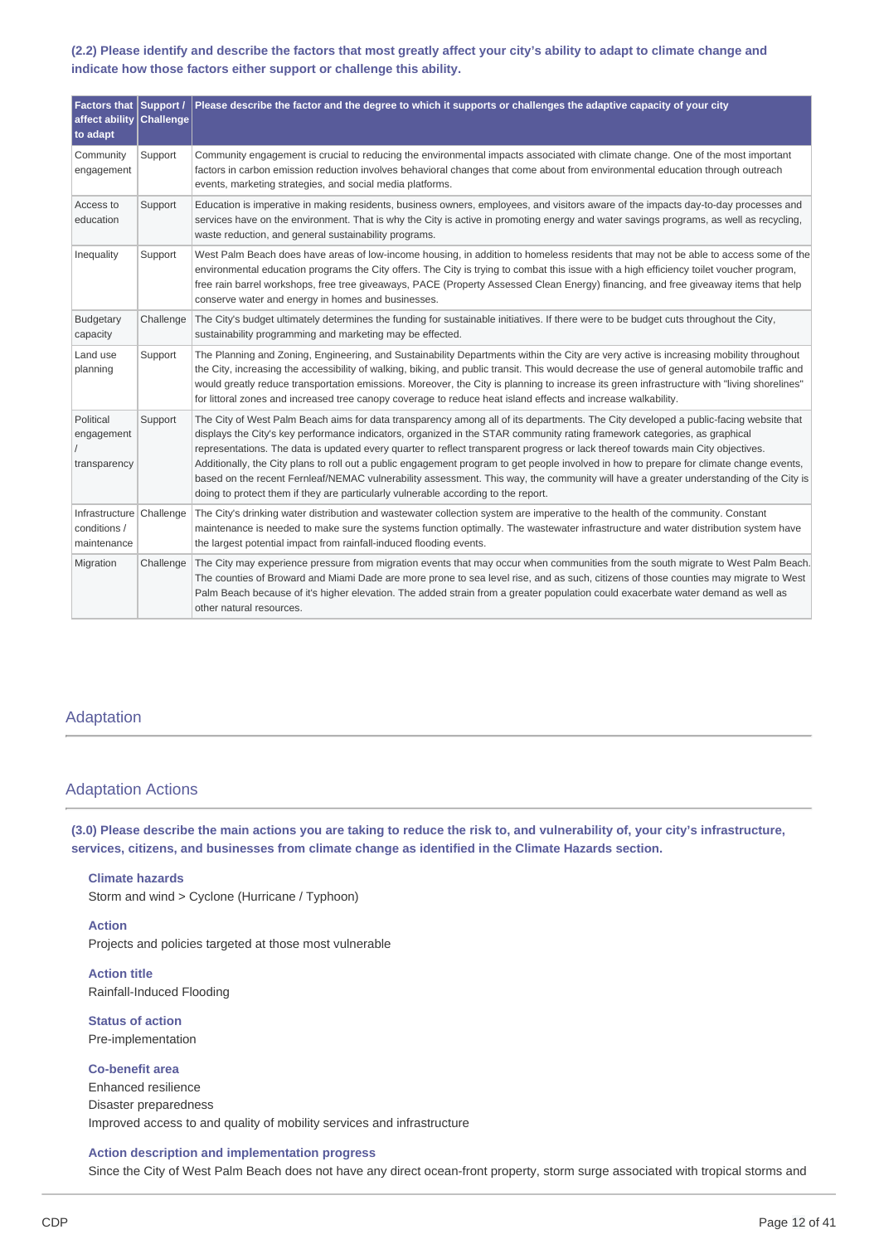### (2.2) Please identify and describe the factors that most greatly affect your city's ability to adapt to climate change and **indicate how those factors either support or challenge this ability.**

| Factors that Support /<br>affect ability<br>to adapt    | <b>Challenge</b> | Please describe the factor and the degree to which it supports or challenges the adaptive capacity of your city                                                                                                                                                                                                                                                                                                                                                                                                                                                                                                                                                                                                                                                                  |
|---------------------------------------------------------|------------------|----------------------------------------------------------------------------------------------------------------------------------------------------------------------------------------------------------------------------------------------------------------------------------------------------------------------------------------------------------------------------------------------------------------------------------------------------------------------------------------------------------------------------------------------------------------------------------------------------------------------------------------------------------------------------------------------------------------------------------------------------------------------------------|
| Community<br>engagement                                 | Support          | Community engagement is crucial to reducing the environmental impacts associated with climate change. One of the most important<br>factors in carbon emission reduction involves behavioral changes that come about from environmental education through outreach<br>events, marketing strategies, and social media platforms.                                                                                                                                                                                                                                                                                                                                                                                                                                                   |
| Access to<br>education                                  | Support          | Education is imperative in making residents, business owners, employees, and visitors aware of the impacts day-to-day processes and<br>services have on the environment. That is why the City is active in promoting energy and water savings programs, as well as recycling,<br>waste reduction, and general sustainability programs.                                                                                                                                                                                                                                                                                                                                                                                                                                           |
| Inequality                                              | Support          | West Palm Beach does have areas of low-income housing, in addition to homeless residents that may not be able to access some of the<br>environmental education programs the City offers. The City is trying to combat this issue with a high efficiency toilet voucher program,<br>free rain barrel workshops, free tree giveaways, PACE (Property Assessed Clean Energy) financing, and free giveaway items that help<br>conserve water and energy in homes and businesses.                                                                                                                                                                                                                                                                                                     |
| <b>Budgetary</b><br>capacity                            | Challenge        | The City's budget ultimately determines the funding for sustainable initiatives. If there were to be budget cuts throughout the City,<br>sustainability programming and marketing may be effected.                                                                                                                                                                                                                                                                                                                                                                                                                                                                                                                                                                               |
| Land use<br>planning                                    | Support          | The Planning and Zoning, Engineering, and Sustainability Departments within the City are very active is increasing mobility throughout<br>the City, increasing the accessibility of walking, biking, and public transit. This would decrease the use of general automobile traffic and<br>would greatly reduce transportation emissions. Moreover, the City is planning to increase its green infrastructure with "living shorelines"<br>for littoral zones and increased tree canopy coverage to reduce heat island effects and increase walkability.                                                                                                                                                                                                                           |
| Political<br>engagement<br>transparency                 | Support          | The City of West Palm Beach aims for data transparency among all of its departments. The City developed a public-facing website that<br>displays the City's key performance indicators, organized in the STAR community rating framework categories, as graphical<br>representations. The data is updated every quarter to reflect transparent progress or lack thereof towards main City objectives.<br>Additionally, the City plans to roll out a public engagement program to get people involved in how to prepare for climate change events,<br>based on the recent Fernleaf/NEMAC vulnerability assessment. This way, the community will have a greater understanding of the City is<br>doing to protect them if they are particularly vulnerable according to the report. |
| Infrastructure Challenge<br>conditions /<br>maintenance |                  | The City's drinking water distribution and wastewater collection system are imperative to the health of the community. Constant<br>maintenance is needed to make sure the systems function optimally. The wastewater infrastructure and water distribution system have<br>the largest potential impact from rainfall-induced flooding events.                                                                                                                                                                                                                                                                                                                                                                                                                                    |
| Migration                                               | Challenge        | The City may experience pressure from migration events that may occur when communities from the south migrate to West Palm Beach.<br>The counties of Broward and Miami Dade are more prone to sea level rise, and as such, citizens of those counties may migrate to West<br>Palm Beach because of it's higher elevation. The added strain from a greater population could exacerbate water demand as well as<br>other natural resources.                                                                                                                                                                                                                                                                                                                                        |

### Adaptation

### Adaptation Actions

(3.0) Please describe the main actions you are taking to reduce the risk to, and vulnerability of, your city's infrastructure, **services, citizens, and businesses from climate change as identified in the Climate Hazards section.**

**Climate hazards** Storm and wind > Cyclone (Hurricane / Typhoon)

**Action** Projects and policies targeted at those most vulnerable

**Action title** Rainfall-Induced Flooding

**Status of action** Pre-implementation

**Co-benefit area** Enhanced resilience Disaster preparedness Improved access to and quality of mobility services and infrastructure

### **Action description and implementation progress**

Since the City of West Palm Beach does not have any direct ocean-front property, storm surge associated with tropical storms and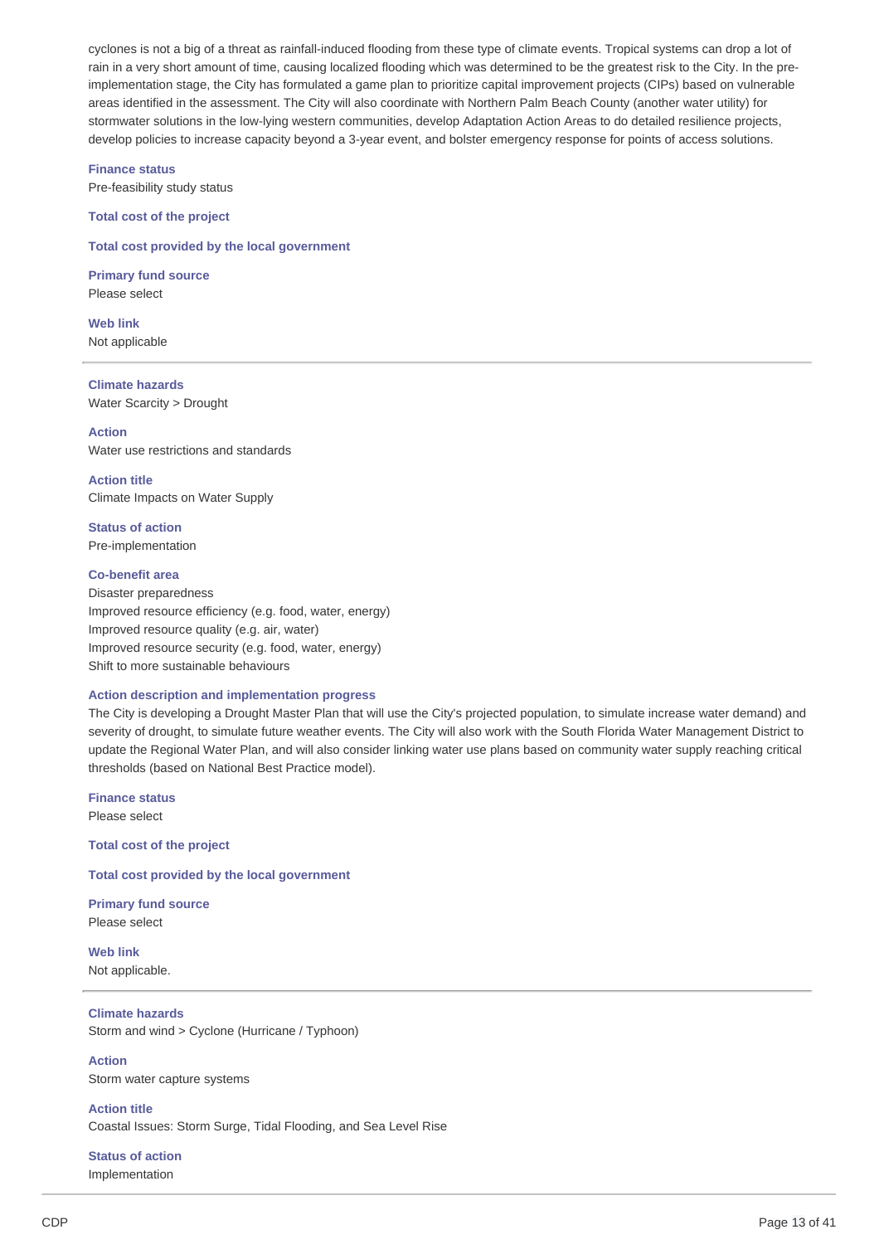cyclones is not a big of a threat as rainfall-induced flooding from these type of climate events. Tropical systems can drop a lot of rain in a very short amount of time, causing localized flooding which was determined to be the greatest risk to the City. In the preimplementation stage, the City has formulated a game plan to prioritize capital improvement projects (CIPs) based on vulnerable areas identified in the assessment. The City will also coordinate with Northern Palm Beach County (another water utility) for stormwater solutions in the low-lying western communities, develop Adaptation Action Areas to do detailed resilience projects, develop policies to increase capacity beyond a 3-year event, and bolster emergency response for points of access solutions.

**Finance status**

Pre-feasibility study status

**Total cost of the project**

**Total cost provided by the local government**

**Primary fund source** Please select

**Web link** Not applicable

**Climate hazards** Water Scarcity > Drought

**Action** Water use restrictions and standards

**Action title** Climate Impacts on Water Supply

**Status of action** Pre-implementation

### **Co-benefit area**

Disaster preparedness Improved resource efficiency (e.g. food, water, energy) Improved resource quality (e.g. air, water) Improved resource security (e.g. food, water, energy) Shift to more sustainable behaviours

#### **Action description and implementation progress**

The City is developing a Drought Master Plan that will use the City's projected population, to simulate increase water demand) and severity of drought, to simulate future weather events. The City will also work with the South Florida Water Management District to update the Regional Water Plan, and will also consider linking water use plans based on community water supply reaching critical thresholds (based on National Best Practice model).

**Finance status**

Please select

**Total cost of the project**

**Total cost provided by the local government**

**Primary fund source** Please select

**Web link** Not applicable.

**Climate hazards** Storm and wind > Cyclone (Hurricane / Typhoon)

**Action** Storm water capture systems

**Action title** Coastal Issues: Storm Surge, Tidal Flooding, and Sea Level Rise

**Status of action** Implementation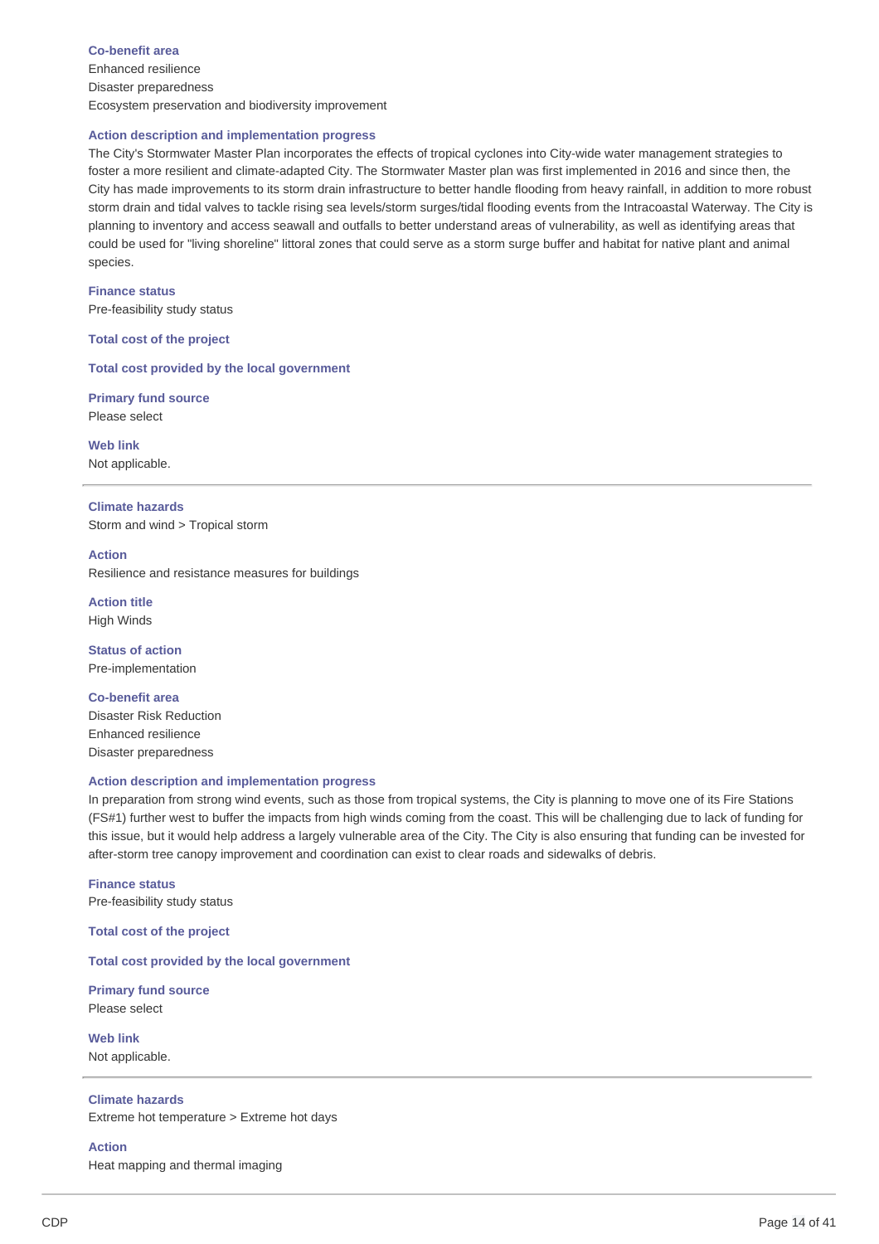**Co-benefit area** Enhanced resilience Disaster preparedness Ecosystem preservation and biodiversity improvement

#### **Action description and implementation progress**

The City's Stormwater Master Plan incorporates the effects of tropical cyclones into City-wide water management strategies to foster a more resilient and climate-adapted City. The Stormwater Master plan was first implemented in 2016 and since then, the City has made improvements to its storm drain infrastructure to better handle flooding from heavy rainfall, in addition to more robust storm drain and tidal valves to tackle rising sea levels/storm surges/tidal flooding events from the Intracoastal Waterway. The City is planning to inventory and access seawall and outfalls to better understand areas of vulnerability, as well as identifying areas that could be used for "living shoreline" littoral zones that could serve as a storm surge buffer and habitat for native plant and animal species.

**Finance status** Pre-feasibility study status

**Total cost of the project**

**Total cost provided by the local government**

**Primary fund source** Please select

**Web link** Not applicable.

**Climate hazards** Storm and wind > Tropical storm

**Action** Resilience and resistance measures for buildings

**Action title** High Winds

**Status of action** Pre-implementation

**Co-benefit area** Disaster Risk Reduction Enhanced resilience Disaster preparedness

### **Action description and implementation progress**

In preparation from strong wind events, such as those from tropical systems, the City is planning to move one of its Fire Stations (FS#1) further west to buffer the impacts from high winds coming from the coast. This will be challenging due to lack of funding for this issue, but it would help address a largely vulnerable area of the City. The City is also ensuring that funding can be invested for after-storm tree canopy improvement and coordination can exist to clear roads and sidewalks of debris.

**Finance status** Pre-feasibility study status

**Total cost of the project**

### **Total cost provided by the local government**

**Primary fund source** Please select

**Web link** Not applicable.

### **Climate hazards**

Extreme hot temperature > Extreme hot days

**Action**

Heat mapping and thermal imaging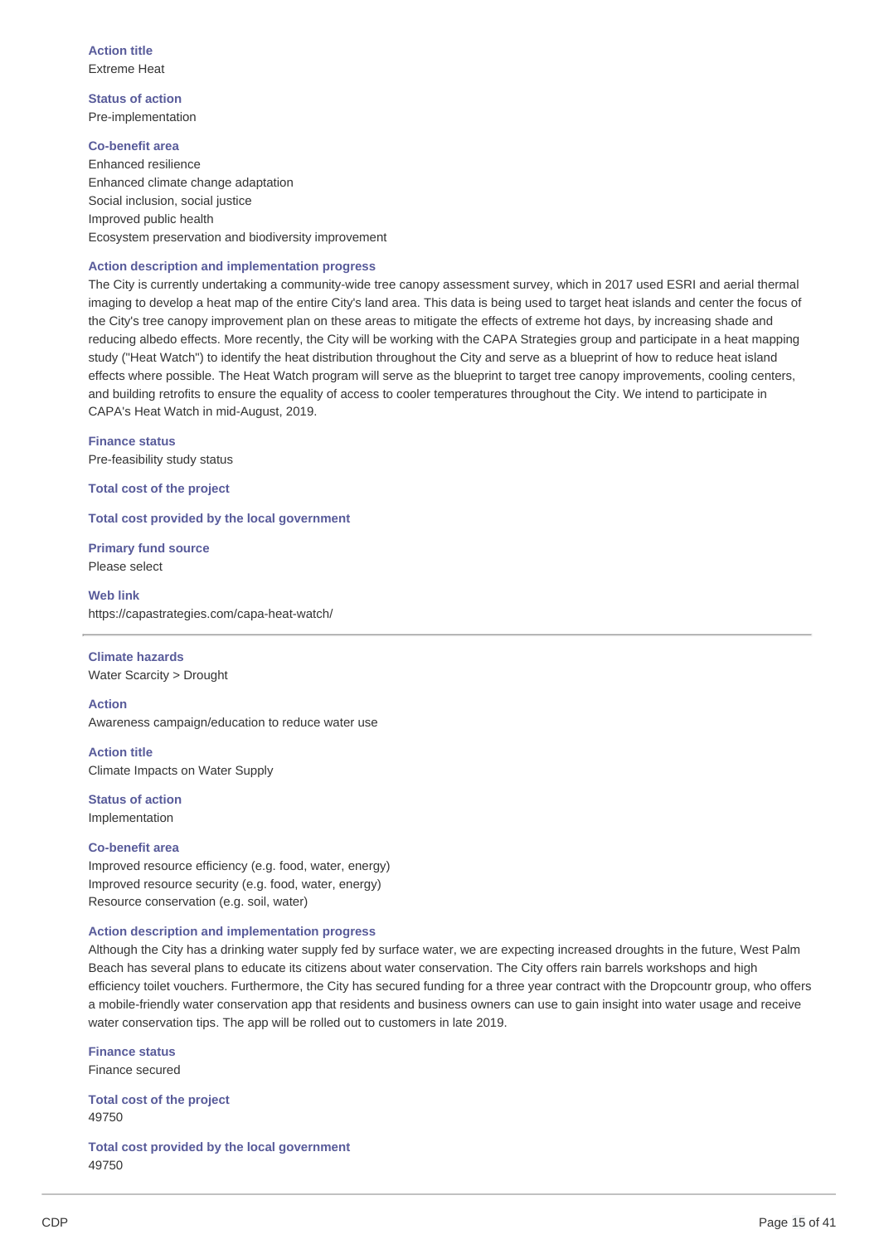**Action title** Extreme Heat

**Status of action** Pre-implementation

**Co-benefit area** Enhanced resilience Enhanced climate change adaptation Social inclusion, social justice Improved public health Ecosystem preservation and biodiversity improvement

### **Action description and implementation progress**

The City is currently undertaking a community-wide tree canopy assessment survey, which in 2017 used ESRI and aerial thermal imaging to develop a heat map of the entire City's land area. This data is being used to target heat islands and center the focus of the City's tree canopy improvement plan on these areas to mitigate the effects of extreme hot days, by increasing shade and reducing albedo effects. More recently, the City will be working with the CAPA Strategies group and participate in a heat mapping study ("Heat Watch") to identify the heat distribution throughout the City and serve as a blueprint of how to reduce heat island effects where possible. The Heat Watch program will serve as the blueprint to target tree canopy improvements, cooling centers, and building retrofits to ensure the equality of access to cooler temperatures throughout the City. We intend to participate in CAPA's Heat Watch in mid-August, 2019.

**Finance status**

Pre-feasibility study status

**Total cost of the project**

**Total cost provided by the local government**

**Primary fund source** Please select

**Web link** https://capastrategies.com/capa-heat-watch/

**Climate hazards**

Water Scarcity > Drought

**Action**

Awareness campaign/education to reduce water use

**Action title** Climate Impacts on Water Supply

**Status of action** Implementation

### **Co-benefit area**

Improved resource efficiency (e.g. food, water, energy) Improved resource security (e.g. food, water, energy) Resource conservation (e.g. soil, water)

### **Action description and implementation progress**

Although the City has a drinking water supply fed by surface water, we are expecting increased droughts in the future, West Palm Beach has several plans to educate its citizens about water conservation. The City offers rain barrels workshops and high efficiency toilet vouchers. Furthermore, the City has secured funding for a three year contract with the Dropcountr group, who offers a mobile-friendly water conservation app that residents and business owners can use to gain insight into water usage and receive water conservation tips. The app will be rolled out to customers in late 2019.

**Finance status** Finance secured

**Total cost of the project** 49750

**Total cost provided by the local government** 49750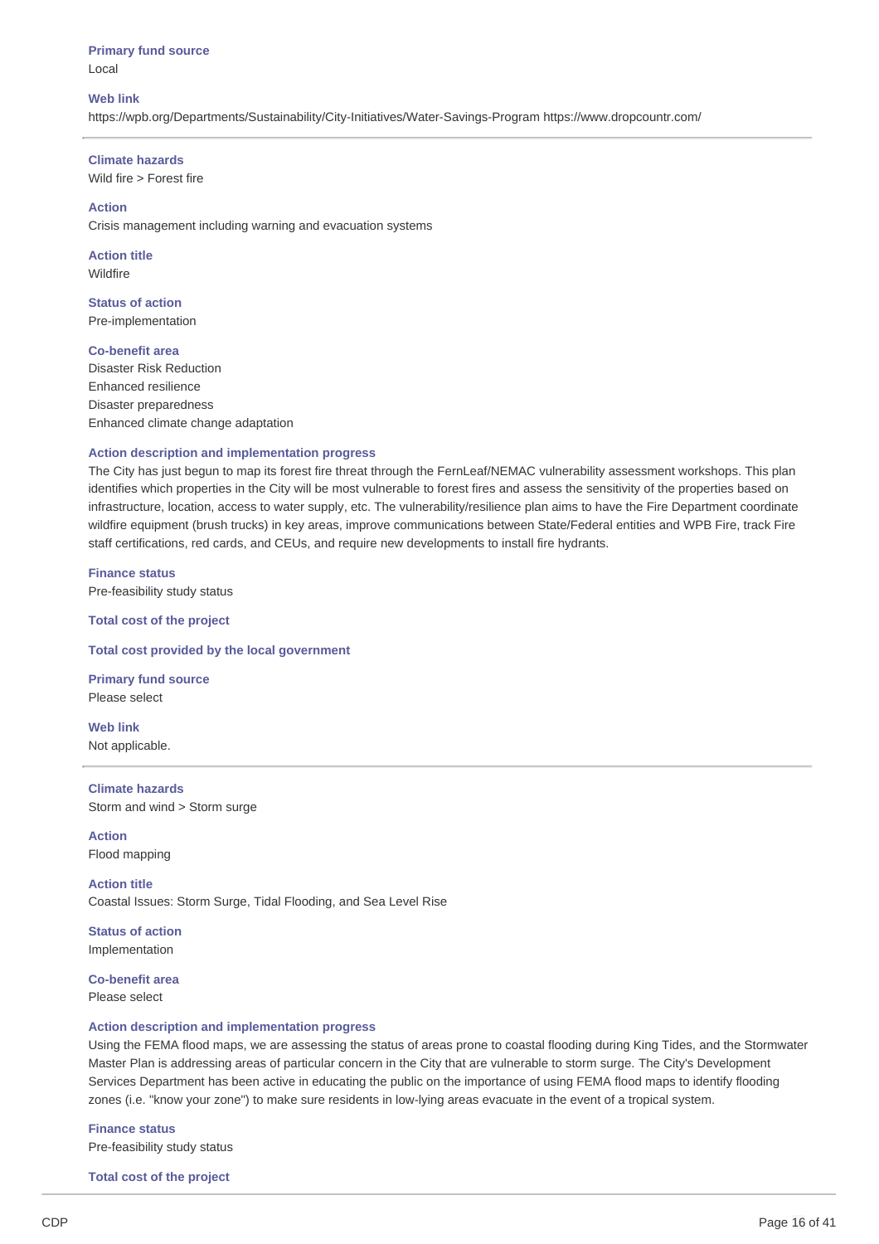**Primary fund source** Local

#### **Web link**

https://wpb.org/Departments/Sustainability/City-Initiatives/Water-Savings-Program https://www.dropcountr.com/

#### **Climate hazards**

Wild fire > Forest fire

### **Action**

Crisis management including warning and evacuation systems

**Action title** Wildfire

**Status of action** Pre-implementation

#### **Co-benefit area**

Disaster Risk Reduction Enhanced resilience Disaster preparedness Enhanced climate change adaptation

### **Action description and implementation progress**

The City has just begun to map its forest fire threat through the FernLeaf/NEMAC vulnerability assessment workshops. This plan identifies which properties in the City will be most vulnerable to forest fires and assess the sensitivity of the properties based on infrastructure, location, access to water supply, etc. The vulnerability/resilience plan aims to have the Fire Department coordinate wildfire equipment (brush trucks) in key areas, improve communications between State/Federal entities and WPB Fire, track Fire staff certifications, red cards, and CEUs, and require new developments to install fire hydrants.

**Finance status** Pre-feasibility study status

**Total cost of the project**

**Total cost provided by the local government**

**Primary fund source** Please select

**Web link** Not applicable.

**Climate hazards** Storm and wind > Storm surge

**Action** Flood mapping

**Action title** Coastal Issues: Storm Surge, Tidal Flooding, and Sea Level Rise

**Status of action** Implementation

**Co-benefit area** Please select

#### **Action description and implementation progress**

Using the FEMA flood maps, we are assessing the status of areas prone to coastal flooding during King Tides, and the Stormwater Master Plan is addressing areas of particular concern in the City that are vulnerable to storm surge. The City's Development Services Department has been active in educating the public on the importance of using FEMA flood maps to identify flooding zones (i.e. "know your zone") to make sure residents in low-lying areas evacuate in the event of a tropical system.

**Finance status** Pre-feasibility study status

**Total cost of the project**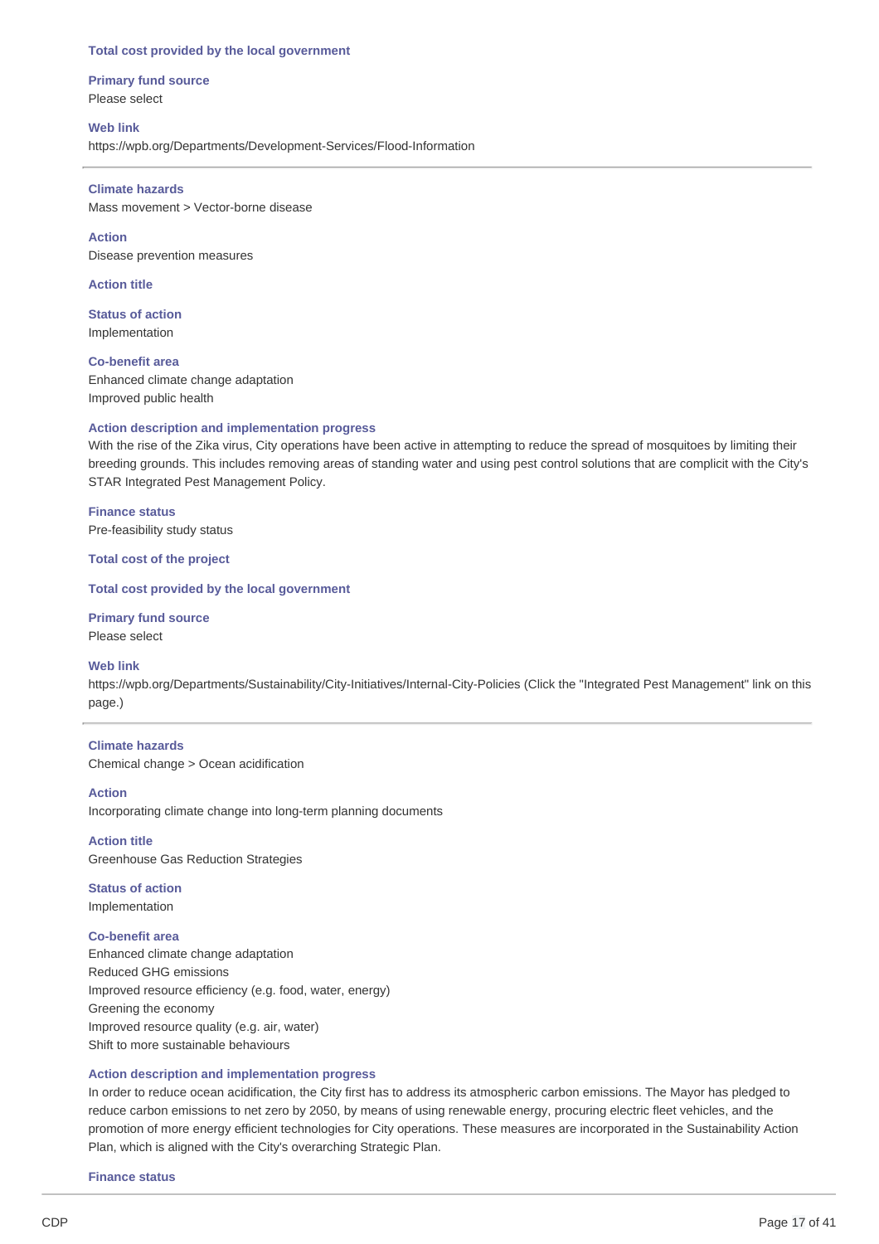#### **Total cost provided by the local government**

**Primary fund source** Please select

**Web link** https://wpb.org/Departments/Development-Services/Flood-Information

**Climate hazards** Mass movement > Vector-borne disease

**Action** Disease prevention measures

**Action title**

**Status of action** Implementation

**Co-benefit area** Enhanced climate change adaptation Improved public health

### **Action description and implementation progress**

With the rise of the Zika virus, City operations have been active in attempting to reduce the spread of mosquitoes by limiting their breeding grounds. This includes removing areas of standing water and using pest control solutions that are complicit with the City's STAR Integrated Pest Management Policy.

**Finance status** Pre-feasibility study status

**Total cost of the project**

### **Total cost provided by the local government**

**Primary fund source** Please select

#### **Web link**

https://wpb.org/Departments/Sustainability/City-Initiatives/Internal-City-Policies (Click the "Integrated Pest Management" link on this page.)

#### **Climate hazards**

Chemical change > Ocean acidification

#### **Action**

Incorporating climate change into long-term planning documents

**Action title** Greenhouse Gas Reduction Strategies

**Status of action** Implementation

#### **Co-benefit area**

Enhanced climate change adaptation Reduced GHG emissions Improved resource efficiency (e.g. food, water, energy) Greening the economy Improved resource quality (e.g. air, water) Shift to more sustainable behaviours

#### **Action description and implementation progress**

In order to reduce ocean acidification, the City first has to address its atmospheric carbon emissions. The Mayor has pledged to reduce carbon emissions to net zero by 2050, by means of using renewable energy, procuring electric fleet vehicles, and the promotion of more energy efficient technologies for City operations. These measures are incorporated in the Sustainability Action Plan, which is aligned with the City's overarching Strategic Plan.

**Finance status**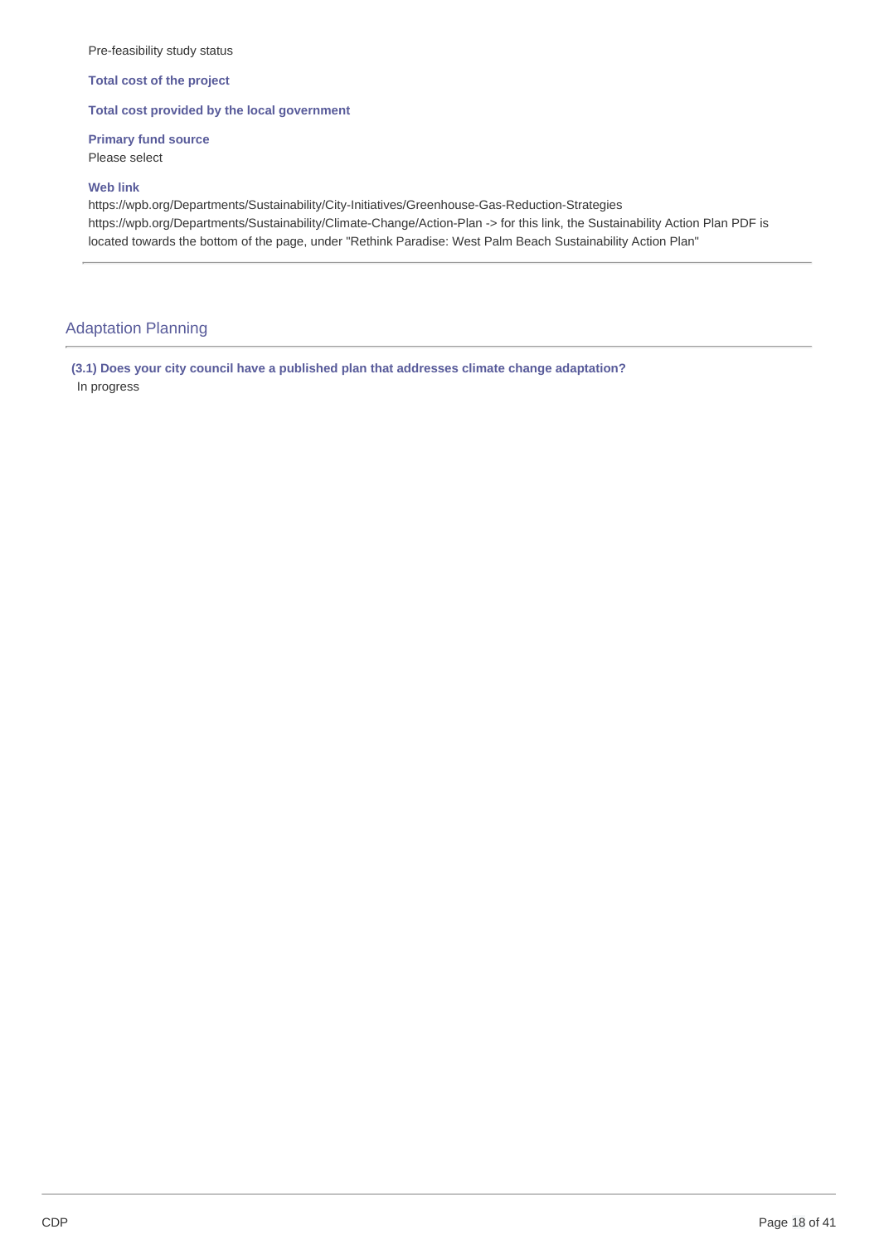### Pre-feasibility study status

**Total cost of the project**

### **Total cost provided by the local government**

**Primary fund source** Please select

**Web link**

https://wpb.org/Departments/Sustainability/City-Initiatives/Greenhouse-Gas-Reduction-Strategies https://wpb.org/Departments/Sustainability/Climate-Change/Action-Plan -> for this link, the Sustainability Action Plan PDF is located towards the bottom of the page, under "Rethink Paradise: West Palm Beach Sustainability Action Plan"

### Adaptation Planning

**(3.1) Does your city council have a published plan that addresses climate change adaptation?** In progress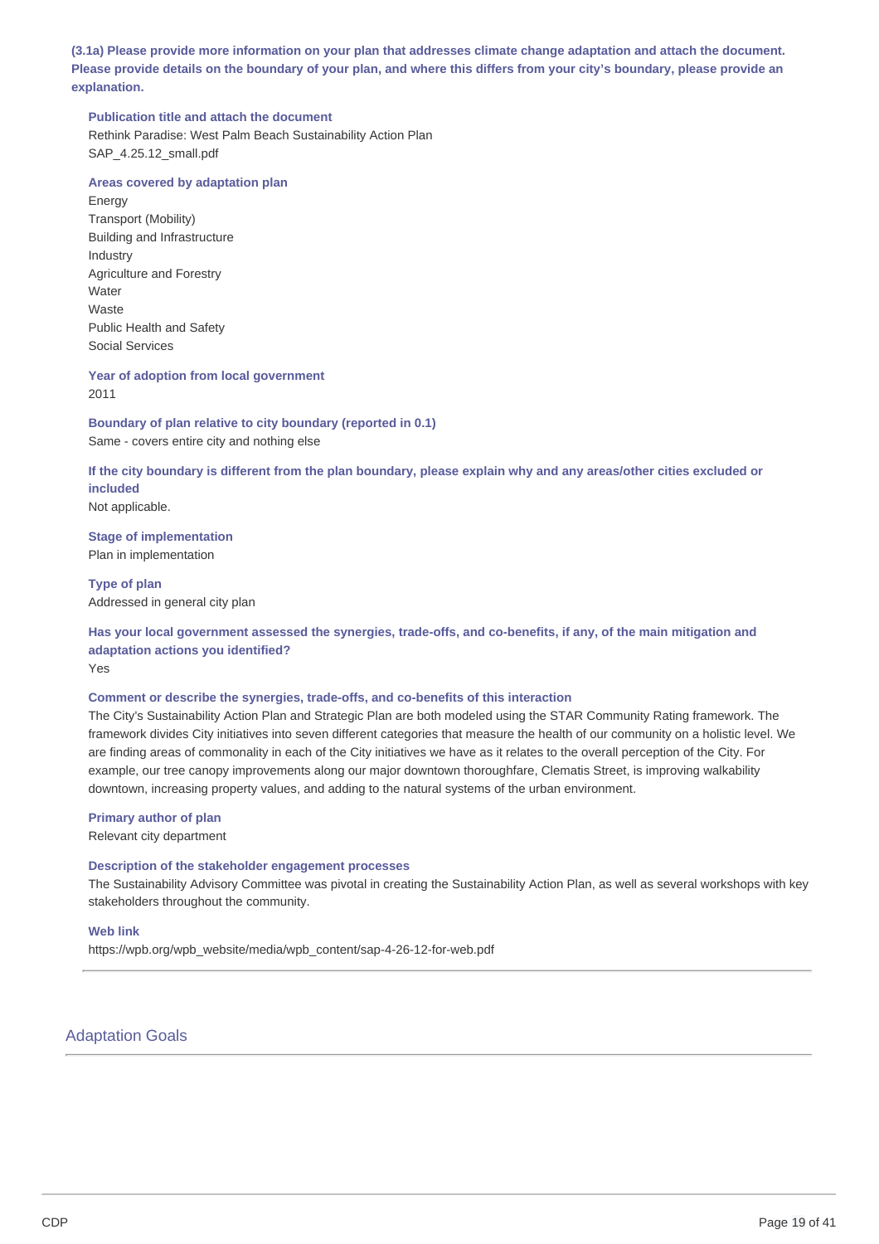(3.1a) Please provide more information on your plan that addresses climate change adaptation and attach the document. Please provide details on the boundary of your plan, and where this differs from your city's boundary, please provide an **explanation.**

### **Publication title and attach the document**

Rethink Paradise: West Palm Beach Sustainability Action Plan SAP 4.25.12 small.pdf

### **Areas covered by adaptation plan**

Energy Transport (Mobility) Building and Infrastructure Industry Agriculture and Forestry Water Waste Public Health and Safety Social Services

**Year of adoption from local government** 2011

**Boundary of plan relative to city boundary (reported in 0.1)** Same - covers entire city and nothing else

If the city boundary is different from the plan boundary, please explain why and any areas/other cities excluded or **included**

Not applicable.

**Stage of implementation** Plan in implementation

**Type of plan** Addressed in general city plan

Has your local government assessed the synergies, trade-offs, and co-benefits, if any, of the main mitigation and **adaptation actions you identified?** Yes

### **Comment or describe the synergies, trade-offs, and co-benefits of this interaction**

The City's Sustainability Action Plan and Strategic Plan are both modeled using the STAR Community Rating framework. The framework divides City initiatives into seven different categories that measure the health of our community on a holistic level. We are finding areas of commonality in each of the City initiatives we have as it relates to the overall perception of the City. For example, our tree canopy improvements along our major downtown thoroughfare, Clematis Street, is improving walkability downtown, increasing property values, and adding to the natural systems of the urban environment.

### **Primary author of plan**

Relevant city department

### **Description of the stakeholder engagement processes**

The Sustainability Advisory Committee was pivotal in creating the Sustainability Action Plan, as well as several workshops with key stakeholders throughout the community.

### **Web link**

https://wpb.org/wpb\_website/media/wpb\_content/sap-4-26-12-for-web.pdf

### Adaptation Goals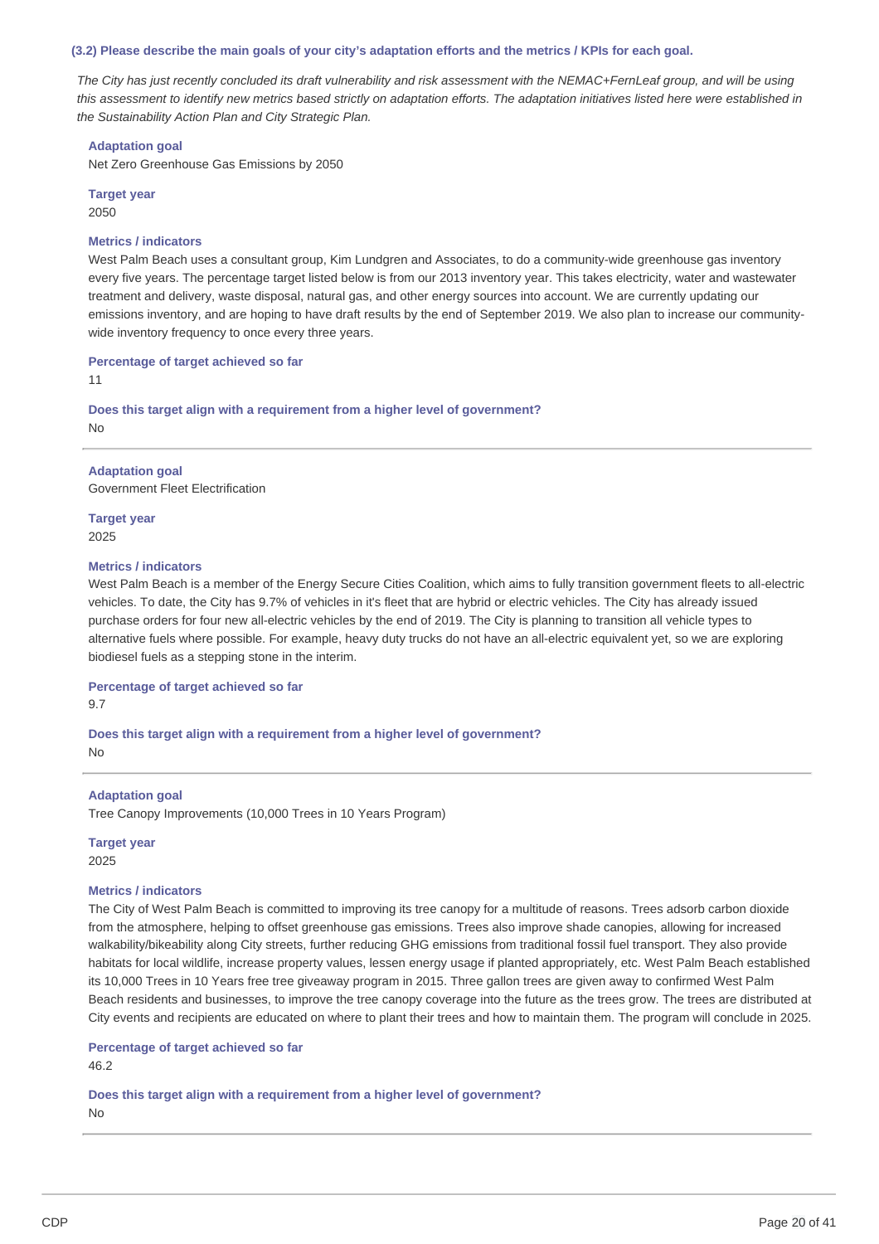(3.2) Please describe the main goals of your city's adaptation efforts and the metrics / KPIs for each goal.

The City has just recently concluded its draft vulnerability and risk assessment with the NEMAC+FernLeaf group, and will be using this assessment to identify new metrics based strictly on adaptation efforts. The adaptation initiatives listed here were established in *the Sustainability Action Plan and City Strategic Plan.*

#### **Adaptation goal**

Net Zero Greenhouse Gas Emissions by 2050

**Target year** 2050

#### **Metrics / indicators**

West Palm Beach uses a consultant group, Kim Lundgren and Associates, to do a community-wide greenhouse gas inventory every five years. The percentage target listed below is from our 2013 inventory year. This takes electricity, water and wastewater treatment and delivery, waste disposal, natural gas, and other energy sources into account. We are currently updating our emissions inventory, and are hoping to have draft results by the end of September 2019. We also plan to increase our communitywide inventory frequency to once every three years.

### **Percentage of target achieved so far**

11

**Does this target align with a requirement from a higher level of government?**

No

### **Adaptation goal**

Government Fleet Electrification

**Target year** 2025

#### **Metrics / indicators**

West Palm Beach is a member of the Energy Secure Cities Coalition, which aims to fully transition government fleets to all-electric vehicles. To date, the City has 9.7% of vehicles in it's fleet that are hybrid or electric vehicles. The City has already issued purchase orders for four new all-electric vehicles by the end of 2019. The City is planning to transition all vehicle types to alternative fuels where possible. For example, heavy duty trucks do not have an all-electric equivalent yet, so we are exploring biodiesel fuels as a stepping stone in the interim.

**Percentage of target achieved so far**

9.7

**Does this target align with a requirement from a higher level of government?** No

### **Adaptation goal**

Tree Canopy Improvements (10,000 Trees in 10 Years Program)

**Target year**

2025

#### **Metrics / indicators**

The City of West Palm Beach is committed to improving its tree canopy for a multitude of reasons. Trees adsorb carbon dioxide from the atmosphere, helping to offset greenhouse gas emissions. Trees also improve shade canopies, allowing for increased walkability/bikeability along City streets, further reducing GHG emissions from traditional fossil fuel transport. They also provide habitats for local wildlife, increase property values, lessen energy usage if planted appropriately, etc. West Palm Beach established its 10,000 Trees in 10 Years free tree giveaway program in 2015. Three gallon trees are given away to confirmed West Palm Beach residents and businesses, to improve the tree canopy coverage into the future as the trees grow. The trees are distributed at City events and recipients are educated on where to plant their trees and how to maintain them. The program will conclude in 2025.

#### **Percentage of target achieved so far**

46.2

**Does this target align with a requirement from a higher level of government?**  $N<sub>0</sub>$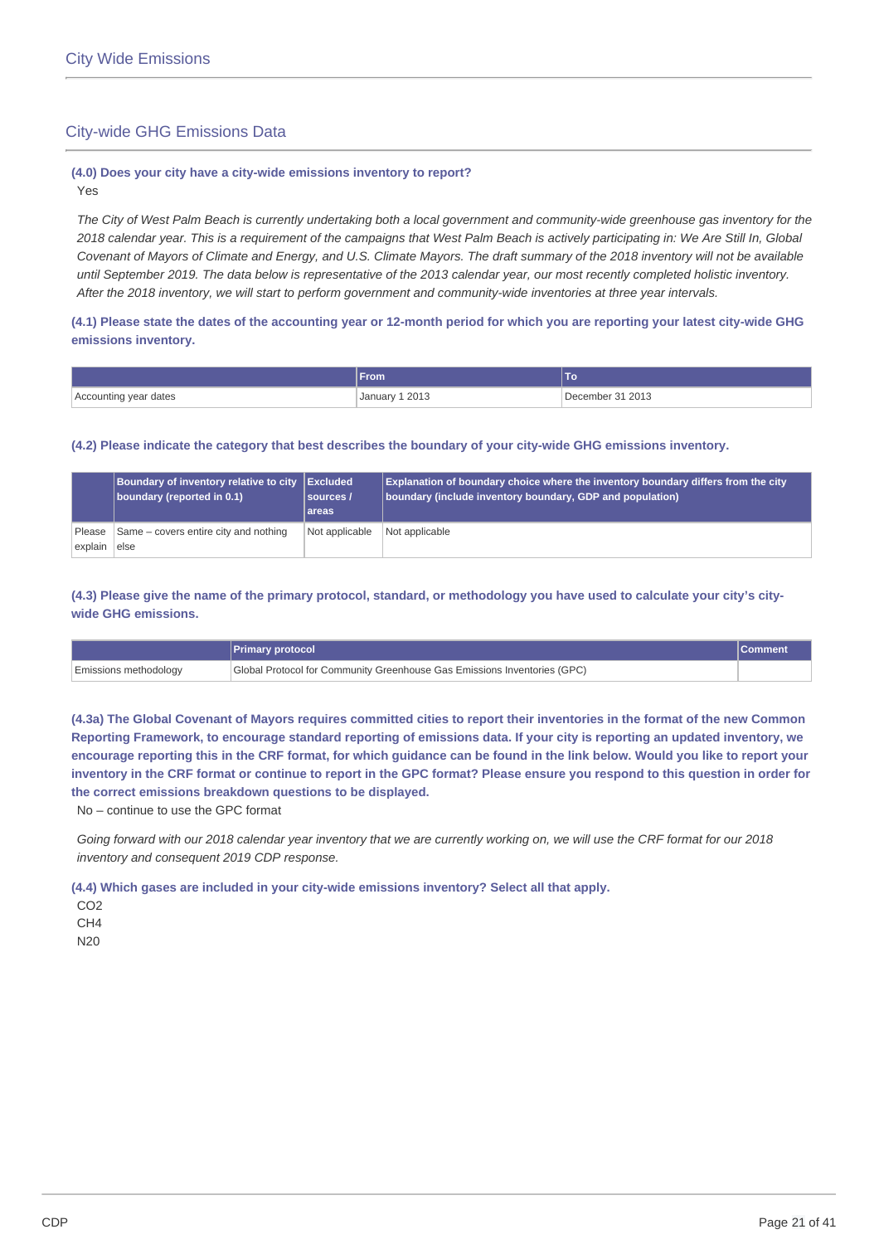### City-wide GHG Emissions Data

# **(4.0) Does your city have a city-wide emissions inventory to report?**

Yes

The City of West Palm Beach is currently undertaking both a local government and community-wide greenhouse gas inventory for the 2018 calendar year. This is a requirement of the campaigns that West Palm Beach is actively participating in: We Are Still In, Global Covenant of Mayors of Climate and Energy, and U.S. Climate Mayors. The draft summary of the 2018 inventory will not be available until September 2019. The data below is representative of the 2013 calendar year, our most recently completed holistic inventory. After the 2018 inventory, we will start to perform government and community-wide inventories at three year intervals.

### (4.1) Please state the dates of the accounting year or 12-month period for which you are reporting your latest city-wide GHG **emissions inventory.**

|                       | From                |                  |
|-----------------------|---------------------|------------------|
| Accounting year dates | 1 2013<br>, January | December 31 2013 |

### **(4.2) Please indicate the category that best describes the boundary of your city-wide GHG emissions inventory.**

|                   | Boundary of inventory relative to city Excluded | sources <i> </i> | <b>Explanation of boundary choice where the inventory boundary differs from the city</b> |
|-------------------|-------------------------------------------------|------------------|------------------------------------------------------------------------------------------|
|                   | boundary (reported in 0.1)                      | areas            | boundary (include inventory boundary, GDP and population)                                |
| Please<br>explain | Same – covers entire city and nothing<br>else   | Not applicable   | Not applicable                                                                           |

(4.3) Please give the name of the primary protocol, standard, or methodology you have used to calculate your city's city**wide GHG emissions.**

|                       | Primary protocol                                                         |  |
|-----------------------|--------------------------------------------------------------------------|--|
| Emissions methodology | Global Protocol for Community Greenhouse Gas Emissions Inventories (GPC) |  |

(4.3a) The Global Covenant of Mayors requires committed cities to report their inventories in the format of the new Common Reporting Framework, to encourage standard reporting of emissions data. If your city is reporting an updated inventory, we encourage reporting this in the CRF format, for which guidance can be found in the link below. Would you like to report your inventory in the CRF format or continue to report in the GPC format? Please ensure you respond to this question in order for **the correct emissions breakdown questions to be displayed.**

No – continue to use the GPC format

Going forward with our 2018 calendar year inventory that we are currently working on, we will use the CRF format for our 2018 *inventory and consequent 2019 CDP response.*

**(4.4) Which gases are included in your city-wide emissions inventory? Select all that apply.**

CO<sub>2</sub> CH4

N20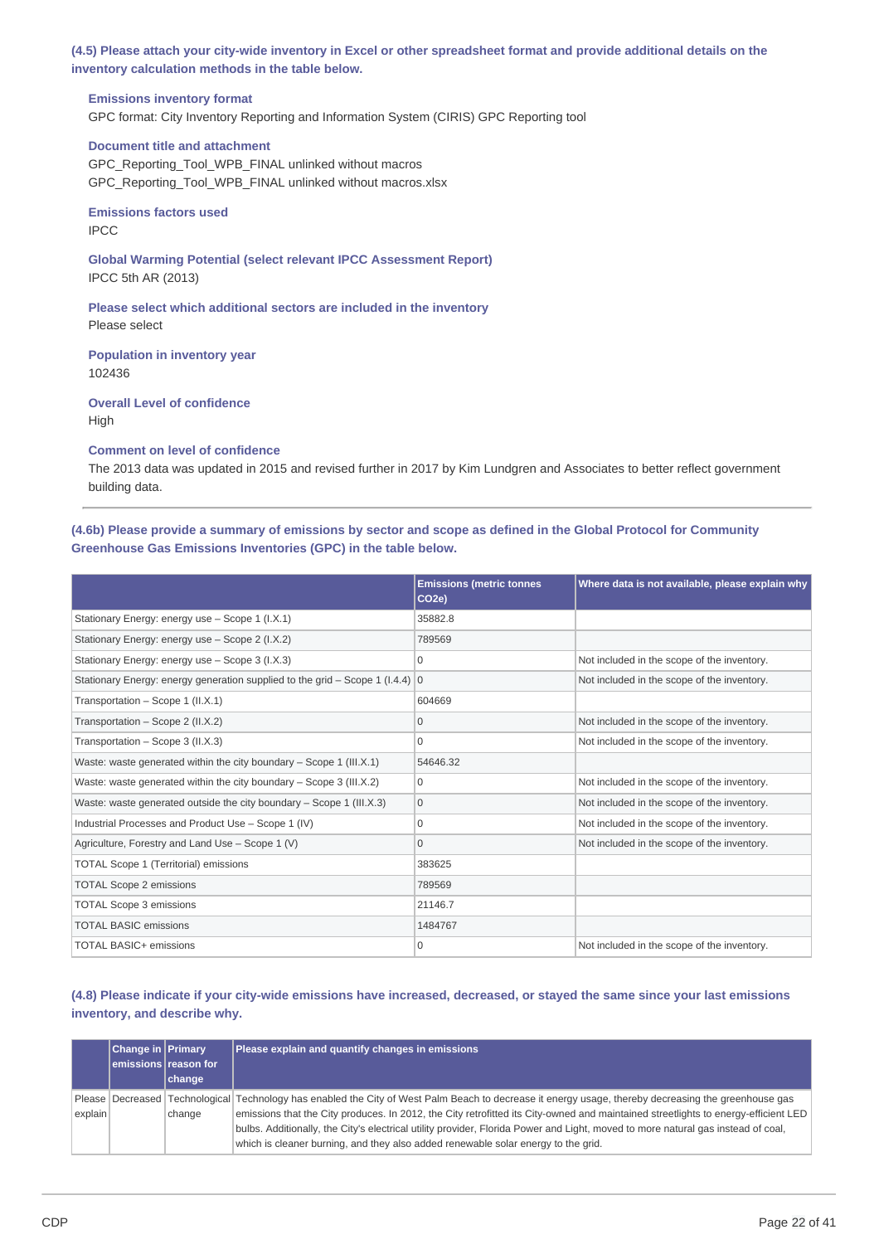(4.5) Please attach your city-wide inventory in Excel or other spreadsheet format and provide additional details on the **inventory calculation methods in the table below.**

### **Emissions inventory format**

GPC format: City Inventory Reporting and Information System (CIRIS) GPC Reporting tool

#### **Document title and attachment**

GPC\_Reporting\_Tool\_WPB\_FINAL unlinked without macros GPC\_Reporting\_Tool\_WPB\_FINAL unlinked without macros.xlsx

**Emissions factors used** IPCC

**Global Warming Potential (select relevant IPCC Assessment Report)** IPCC 5th AR (2013)

**Please select which additional sectors are included in the inventory** Please select

**Population in inventory year** 102436

**Overall Level of confidence** High

**Comment on level of confidence**

The 2013 data was updated in 2015 and revised further in 2017 by Kim Lundgren and Associates to better reflect government building data.

(4.6b) Please provide a summary of emissions by sector and scope as defined in the Global Protocol for Community **Greenhouse Gas Emissions Inventories (GPC) in the table below.**

|                                                                                         | <b>Emissions (metric tonnes</b><br>CO <sub>2e</sub> ) | Where data is not available, please explain why |
|-----------------------------------------------------------------------------------------|-------------------------------------------------------|-------------------------------------------------|
| Stationary Energy: energy use - Scope 1 (I.X.1)                                         | 35882.8                                               |                                                 |
| Stationary Energy: energy use - Scope 2 (I.X.2)                                         | 789569                                                |                                                 |
| Stationary Energy: energy use - Scope 3 (I.X.3)                                         | $\Omega$                                              | Not included in the scope of the inventory.     |
| Stationary Energy: energy generation supplied to the grid – Scope 1 (I.4.4) $ 0\rangle$ |                                                       | Not included in the scope of the inventory.     |
| Transportation - Scope 1 (II.X.1)                                                       | 604669                                                |                                                 |
| Transportation - Scope 2 (II.X.2)                                                       | $\Omega$                                              | Not included in the scope of the inventory.     |
| Transportation - Scope 3 (II.X.3)                                                       | $\Omega$                                              | Not included in the scope of the inventory.     |
| Waste: waste generated within the city boundary - Scope 1 (III.X.1)                     | 54646.32                                              |                                                 |
| Waste: waste generated within the city boundary - Scope 3 (III.X.2)                     | $\Omega$                                              | Not included in the scope of the inventory.     |
| Waste: waste generated outside the city boundary - Scope 1 (III.X.3)                    | $\mathbf{0}$                                          | Not included in the scope of the inventory.     |
| Industrial Processes and Product Use - Scope 1 (IV)                                     | $\Omega$                                              | Not included in the scope of the inventory.     |
| Agriculture, Forestry and Land Use - Scope $1 (V)$                                      | $\Omega$                                              | Not included in the scope of the inventory.     |
| TOTAL Scope 1 (Territorial) emissions                                                   | 383625                                                |                                                 |
| <b>TOTAL Scope 2 emissions</b>                                                          | 789569                                                |                                                 |
| <b>TOTAL Scope 3 emissions</b>                                                          | 21146.7                                               |                                                 |
| <b>TOTAL BASIC emissions</b>                                                            | 1484767                                               |                                                 |
| <b>TOTAL BASIC+ emissions</b>                                                           | $\Omega$                                              | Not included in the scope of the inventory.     |

(4.8) Please indicate if your city-wide emissions have increased, decreased, or stayed the same since your last emissions **inventory, and describe why.**

|         | <b>Change in Primary</b> | emissions reason for<br>change | Please explain and quantify changes in emissions                                                                                                                                                                                                                                                                                                                                                                                                                                                                    |
|---------|--------------------------|--------------------------------|---------------------------------------------------------------------------------------------------------------------------------------------------------------------------------------------------------------------------------------------------------------------------------------------------------------------------------------------------------------------------------------------------------------------------------------------------------------------------------------------------------------------|
| explain |                          | change                         | Please Decreased Technological Technology has enabled the City of West Palm Beach to decrease it energy usage, thereby decreasing the greenhouse gas<br>emissions that the City produces. In 2012, the City retrofitted its City-owned and maintained streetlights to energy-efficient LED<br>bulbs. Additionally, the City's electrical utility provider, Florida Power and Light, moved to more natural gas instead of coal,<br>which is cleaner burning, and they also added renewable solar energy to the grid. |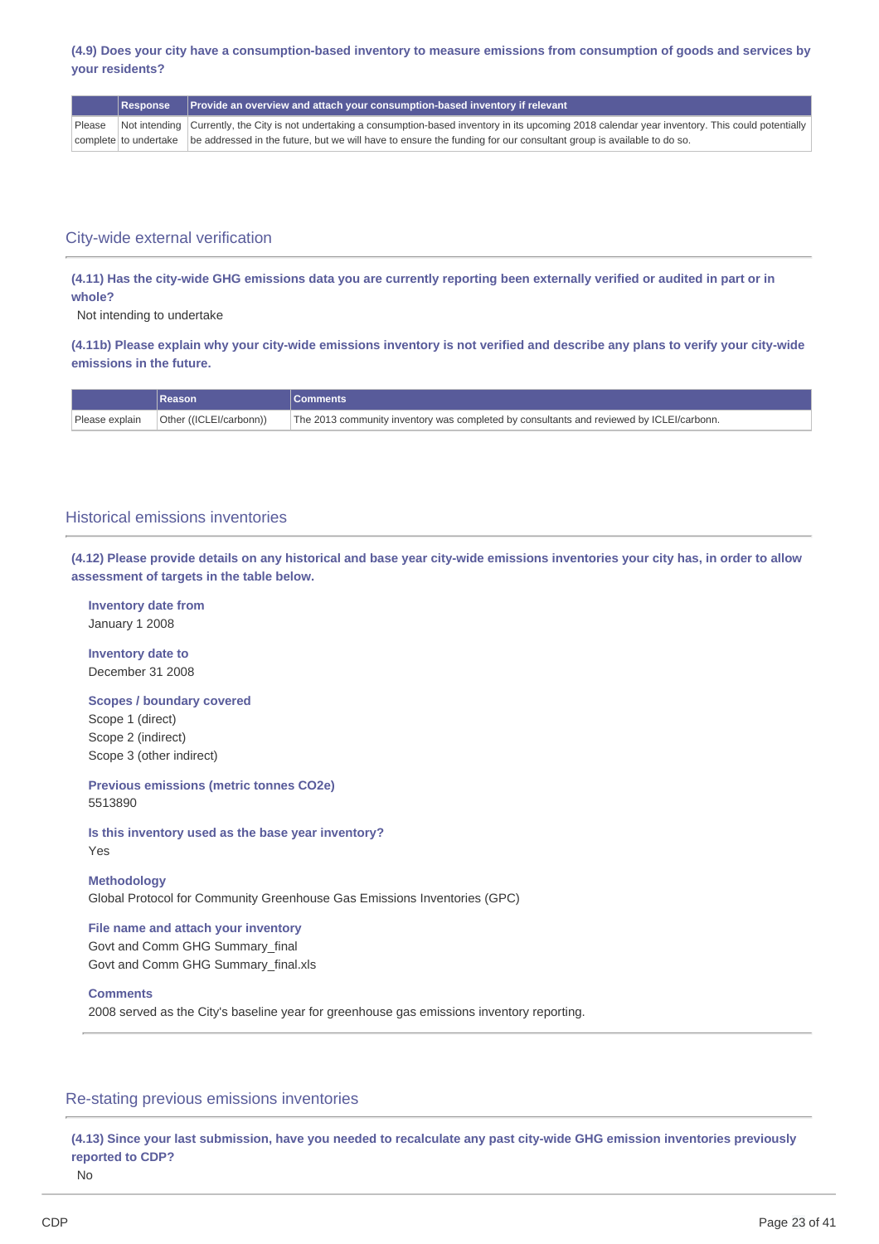### (4.9) Does your city have a consumption-based inventory to measure emissions from consumption of goods and services by **your residents?**

|  | Response Provide an overview and attach your consumption-based inventory if relevant                                                                           |
|--|----------------------------------------------------------------------------------------------------------------------------------------------------------------|
|  | Please Not intending Currently, the City is not undertaking a consumption-based inventory in its upcoming 2018 calendar year inventory. This could potentially |
|  | complete to undertake be addressed in the future, but we will have to ensure the funding for our consultant group is available to do so.                       |

### City-wide external verification

(4.11) Has the city-wide GHG emissions data you are currently reporting been externally verified or audited in part or in **whole?**

Not intending to undertake

(4.11b) Please explain why your city-wide emissions inventory is not verified and describe any plans to verify your city-wide **emissions in the future.**

|                | Reason                  | <b>NComments</b>                                                                         |
|----------------|-------------------------|------------------------------------------------------------------------------------------|
| Please explain | Other ((ICLEI/carbonn)) | The 2013 community inventory was completed by consultants and reviewed by ICLEI/carbonn. |

### Historical emissions inventories

(4.12) Please provide details on any historical and base year city-wide emissions inventories your city has, in order to allow **assessment of targets in the table below.**

**Inventory date from** January 1 2008

**Inventory date to** December 31 2008

**Scopes / boundary covered** Scope 1 (direct) Scope 2 (indirect)

Scope 3 (other indirect)

**Previous emissions (metric tonnes CO2e)** 5513890

**Is this inventory used as the base year inventory?** Yes

**Methodology**

Global Protocol for Community Greenhouse Gas Emissions Inventories (GPC)

**File name and attach your inventory** Govt and Comm GHG Summary\_final Govt and Comm GHG Summary\_final.xls

### **Comments**

2008 served as the City's baseline year for greenhouse gas emissions inventory reporting.

### Re-stating previous emissions inventories

(4.13) Since your last submission, have you needed to recalculate any past city-wide GHG emission inventories previously **reported to CDP?**

No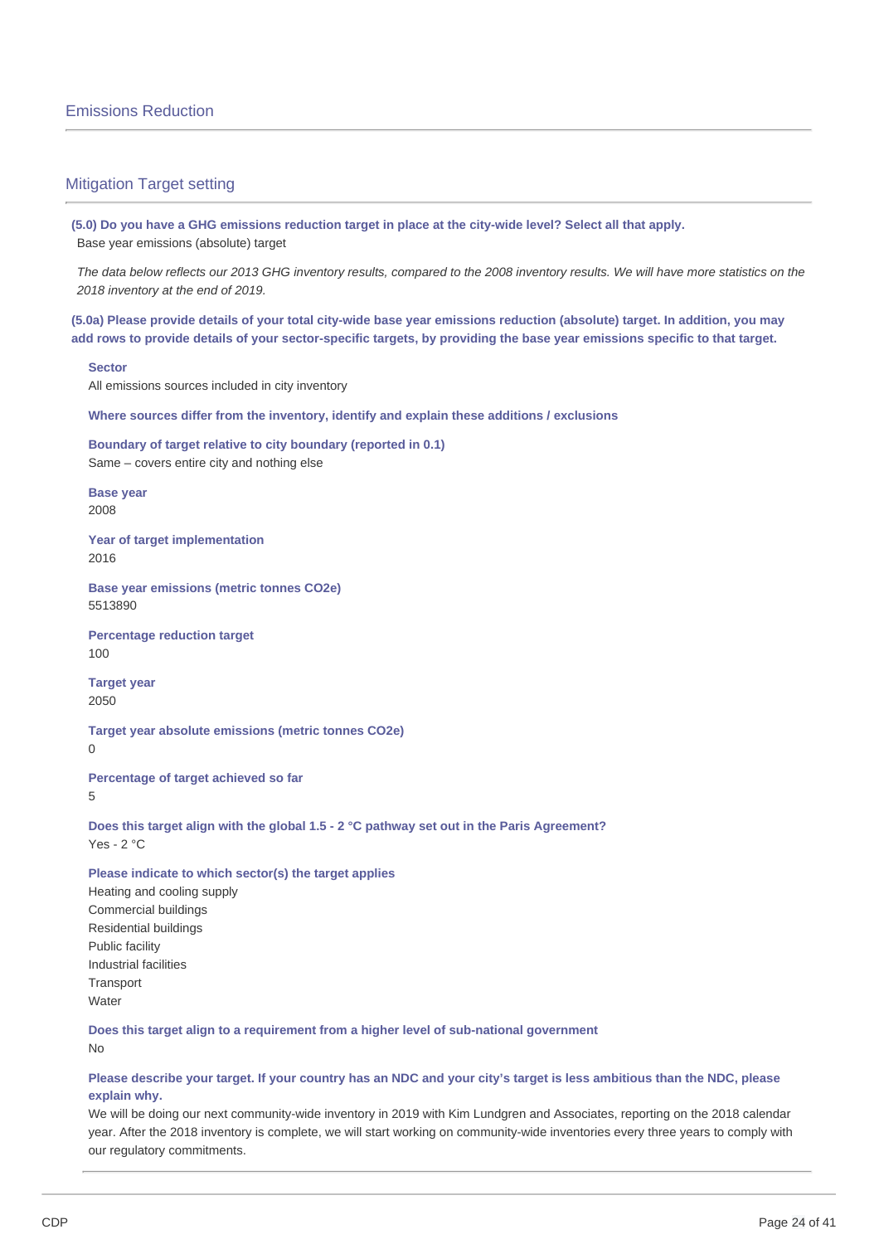### Mitigation Target setting

(5.0) Do you have a GHG emissions reduction target in place at the city-wide level? Select all that apply. Base year emissions (absolute) target

The data below reflects our 2013 GHG inventory results, compared to the 2008 inventory results. We will have more statistics on the *2018 inventory at the end of 2019.*

(5.0a) Please provide details of your total city-wide base year emissions reduction (absolute) target. In addition, you may add rows to provide details of your sector-specific targets, by providing the base year emissions specific to that target.

#### **Sector**

All emissions sources included in city inventory

**Where sources differ from the inventory, identify and explain these additions / exclusions**

**Boundary of target relative to city boundary (reported in 0.1)** Same – covers entire city and nothing else

**Base year** 2008

**Year of target implementation** 2016

**Base year emissions (metric tonnes CO2e)** 5513890

**Percentage reduction target** 100

**Target year** 2050

**Target year absolute emissions (metric tonnes CO2e)**  $\Omega$ 

**Percentage of target achieved so far**

5

**Does this target align with the global 1.5 - 2 °C pathway set out in the Paris Agreement?** Yes - 2 °C

**Please indicate to which sector(s) the target applies**

Heating and cooling supply Commercial buildings Residential buildings Public facility Industrial facilities **Transport Water** 

**Does this target align to a requirement from a higher level of sub-national government** No

### Please describe your target. If your country has an NDC and your city's target is less ambitious than the NDC, please **explain why.**

We will be doing our next community-wide inventory in 2019 with Kim Lundgren and Associates, reporting on the 2018 calendar year. After the 2018 inventory is complete, we will start working on community-wide inventories every three years to comply with our regulatory commitments.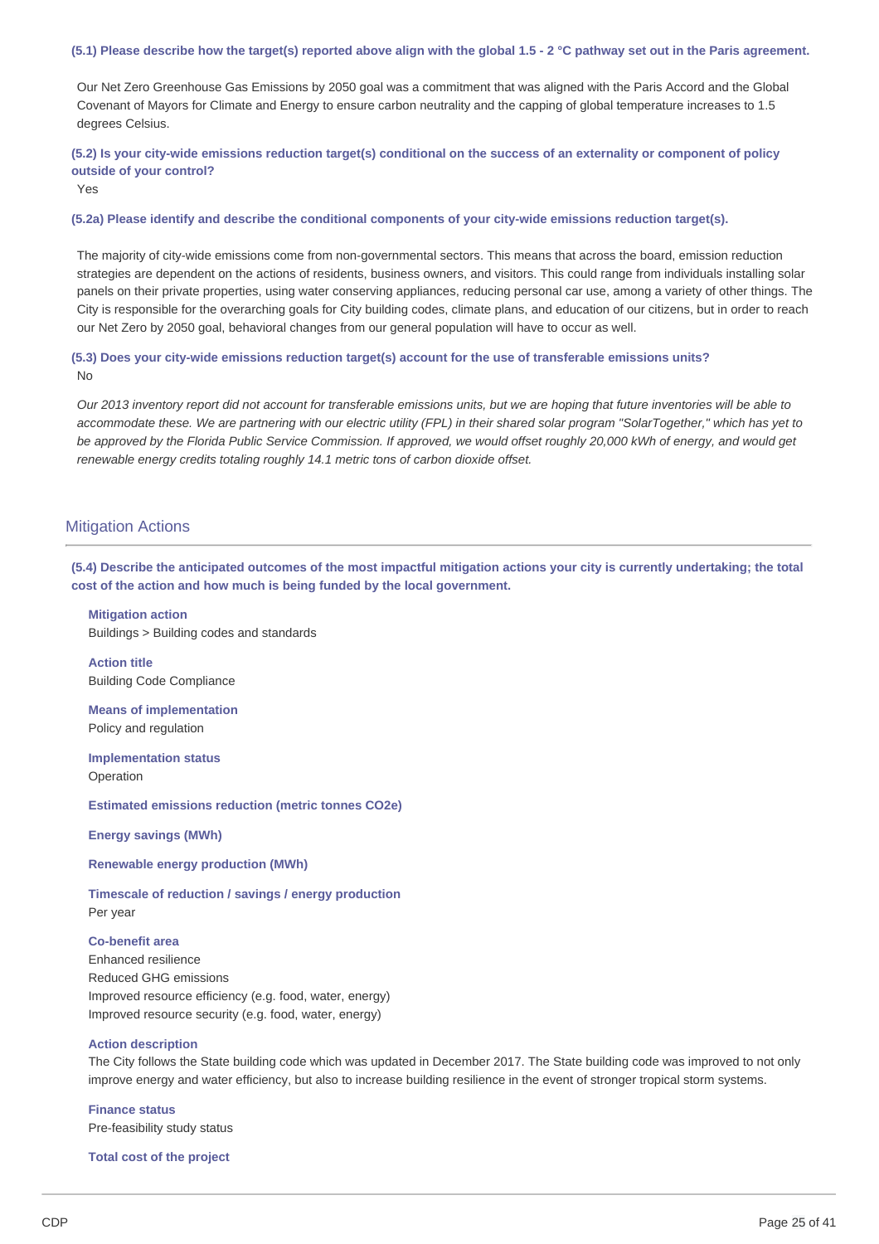### (5.1) Please describe how the target(s) reported above align with the global 1.5 - 2 °C pathway set out in the Paris agreement.

Our Net Zero Greenhouse Gas Emissions by 2050 goal was a commitment that was aligned with the Paris Accord and the Global Covenant of Mayors for Climate and Energy to ensure carbon neutrality and the capping of global temperature increases to 1.5 degrees Celsius.

(5.2) Is your city-wide emissions reduction target(s) conditional on the success of an externality or component of policy **outside of your control?**

Yes

#### **(5.2a) Please identify and describe the conditional components of your city-wide emissions reduction target(s).**

The majority of city-wide emissions come from non-governmental sectors. This means that across the board, emission reduction strategies are dependent on the actions of residents, business owners, and visitors. This could range from individuals installing solar panels on their private properties, using water conserving appliances, reducing personal car use, among a variety of other things. The City is responsible for the overarching goals for City building codes, climate plans, and education of our citizens, but in order to reach our Net Zero by 2050 goal, behavioral changes from our general population will have to occur as well.

### **(5.3) Does your city-wide emissions reduction target(s) account for the use of transferable emissions units?** No

Our 2013 inventory report did not account for transferable emissions units, but we are hoping that future inventories will be able to accommodate these. We are partnering with our electric utility (FPL) in their shared solar program "SolarTogether," which has yet to be approved by the Florida Public Service Commission. If approved, we would offset roughly 20,000 kWh of energy, and would get *renewable energy credits totaling roughly 14.1 metric tons of carbon dioxide offset.*

### **Mitigation Actions**

(5.4) Describe the anticipated outcomes of the most impactful mitigation actions your city is currently undertaking; the total **cost of the action and how much is being funded by the local government.**

### **Mitigation action** Buildings > Building codes and standards

**Action title** Building Code Compliance

**Means of implementation** Policy and regulation

**Implementation status** Operation

**Estimated emissions reduction (metric tonnes CO2e)**

**Energy savings (MWh)**

**Renewable energy production (MWh)**

**Timescale of reduction / savings / energy production** Per year

### **Co-benefit area**

Enhanced resilience Reduced GHG emissions Improved resource efficiency (e.g. food, water, energy) Improved resource security (e.g. food, water, energy)

#### **Action description**

The City follows the State building code which was updated in December 2017. The State building code was improved to not only improve energy and water efficiency, but also to increase building resilience in the event of stronger tropical storm systems.

**Finance status** Pre-feasibility study status

**Total cost of the project**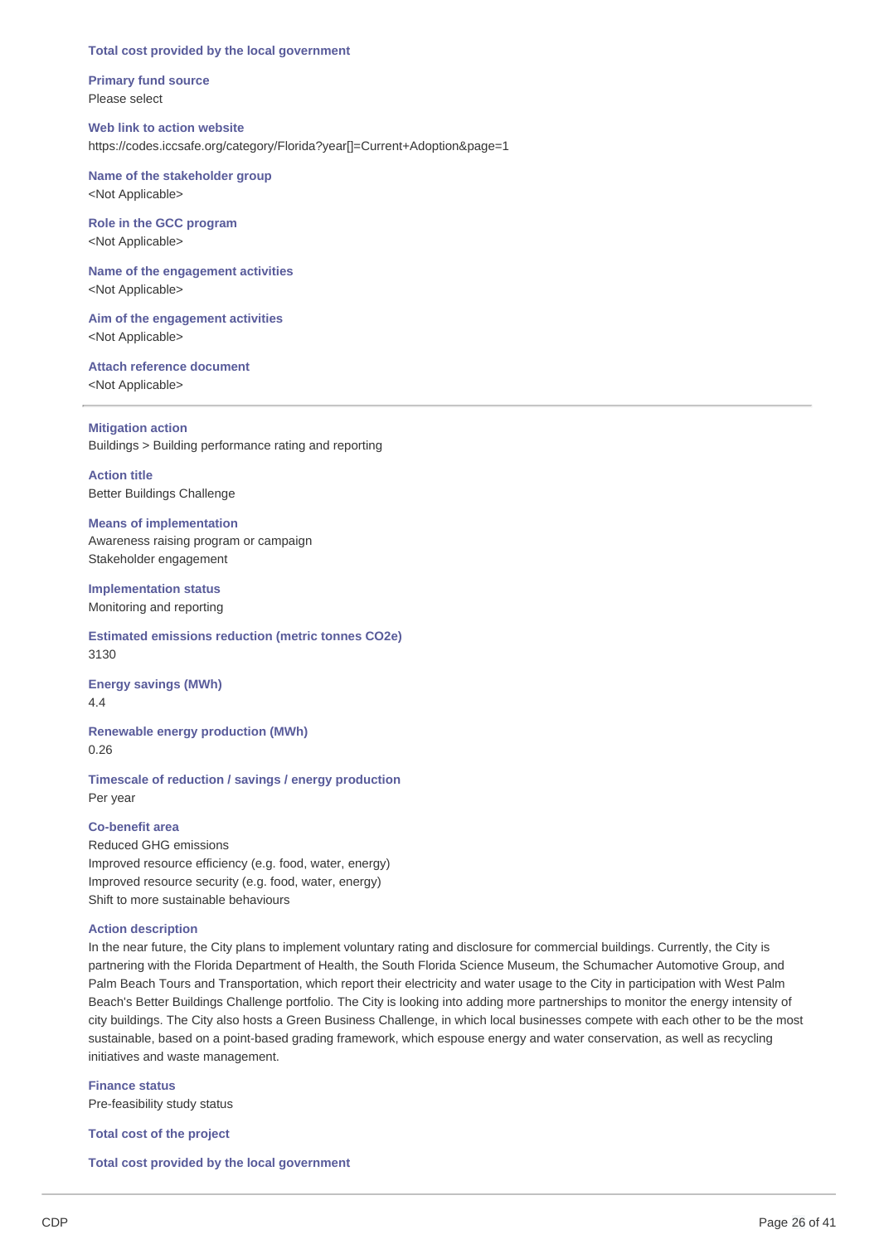#### **Total cost provided by the local government**

**Primary fund source** Please select

### **Web link to action website** https://codes.iccsafe.org/category/Florida?year[]=Current+Adoption&page=1

### **Name of the stakeholder group** <Not Applicable>

### **Role in the GCC program** <Not Applicable>

### **Name of the engagement activities** <Not Applicable>

**Aim of the engagement activities** <Not Applicable>

**Attach reference document** <Not Applicable>

**Mitigation action** Buildings > Building performance rating and reporting

**Action title** Better Buildings Challenge

### **Means of implementation** Awareness raising program or campaign Stakeholder engagement

**Implementation status** Monitoring and reporting

**Estimated emissions reduction (metric tonnes CO2e)** 3130

**Energy savings (MWh)** 4.4

**Renewable energy production (MWh)** 0.26

**Timescale of reduction / savings / energy production** Per year

### **Co-benefit area**

Reduced GHG emissions Improved resource efficiency (e.g. food, water, energy) Improved resource security (e.g. food, water, energy) Shift to more sustainable behaviours

### **Action description**

In the near future, the City plans to implement voluntary rating and disclosure for commercial buildings. Currently, the City is partnering with the Florida Department of Health, the South Florida Science Museum, the Schumacher Automotive Group, and Palm Beach Tours and Transportation, which report their electricity and water usage to the City in participation with West Palm Beach's Better Buildings Challenge portfolio. The City is looking into adding more partnerships to monitor the energy intensity of city buildings. The City also hosts a Green Business Challenge, in which local businesses compete with each other to be the most sustainable, based on a point-based grading framework, which espouse energy and water conservation, as well as recycling initiatives and waste management.

**Finance status** Pre-feasibility study status

**Total cost of the project**

**Total cost provided by the local government**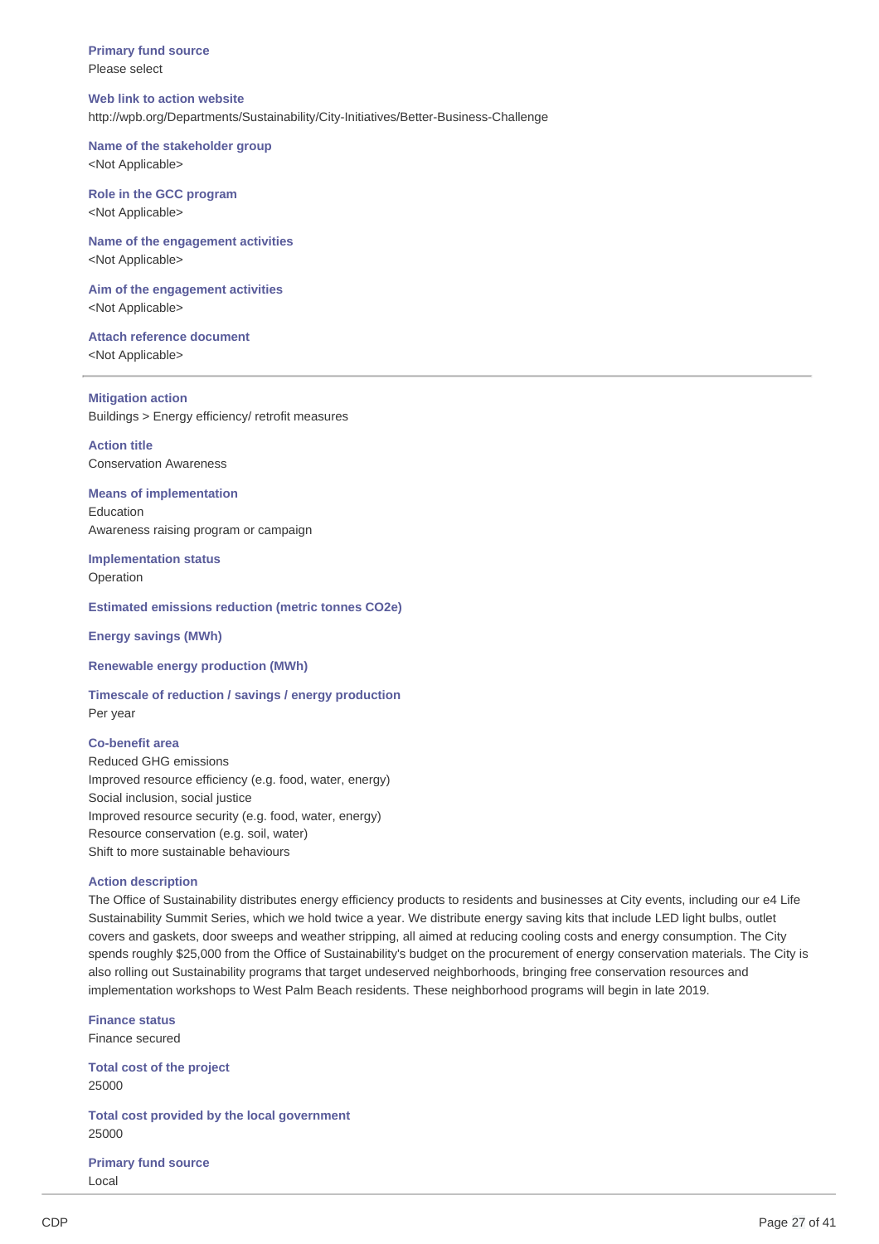**Primary fund source** Please select

#### **Web link to action website**

http://wpb.org/Departments/Sustainability/City-Initiatives/Better-Business-Challenge

#### **Name of the stakeholder group**

<Not Applicable>

### **Role in the GCC program**

<Not Applicable>

### **Name of the engagement activities** <Not Applicable>

**Aim of the engagement activities** <Not Applicable>

### **Attach reference document** <Not Applicable>

**Mitigation action** Buildings > Energy efficiency/ retrofit measures

**Action title** Conservation Awareness

#### **Means of implementation** Education

Awareness raising program or campaign

**Implementation status** Operation

#### **Estimated emissions reduction (metric tonnes CO2e)**

**Energy savings (MWh)**

#### **Renewable energy production (MWh)**

**Timescale of reduction / savings / energy production** Per year

#### **Co-benefit area**

Reduced GHG emissions Improved resource efficiency (e.g. food, water, energy) Social inclusion, social justice Improved resource security (e.g. food, water, energy) Resource conservation (e.g. soil, water) Shift to more sustainable behaviours

#### **Action description**

The Office of Sustainability distributes energy efficiency products to residents and businesses at City events, including our e4 Life Sustainability Summit Series, which we hold twice a year. We distribute energy saving kits that include LED light bulbs, outlet covers and gaskets, door sweeps and weather stripping, all aimed at reducing cooling costs and energy consumption. The City spends roughly \$25,000 from the Office of Sustainability's budget on the procurement of energy conservation materials. The City is also rolling out Sustainability programs that target undeserved neighborhoods, bringing free conservation resources and implementation workshops to West Palm Beach residents. These neighborhood programs will begin in late 2019.

**Finance status** Finance secured

**Total cost of the project** 25000

**Total cost provided by the local government** 25000

**Primary fund source** Local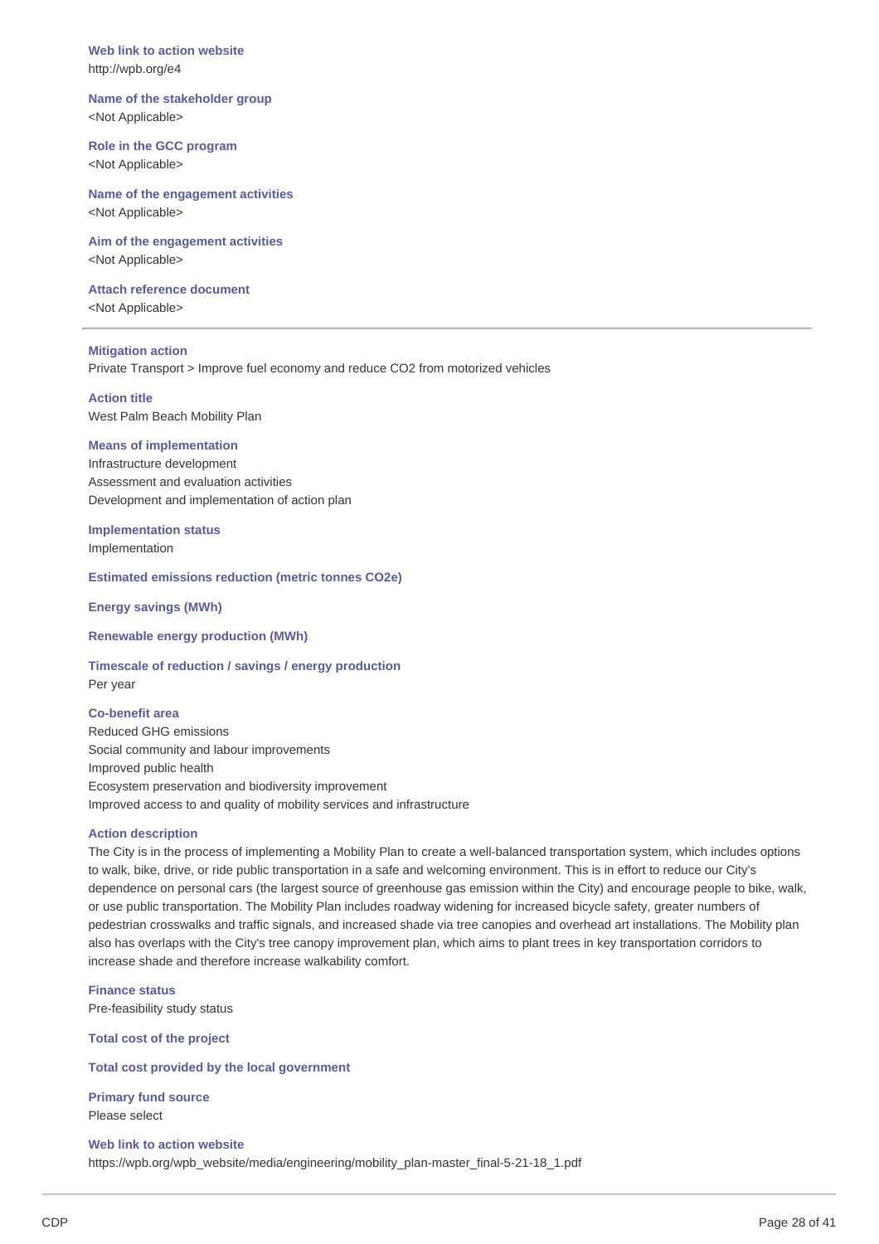**Web link to action website** http://wpb.org/e4

**Name of the stakeholder group** <Not Applicable>

**Role in the GCC program** <Not Applicable>

**Name of the engagement activities** <Not Applicable>

**Aim of the engagement activities** <Not Applicable>

**Attach reference document** <Not Applicable>

**Mitigation action** Private Transport > Improve fuel economy and reduce CO2 from motorized vehicles

**Action title** West Palm Beach Mobility Plan

#### **Means of implementation**

Infrastructure development Assessment and evaluation activities Development and implementation of action plan

**Implementation status** Implementation

**Estimated emissions reduction (metric tonnes CO2e)**

**Energy savings (MWh)**

**Renewable energy production (MWh)**

**Timescale of reduction / savings / energy production** Per year

#### **Co-benefit area**

Reduced GHG emissions Social community and labour improvements Improved public health Ecosystem preservation and biodiversity improvement Improved access to and quality of mobility services and infrastructure

### **Action description**

The City is in the process of implementing a Mobility Plan to create a well-balanced transportation system, which includes options to walk, bike, drive, or ride public transportation in a safe and welcoming environment. This is in effort to reduce our City's dependence on personal cars (the largest source of greenhouse gas emission within the City) and encourage people to bike, walk, or use public transportation. The Mobility Plan includes roadway widening for increased bicycle safety, greater numbers of pedestrian crosswalks and traffic signals, and increased shade via tree canopies and overhead art installations. The Mobility plan also has overlaps with the City's tree canopy improvement plan, which aims to plant trees in key transportation corridors to increase shade and therefore increase walkability comfort.

**Finance status** Pre-feasibility study status

**Total cost of the project**

**Total cost provided by the local government**

**Primary fund source** Please select

**Web link to action website** https://wpb.org/wpb\_website/media/engineering/mobility\_plan-master\_final-5-21-18\_1.pdf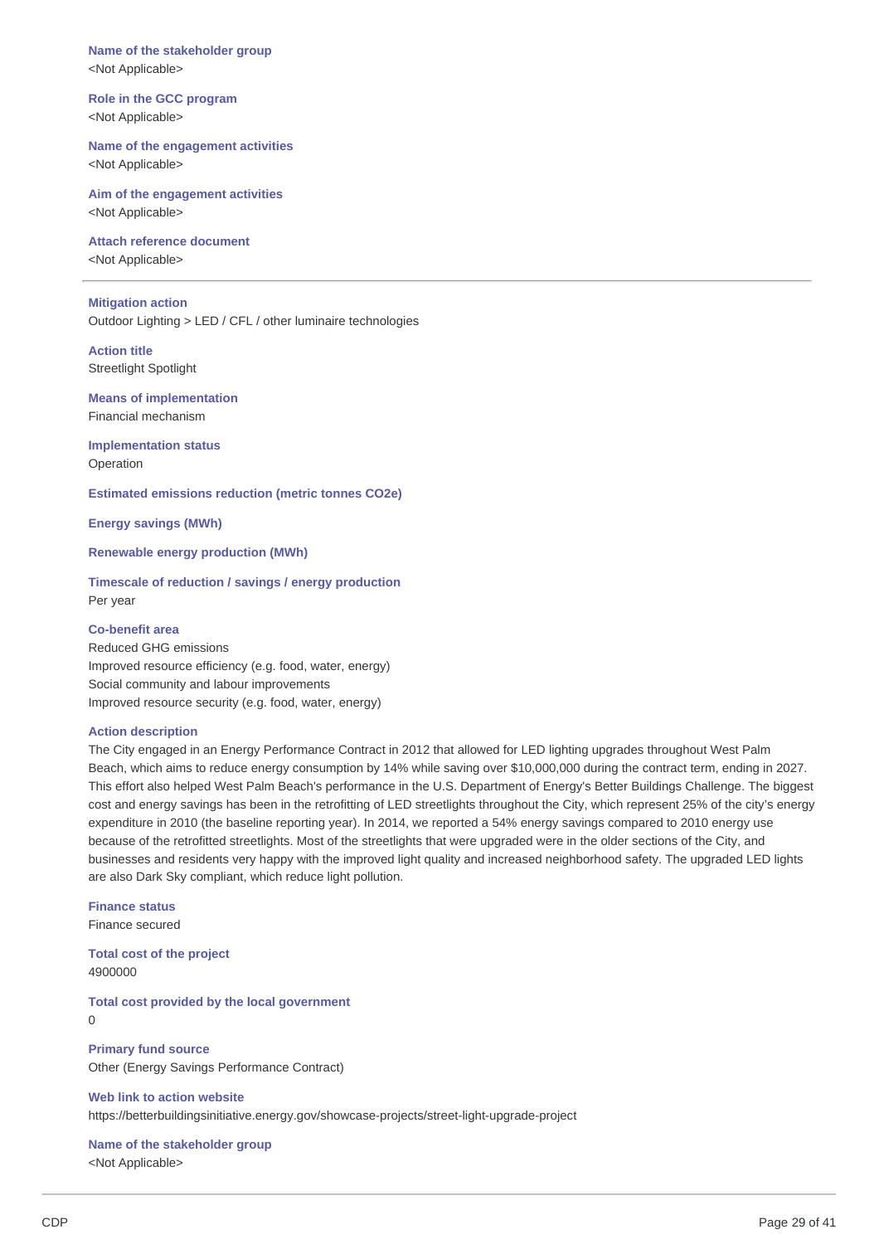**Name of the stakeholder group** <Not Applicable>

**Role in the GCC program** <Not Applicable>

**Name of the engagement activities** <Not Applicable>

**Aim of the engagement activities** <Not Applicable>

**Attach reference document** <Not Applicable>

#### **Mitigation action**

Outdoor Lighting > LED / CFL / other luminaire technologies

**Action title** Streetlight Spotlight

**Means of implementation** Financial mechanism

**Implementation status** Operation

**Estimated emissions reduction (metric tonnes CO2e)**

**Energy savings (MWh)**

**Renewable energy production (MWh)**

**Timescale of reduction / savings / energy production** Per year

#### **Co-benefit area**

Reduced GHG emissions Improved resource efficiency (e.g. food, water, energy) Social community and labour improvements Improved resource security (e.g. food, water, energy)

#### **Action description**

The City engaged in an Energy Performance Contract in 2012 that allowed for LED lighting upgrades throughout West Palm Beach, which aims to reduce energy consumption by 14% while saving over \$10,000,000 during the contract term, ending in 2027. This effort also helped West Palm Beach's performance in the U.S. Department of Energy's Better Buildings Challenge. The biggest cost and energy savings has been in the retrofitting of LED streetlights throughout the City, which represent 25% of the city's energy expenditure in 2010 (the baseline reporting year). In 2014, we reported a 54% energy savings compared to 2010 energy use because of the retrofitted streetlights. Most of the streetlights that were upgraded were in the older sections of the City, and businesses and residents very happy with the improved light quality and increased neighborhood safety. The upgraded LED lights are also Dark Sky compliant, which reduce light pollution.

**Finance status** Finance secured

**Total cost of the project** 4900000

**Total cost provided by the local government**  $\Omega$ 

**Primary fund source** Other (Energy Savings Performance Contract)

**Web link to action website** https://betterbuildingsinitiative.energy.gov/showcase-projects/street-light-upgrade-project

**Name of the stakeholder group** <Not Applicable>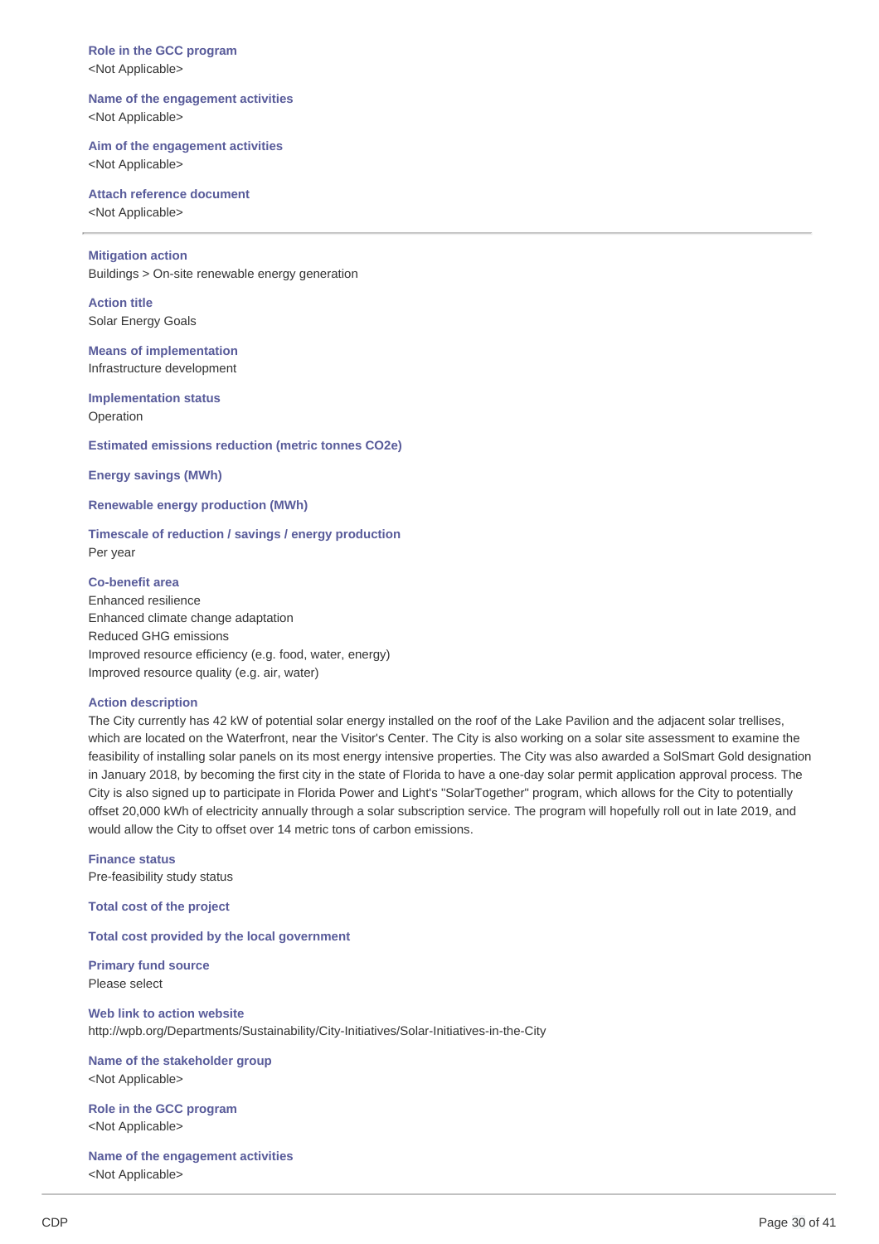**Role in the GCC program** <Not Applicable>

### **Name of the engagement activities** <Not Applicable>

### **Aim of the engagement activities**

<Not Applicable>

### **Attach reference document**

<Not Applicable>

### **Mitigation action**

Buildings > On-site renewable energy generation

# **Action title**

Solar Energy Goals

# **Means of implementation**

Infrastructure development

### **Implementation status**

Operation

#### **Estimated emissions reduction (metric tonnes CO2e)**

**Energy savings (MWh)**

#### **Renewable energy production (MWh)**

### **Timescale of reduction / savings / energy production** Per year

### **Co-benefit area**

Enhanced resilience Enhanced climate change adaptation Reduced GHG emissions Improved resource efficiency (e.g. food, water, energy) Improved resource quality (e.g. air, water)

#### **Action description**

The City currently has 42 kW of potential solar energy installed on the roof of the Lake Pavilion and the adjacent solar trellises, which are located on the Waterfront, near the Visitor's Center. The City is also working on a solar site assessment to examine the feasibility of installing solar panels on its most energy intensive properties. The City was also awarded a SolSmart Gold designation in January 2018, by becoming the first city in the state of Florida to have a one-day solar permit application approval process. The City is also signed up to participate in Florida Power and Light's "SolarTogether" program, which allows for the City to potentially offset 20,000 kWh of electricity annually through a solar subscription service. The program will hopefully roll out in late 2019, and would allow the City to offset over 14 metric tons of carbon emissions.

### **Finance status** Pre-feasibility study status

**Total cost of the project**

### **Total cost provided by the local government**

**Primary fund source** Please select

**Web link to action website** http://wpb.org/Departments/Sustainability/City-Initiatives/Solar-Initiatives-in-the-City

### **Name of the stakeholder group** <Not Applicable>

**Role in the GCC program** <Not Applicable>

**Name of the engagement activities** <Not Applicable>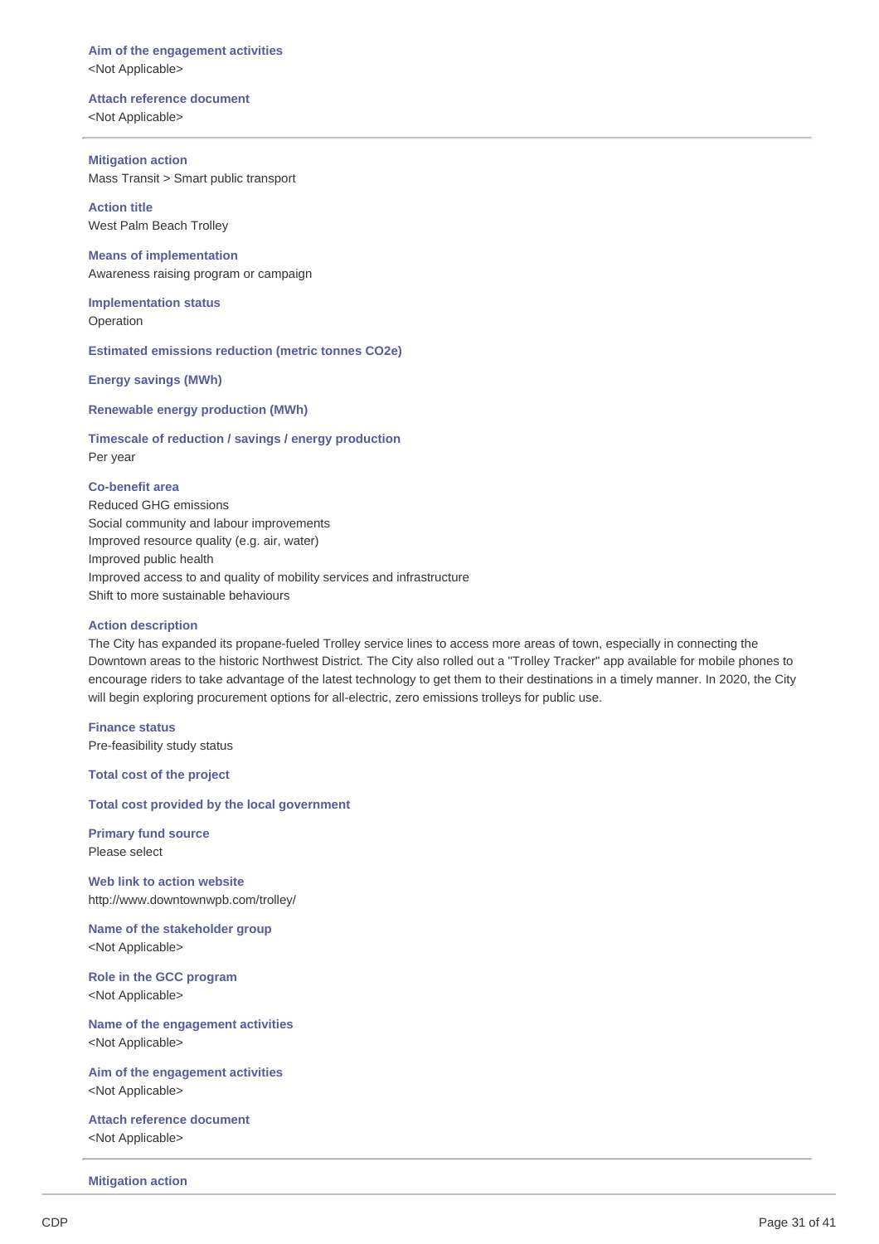### **Aim of the engagement activities** <Not Applicable>

#### **Attach reference document**

<Not Applicable>

### **Mitigation action**

Mass Transit > Smart public transport

**Action title** West Palm Beach Trolley

**Means of implementation** Awareness raising program or campaign

**Implementation status** Operation

**Estimated emissions reduction (metric tonnes CO2e)**

**Energy savings (MWh)**

**Renewable energy production (MWh)**

**Timescale of reduction / savings / energy production** Per year

### **Co-benefit area**

Reduced GHG emissions Social community and labour improvements Improved resource quality (e.g. air, water) Improved public health Improved access to and quality of mobility services and infrastructure Shift to more sustainable behaviours

### **Action description**

The City has expanded its propane-fueled Trolley service lines to access more areas of town, especially in connecting the Downtown areas to the historic Northwest District. The City also rolled out a "Trolley Tracker" app available for mobile phones to encourage riders to take advantage of the latest technology to get them to their destinations in a timely manner. In 2020, the City will begin exploring procurement options for all-electric, zero emissions trolleys for public use.

**Finance status** Pre-feasibility study status

**Total cost of the project**

**Total cost provided by the local government**

**Primary fund source** Please select

**Web link to action website** http://www.downtownwpb.com/trolley/

**Name of the stakeholder group** <Not Applicable>

**Role in the GCC program** <Not Applicable>

**Name of the engagement activities** <Not Applicable>

**Aim of the engagement activities** <Not Applicable>

**Attach reference document** <Not Applicable>

**Mitigation action**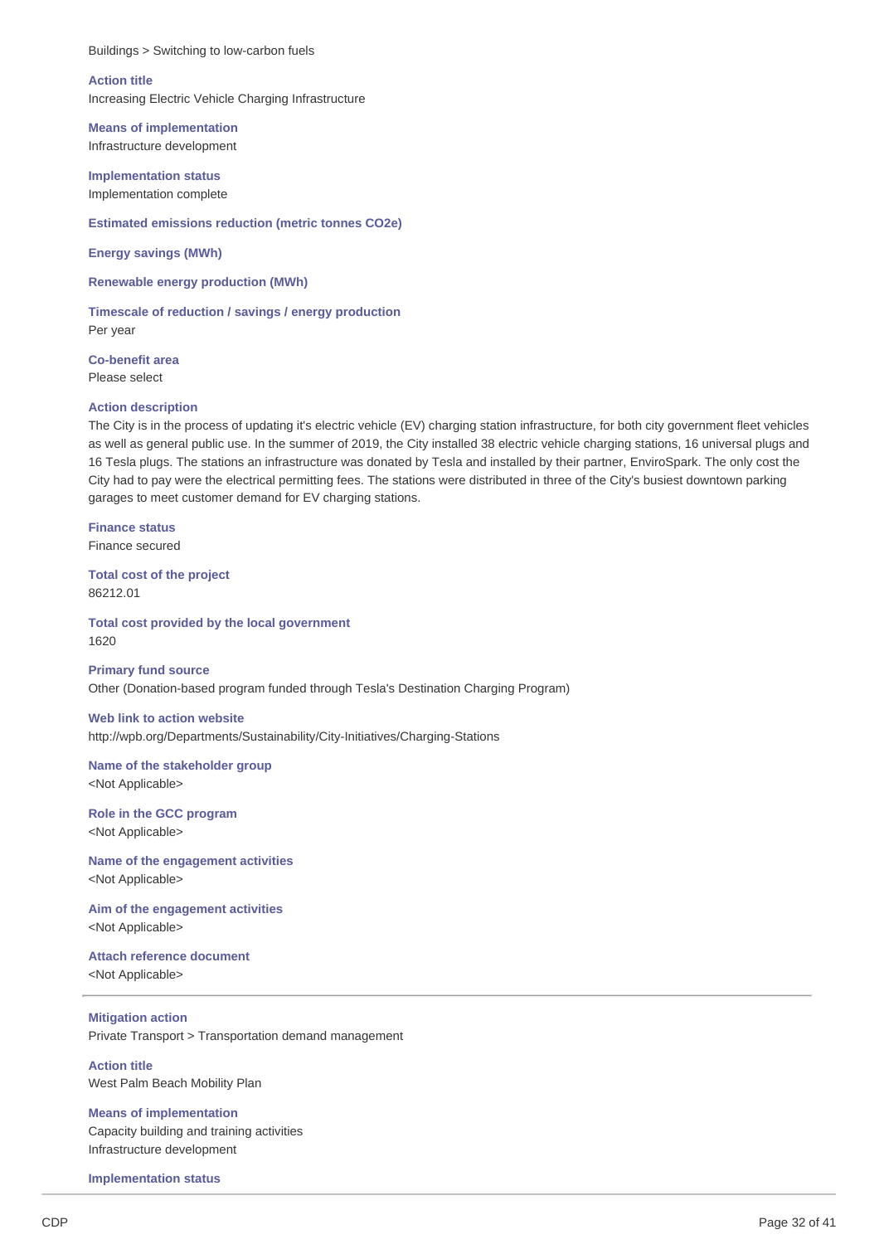### **Action title**

Increasing Electric Vehicle Charging Infrastructure

**Means of implementation** Infrastructure development

**Implementation status** Implementation complete

**Estimated emissions reduction (metric tonnes CO2e)**

**Energy savings (MWh)**

**Renewable energy production (MWh)**

**Timescale of reduction / savings / energy production** Per year

**Co-benefit area** Please select

#### **Action description**

The City is in the process of updating it's electric vehicle (EV) charging station infrastructure, for both city government fleet vehicles as well as general public use. In the summer of 2019, the City installed 38 electric vehicle charging stations, 16 universal plugs and 16 Tesla plugs. The stations an infrastructure was donated by Tesla and installed by their partner, EnviroSpark. The only cost the City had to pay were the electrical permitting fees. The stations were distributed in three of the City's busiest downtown parking garages to meet customer demand for EV charging stations.

**Finance status** Finance secured

**Total cost of the project** 86212.01

**Total cost provided by the local government** 1620

**Primary fund source** Other (Donation-based program funded through Tesla's Destination Charging Program)

#### **Web link to action website**

http://wpb.org/Departments/Sustainability/City-Initiatives/Charging-Stations

## **Name of the stakeholder group**

<Not Applicable>

**Role in the GCC program** <Not Applicable>

**Name of the engagement activities** <Not Applicable>

**Aim of the engagement activities** <Not Applicable>

### **Attach reference document**

<Not Applicable>

#### **Mitigation action**

Private Transport > Transportation demand management

**Action title** West Palm Beach Mobility Plan

**Means of implementation** Capacity building and training activities Infrastructure development

**Implementation status**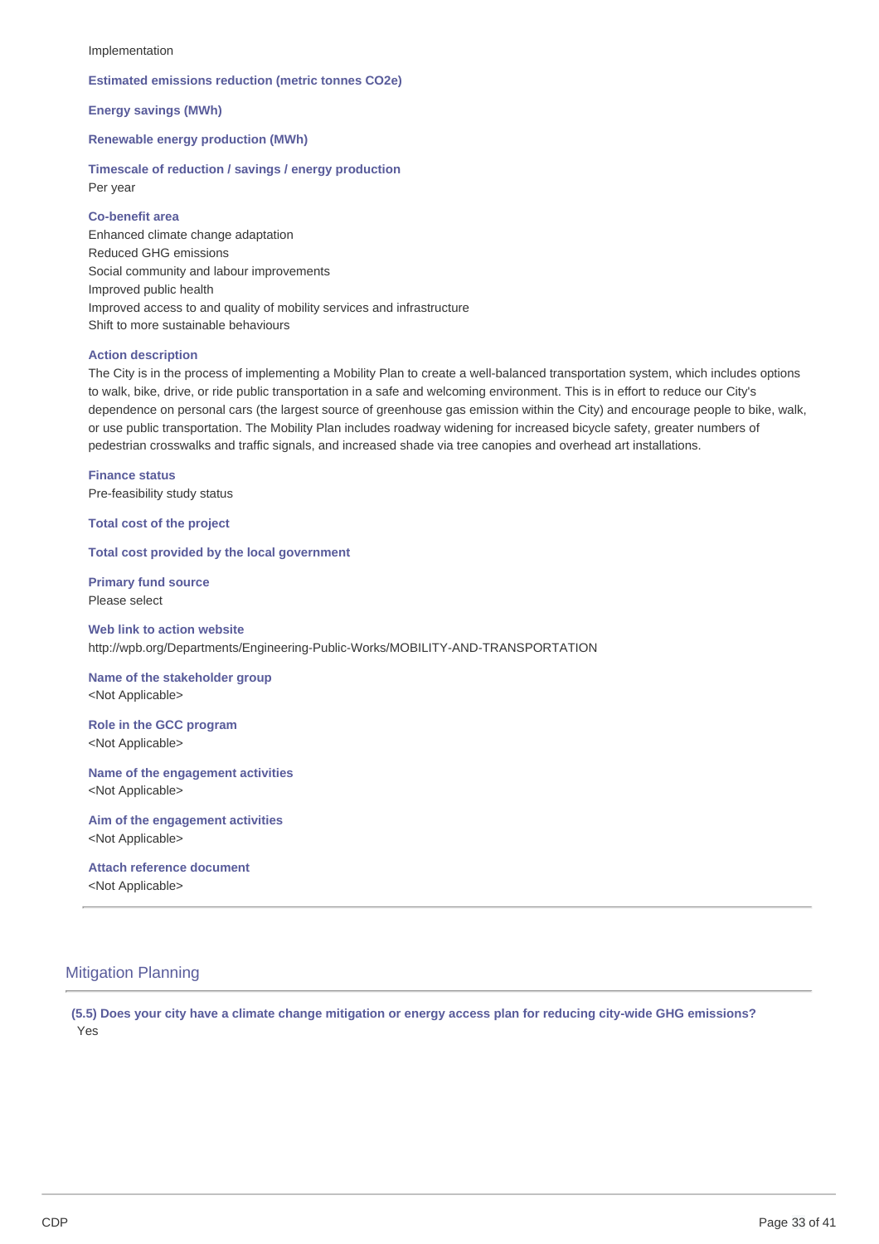#### Implementation

#### **Estimated emissions reduction (metric tonnes CO2e)**

**Energy savings (MWh)**

**Renewable energy production (MWh)**

**Timescale of reduction / savings / energy production** Per year

### **Co-benefit area**

Enhanced climate change adaptation Reduced GHG emissions Social community and labour improvements Improved public health Improved access to and quality of mobility services and infrastructure Shift to more sustainable behaviours

#### **Action description**

The City is in the process of implementing a Mobility Plan to create a well-balanced transportation system, which includes options to walk, bike, drive, or ride public transportation in a safe and welcoming environment. This is in effort to reduce our City's dependence on personal cars (the largest source of greenhouse gas emission within the City) and encourage people to bike, walk, or use public transportation. The Mobility Plan includes roadway widening for increased bicycle safety, greater numbers of pedestrian crosswalks and traffic signals, and increased shade via tree canopies and overhead art installations.

**Finance status** Pre-feasibility study status

**Total cost of the project**

**Total cost provided by the local government**

**Primary fund source** Please select

**Web link to action website** http://wpb.org/Departments/Engineering-Public-Works/MOBILITY-AND-TRANSPORTATION

**Name of the stakeholder group** <Not Applicable>

**Role in the GCC program** <Not Applicable>

**Name of the engagement activities** <Not Applicable>

**Aim of the engagement activities** <Not Applicable>

# **Attach reference document**

<Not Applicable>

### Mitigation Planning

(5.5) Does your city have a climate change mitigation or energy access plan for reducing city-wide GHG emissions? Yes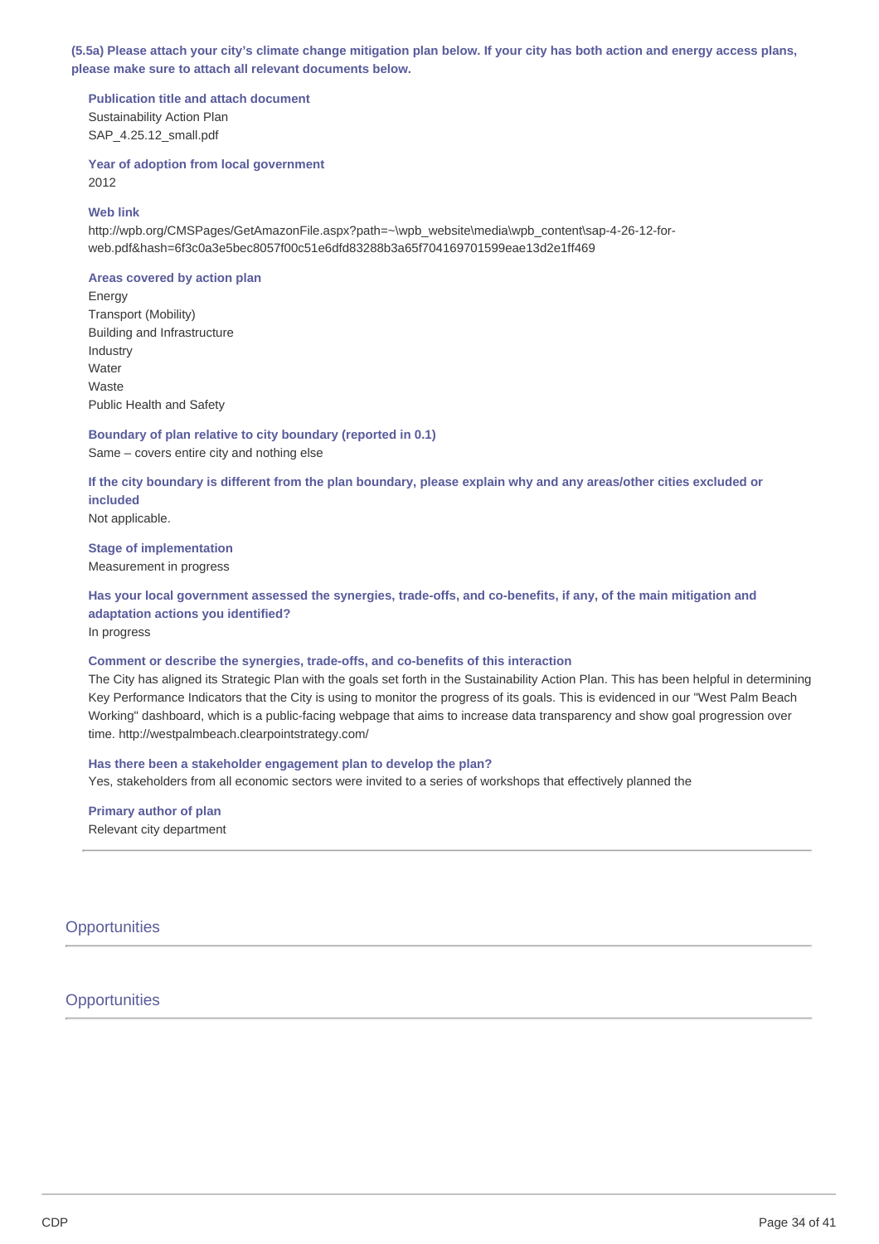(5.5a) Please attach your city's climate change mitigation plan below. If your city has both action and energy access plans, **please make sure to attach all relevant documents below.**

**Publication title and attach document** Sustainability Action Plan SAP 4.25.12 small.pdf

**Year of adoption from local government** 2012

### **Web link**

http://wpb.org/CMSPages/GetAmazonFile.aspx?path=~\wpb\_website\media\wpb\_content\sap-4-26-12-forweb.pdf&hash=6f3c0a3e5bec8057f00c51e6dfd83288b3a65f704169701599eae13d2e1ff469

#### **Areas covered by action plan**

Energy Transport (Mobility) Building and Infrastructure Industry Water Waste Public Health and Safety

**Boundary of plan relative to city boundary (reported in 0.1)** Same – covers entire city and nothing else

If the city boundary is different from the plan boundary, please explain why and any areas/other cities excluded or **included**

Not applicable.

### **Stage of implementation** Measurement in progress

Has your local government assessed the synergies, trade-offs, and co-benefits, if any, of the main mitigation and **adaptation actions you identified?**

In progress

### **Comment or describe the synergies, trade-offs, and co-benefits of this interaction**

The City has aligned its Strategic Plan with the goals set forth in the Sustainability Action Plan. This has been helpful in determining Key Performance Indicators that the City is using to monitor the progress of its goals. This is evidenced in our "West Palm Beach Working" dashboard, which is a public-facing webpage that aims to increase data transparency and show goal progression over time. http://westpalmbeach.clearpointstrategy.com/

### **Has there been a stakeholder engagement plan to develop the plan?**

Yes, stakeholders from all economic sectors were invited to a series of workshops that effectively planned the

**Primary author of plan** Relevant city department

**Opportunities** 

### **Opportunities**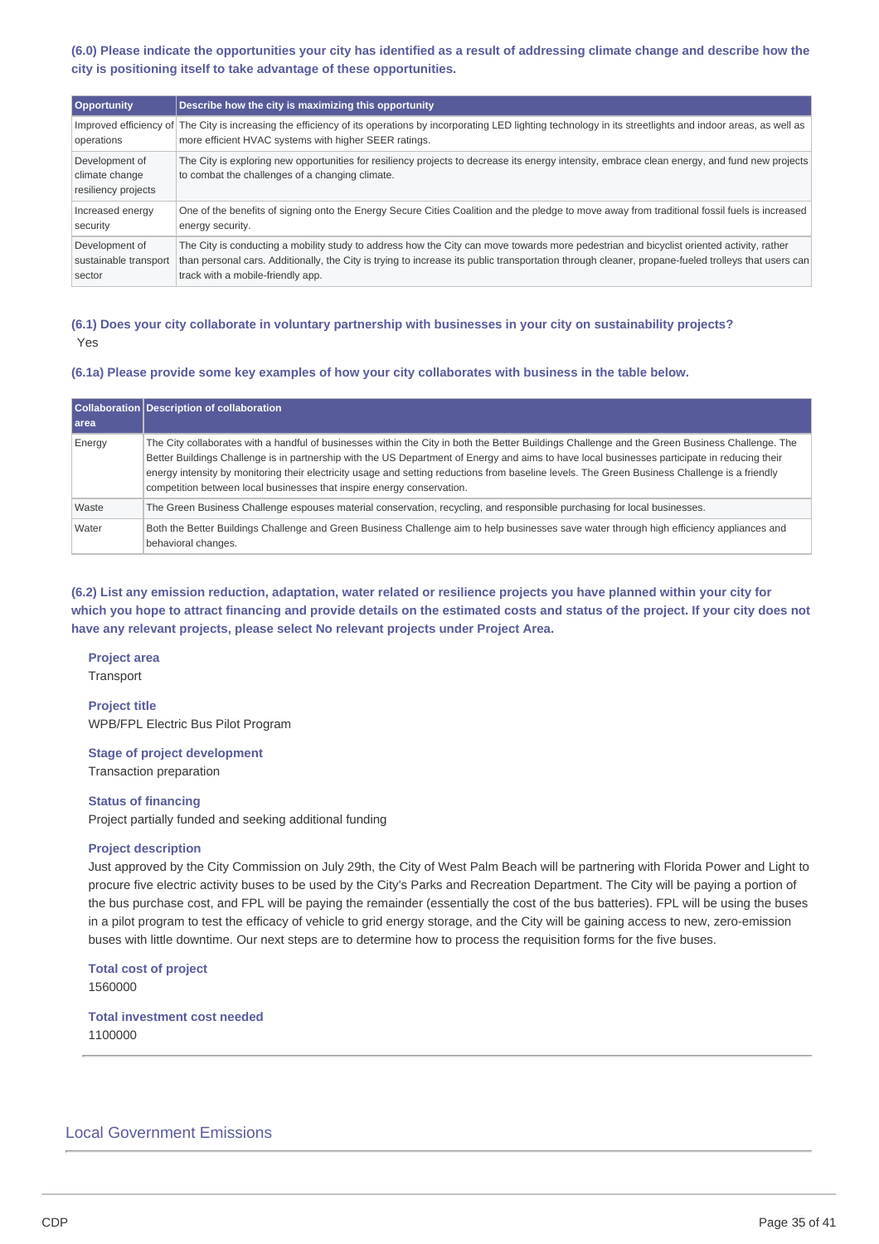(6.0) Please indicate the opportunities your city has identified as a result of addressing climate change and describe how the **city is positioning itself to take advantage of these opportunities.**

| Opportunity                                             | Describe how the city is maximizing this opportunity                                                                                                                                                                                                                                                                                |
|---------------------------------------------------------|-------------------------------------------------------------------------------------------------------------------------------------------------------------------------------------------------------------------------------------------------------------------------------------------------------------------------------------|
| operations                                              | Improved efficiency of The City is increasing the efficiency of its operations by incorporating LED lighting technology in its streetlights and indoor areas, as well as<br>more efficient HVAC systems with higher SEER ratings.                                                                                                   |
| Development of<br>climate change<br>resiliency projects | The City is exploring new opportunities for resiliency projects to decrease its energy intensity, embrace clean energy, and fund new projects<br>to combat the challenges of a changing climate.                                                                                                                                    |
| Increased energy<br>security                            | One of the benefits of signing onto the Energy Secure Cities Coalition and the pledge to move away from traditional fossil fuels is increased<br>energy security.                                                                                                                                                                   |
| Development of<br>sustainable transport<br>sector       | The City is conducting a mobility study to address how the City can move towards more pedestrian and bicyclist oriented activity, rather<br>than personal cars. Additionally, the City is trying to increase its public transportation through cleaner, propane-fueled trolleys that users can<br>track with a mobile-friendly app. |

### (6.1) Does your city collaborate in voluntary partnership with businesses in your city on sustainability projects? Yes

#### **(6.1a) Please provide some key examples of how your city collaborates with business in the table below.**

|        | Collaboration Description of collaboration                                                                                                                                                                                                                                                                                                                                                                                                                                                                                   |
|--------|------------------------------------------------------------------------------------------------------------------------------------------------------------------------------------------------------------------------------------------------------------------------------------------------------------------------------------------------------------------------------------------------------------------------------------------------------------------------------------------------------------------------------|
| l area |                                                                                                                                                                                                                                                                                                                                                                                                                                                                                                                              |
| Energy | The City collaborates with a handful of businesses within the City in both the Better Buildings Challenge and the Green Business Challenge. The<br>Better Buildings Challenge is in partnership with the US Department of Energy and aims to have local businesses participate in reducing their<br>energy intensity by monitoring their electricity usage and setting reductions from baseline levels. The Green Business Challenge is a friendly<br>competition between local businesses that inspire energy conservation. |
| Waste  | The Green Business Challenge espouses material conservation, recycling, and responsible purchasing for local businesses.                                                                                                                                                                                                                                                                                                                                                                                                     |
| Water  | Both the Better Buildings Challenge and Green Business Challenge aim to help businesses save water through high efficiency appliances and<br>behavioral changes.                                                                                                                                                                                                                                                                                                                                                             |

(6.2) List any emission reduction, adaptation, water related or resilience projects you have planned within your city for which you hope to attract financing and provide details on the estimated costs and status of the project. If your city does not **have any relevant projects, please select No relevant projects under Project Area.**

# **Project area**

**Transport** 

**Project title** WPB/FPL Electric Bus Pilot Program

**Stage of project development** Transaction preparation

#### **Status of financing**

Project partially funded and seeking additional funding

#### **Project description**

Just approved by the City Commission on July 29th, the City of West Palm Beach will be partnering with Florida Power and Light to procure five electric activity buses to be used by the City's Parks and Recreation Department. The City will be paying a portion of the bus purchase cost, and FPL will be paying the remainder (essentially the cost of the bus batteries). FPL will be using the buses in a pilot program to test the efficacy of vehicle to grid energy storage, and the City will be gaining access to new, zero-emission buses with little downtime. Our next steps are to determine how to process the requisition forms for the five buses.

**Total cost of project** 1560000

**Total investment cost needed** 1100000

### Local Government Emissions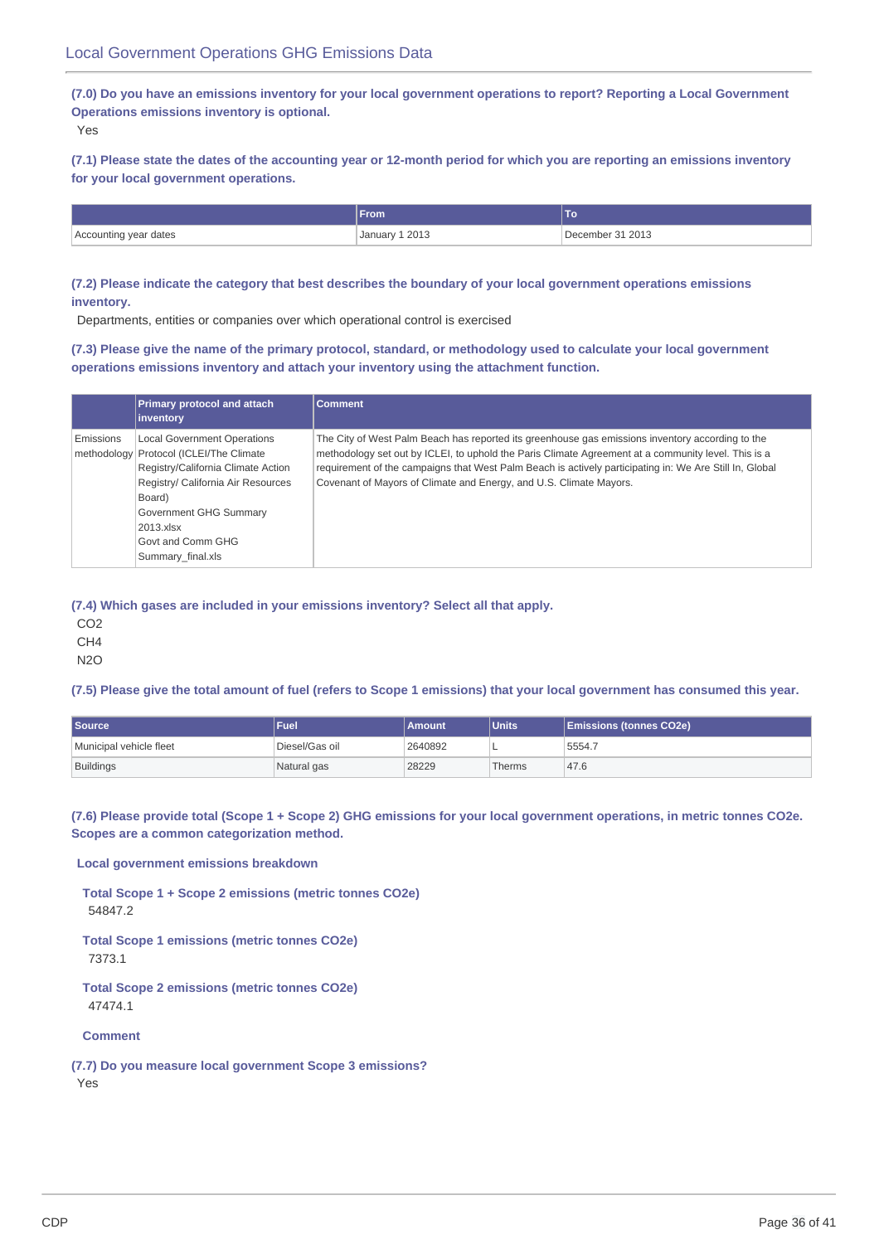(7.0) Do you have an emissions inventory for your local government operations to report? Reporting a Local Government **Operations emissions inventory is optional.**

Yes

(7.1) Please state the dates of the accounting year or 12-month period for which you are reporting an emissions inventory **for your local government operations.**

|                       | <b>From</b>    |                  |
|-----------------------|----------------|------------------|
| Accounting year dates | January 1 2013 | December 31 2013 |

(7.2) Please indicate the category that best describes the boundary of your local government operations emissions **inventory.**

Departments, entities or companies over which operational control is exercised

(7.3) Please give the name of the primary protocol, standard, or methodology used to calculate your local government **operations emissions inventory and attach your inventory using the attachment function.**

|           | Primary protocol and attach             | <b>Comment</b>                                                                                          |
|-----------|-----------------------------------------|---------------------------------------------------------------------------------------------------------|
|           | inventory                               |                                                                                                         |
| Emissions | <b>Local Government Operations</b>      | The City of West Palm Beach has reported its greenhouse gas emissions inventory according to the        |
|           | methodology Protocol (ICLEI/The Climate | methodology set out by ICLEI, to uphold the Paris Climate Agreement at a community level. This is a     |
|           | Registry/California Climate Action      | requirement of the campaigns that West Palm Beach is actively participating in: We Are Still In, Global |
|           | Registry/ California Air Resources      | Covenant of Mayors of Climate and Energy, and U.S. Climate Mayors.                                      |
|           | Board)                                  |                                                                                                         |
|           | Government GHG Summary                  |                                                                                                         |
|           | $2013 \times$ SX                        |                                                                                                         |
|           | Govt and Comm GHG                       |                                                                                                         |
|           | Summary final.xls                       |                                                                                                         |

### **(7.4) Which gases are included in your emissions inventory? Select all that apply.**

CO2

CH4

N2O

(7.5) Please give the total amount of fuel (refers to Scope 1 emissions) that your local government has consumed this year.

| <b>Source</b>           | Fuel           | Amount  | <b>Units</b> | <b>Emissions (tonnes CO2e)</b> |
|-------------------------|----------------|---------|--------------|--------------------------------|
| Municipal vehicle fleet | Diesel/Gas oil | 2640892 |              | 5554.                          |
| Buildings               | Natural gas    | 28229   | Therms       | 47.6                           |

(7.6) Please provide total (Scope 1 + Scope 2) GHG emissions for your local government operations, in metric tonnes CO2e. **Scopes are a common categorization method.**

**Local government emissions breakdown**

**Total Scope 1 + Scope 2 emissions (metric tonnes CO2e)** 54847.2

**Total Scope 1 emissions (metric tonnes CO2e)** 7373.1

**Total Scope 2 emissions (metric tonnes CO2e)** 47474.1

**Comment**

**(7.7) Do you measure local government Scope 3 emissions?** Yes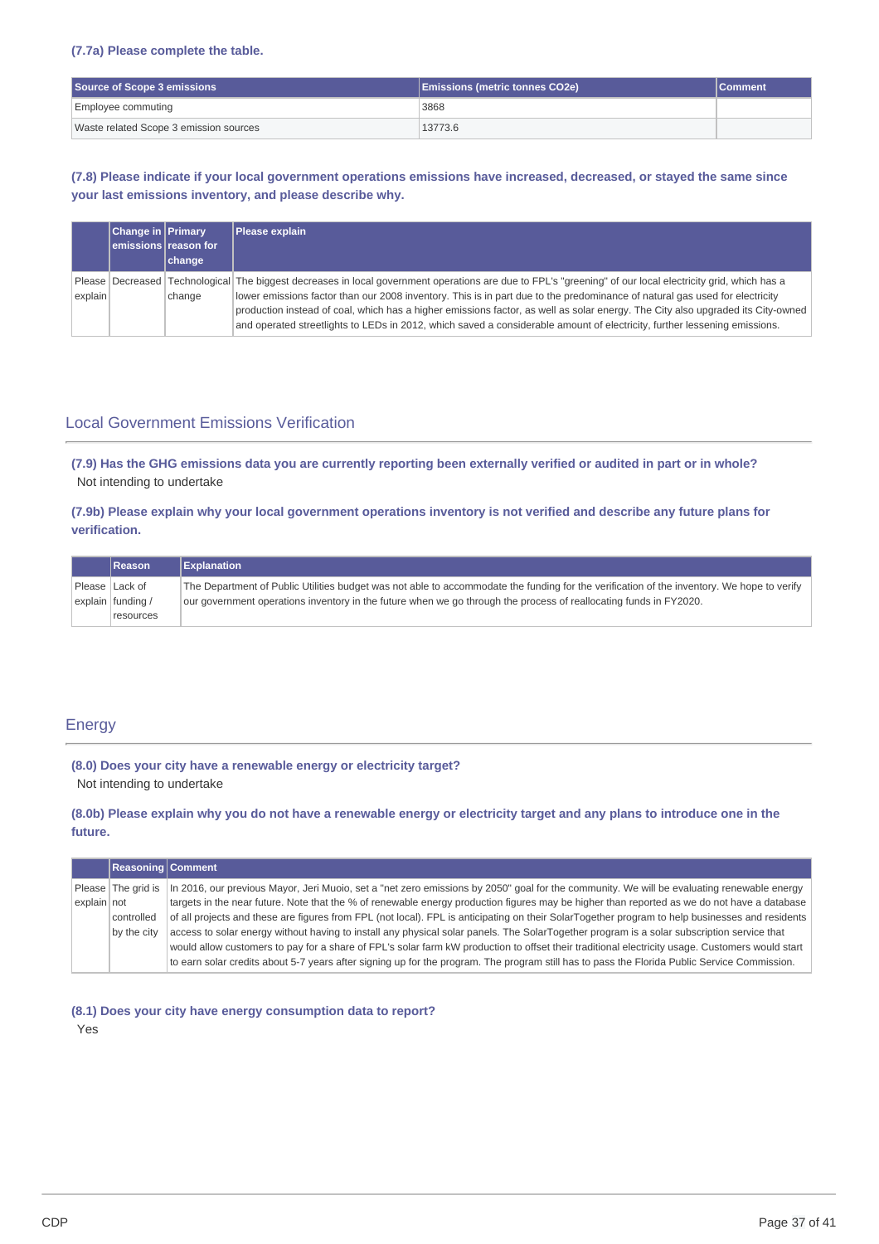### **(7.7a) Please complete the table.**

| Source of Scope 3 emissions            | <b>Emissions (metric tonnes CO2e)</b> | <b>Comment</b> |
|----------------------------------------|---------------------------------------|----------------|
| Employee commuting                     | 3868                                  |                |
| Waste related Scope 3 emission sources | 13773.6                               |                |

(7.8) Please indicate if your local government operations emissions have increased, decreased, or stayed the same since **your last emissions inventory, and please describe why.**

|         | <b>Change in Primary</b> | emissions reason for | Please explain                                                                                                                                                                                                                                                                                                                                                                                                               |
|---------|--------------------------|----------------------|------------------------------------------------------------------------------------------------------------------------------------------------------------------------------------------------------------------------------------------------------------------------------------------------------------------------------------------------------------------------------------------------------------------------------|
|         |                          | change               |                                                                                                                                                                                                                                                                                                                                                                                                                              |
| explain |                          | change               | Please Decreased Technological The biggest decreases in local government operations are due to FPL's "greening" of our local electricity grid, which has a<br>lower emissions factor than our 2008 inventory. This is in part due to the predominance of natural gas used for electricity<br>production instead of coal, which has a higher emissions factor, as well as solar energy. The City also upgraded its City-owned |
|         |                          |                      | and operated streetlights to LEDs in 2012, which saved a considerable amount of electricity, further lessening emissions.                                                                                                                                                                                                                                                                                                    |

### Local Government Emissions Verification

(7.9) Has the GHG emissions data you are currently reporting been externally verified or audited in part or in whole? Not intending to undertake

(7.9b) Please explain why your local government operations inventory is not verified and describe any future plans for **verification.**

|                | Reason            | <b>Explanation</b>                                                                                                                                                                                                                                              |
|----------------|-------------------|-----------------------------------------------------------------------------------------------------------------------------------------------------------------------------------------------------------------------------------------------------------------|
| Please Lack of | explain funding / | The Department of Public Utilities budget was not able to accommodate the funding for the verification of the inventory. We hope to verify<br>our government operations inventory in the future when we go through the process of reallocating funds in FY2020. |
|                | resources         |                                                                                                                                                                                                                                                                 |

### Energy

**(8.0) Does your city have a renewable energy or electricity target?**

Not intending to undertake

(8.0b) Please explain why you do not have a renewable energy or electricity target and any plans to introduce one in the **future.**

|             | <b>Reasoning Comment</b> |                                                                                                                                                 |
|-------------|--------------------------|-------------------------------------------------------------------------------------------------------------------------------------------------|
|             | Please The grid is       | In 2016, our previous Mayor, Jeri Muoio, set a "net zero emissions by 2050" goal for the community. We will be evaluating renewable energy      |
| explain not |                          | targets in the near future. Note that the % of renewable energy production figures may be higher than reported as we do not have a database     |
|             | controlled               | of all projects and these are figures from FPL (not local). FPL is anticipating on their SolarTogether program to help businesses and residents |
|             | by the city              | access to solar energy without having to install any physical solar panels. The SolarTogether program is a solar subscription service that      |
|             |                          | would allow customers to pay for a share of FPL's solar farm kW production to offset their traditional electricity usage. Customers would start |
|             |                          | to earn solar credits about 5-7 years after signing up for the program. The program still has to pass the Florida Public Service Commission.    |

**(8.1) Does your city have energy consumption data to report?**

Yes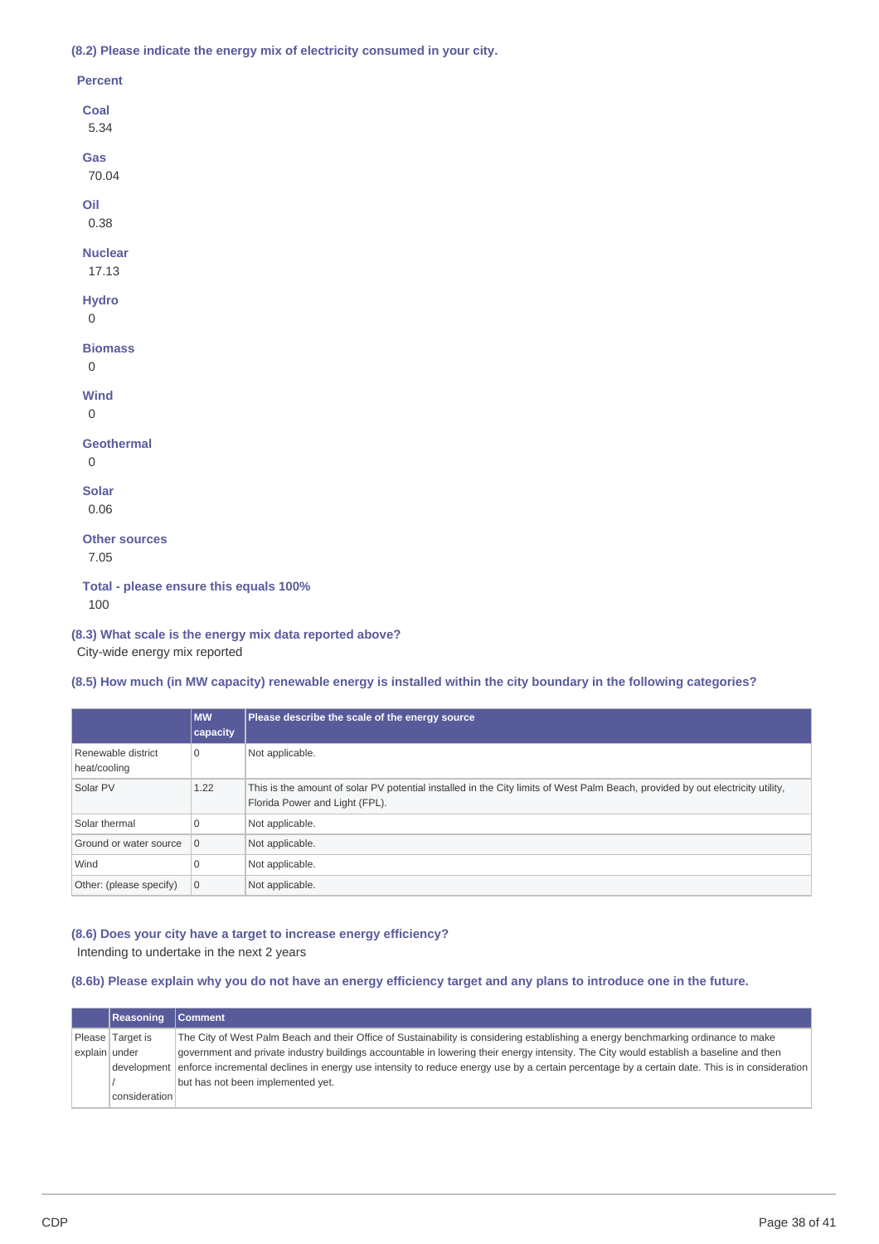**(8.2) Please indicate the energy mix of electricity consumed in your city.**

| <b>Percent</b>                                |
|-----------------------------------------------|
| Coal<br>5.34                                  |
| Gas<br>70.04                                  |
| Oil<br>0.38                                   |
| <b>Nuclear</b><br>17.13                       |
| <b>Hydro</b><br>$\mathbf 0$                   |
| <b>Biomass</b><br>$\mathbf 0$                 |
| <b>Wind</b><br>$\Omega$                       |
| <b>Geothermal</b><br>$\mathbf 0$              |
| <b>Solar</b><br>0.06                          |
| <b>Other sources</b><br>7.05                  |
| Total - please ensure this equals 100%<br>100 |

### **(8.3) What scale is the energy mix data reported above?**

City-wide energy mix reported

### (8.5) How much (in MW capacity) renewable energy is installed within the city boundary in the following categories?

|                                    | <b>MW</b><br>capacity | Please describe the scale of the energy source                                                                                                                   |
|------------------------------------|-----------------------|------------------------------------------------------------------------------------------------------------------------------------------------------------------|
| Renewable district<br>heat/cooling | 0                     | Not applicable.                                                                                                                                                  |
| Solar PV                           | 1.22                  | This is the amount of solar PV potential installed in the City limits of West Palm Beach, provided by out electricity utility,<br>Florida Power and Light (FPL). |
| Solar thermal                      | $\mathbf 0$           | Not applicable.                                                                                                                                                  |
| Ground or water source   0         |                       | Not applicable.                                                                                                                                                  |
| Wind                               | $\mathbf 0$           | Not applicable.                                                                                                                                                  |
| Other: (please specify)            | $\overline{0}$        | Not applicable.                                                                                                                                                  |

### **(8.6) Does your city have a target to increase energy efficiency?** Intending to undertake in the next 2 years

(8.6b) Please explain why you do not have an energy efficiency target and any plans to introduce one in the future.

|               | Reasoning        | <b>Comment</b>                                                                                                                                            |
|---------------|------------------|-----------------------------------------------------------------------------------------------------------------------------------------------------------|
|               | Please Target is | The City of West Palm Beach and their Office of Sustainability is considering establishing a energy benchmarking ordinance to make                        |
| explain under |                  | government and private industry buildings accountable in lowering their energy intensity. The City would establish a baseline and then                    |
|               |                  | development enforce incremental declines in energy use intensity to reduce energy use by a certain percentage by a certain date. This is in consideration |
|               |                  | but has not been implemented yet.                                                                                                                         |
|               | consideration    |                                                                                                                                                           |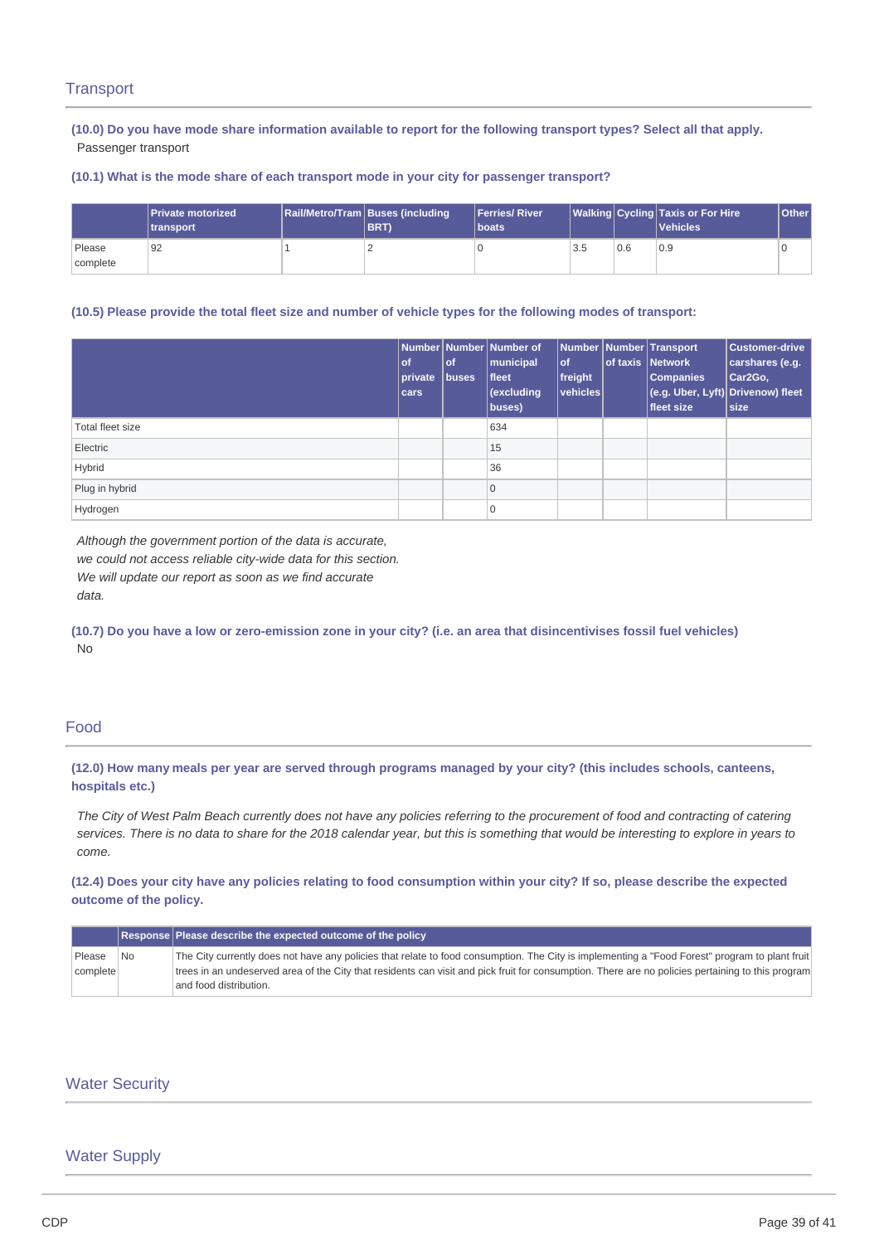### **Transport**

(10.0) Do you have mode share information available to report for the following transport types? Select all that apply. Passenger transport

### **(10.1) What is the mode share of each transport mode in your city for passenger transport?**

|                    | <b>IPrivate motorized</b><br><b>Itransport</b> | Rail/Metro/Tram   Buses (including<br><b>BRT</b> | <b>Ferries/River</b><br><b>I</b> boats |     |     | Walking Cycling   Taxis or For Hire<br>Vehicles <sup>1</sup> | <b>Other</b> |
|--------------------|------------------------------------------------|--------------------------------------------------|----------------------------------------|-----|-----|--------------------------------------------------------------|--------------|
| Please<br>complete | 92                                             |                                                  |                                        | 3.5 | 0.6 | 0.9                                                          |              |

### (10.5) Please provide the total fleet size and number of vehicle types for the following modes of transport:

|                  | of.<br>private<br>cars | <b>of</b><br>buses | Number Number Number of<br>municipal<br>fleet<br>(excluding<br>buses) | $ $ of<br>freight<br> vehicles | Number Number Transport<br>of taxis Network<br><b>Companies</b><br>fleet size | <b>Customer-drive</b><br>carshares (e.g.<br>Car <sub>2</sub> Go,<br>(e.g. Uber, Lyft) Drivenow) fleet<br>size |
|------------------|------------------------|--------------------|-----------------------------------------------------------------------|--------------------------------|-------------------------------------------------------------------------------|---------------------------------------------------------------------------------------------------------------|
| Total fleet size |                        |                    | 634                                                                   |                                |                                                                               |                                                                                                               |
| Electric         |                        |                    | 15                                                                    |                                |                                                                               |                                                                                                               |
| Hybrid           |                        |                    | 36                                                                    |                                |                                                                               |                                                                                                               |
| Plug in hybrid   |                        |                    | $\mathbf 0$                                                           |                                |                                                                               |                                                                                                               |
| Hydrogen         |                        |                    | 10                                                                    |                                |                                                                               |                                                                                                               |

*Although the government portion of the data is accurate, we could not access reliable city-wide data for this section. We will update our report as soon as we find accurate data.*

(10.7) Do you have a low or zero-emission zone in your city? (i.e. an area that disincentivises fossil fuel vehicles) No

### Food

(12.0) How many meals per year are served through programs managed by your city? (this includes schools, canteens, **hospitals etc.)**

The City of West Palm Beach currently does not have any policies referring to the procurement of food and contracting of catering services. There is no data to share for the 2018 calendar year, but this is something that would be interesting to explore in years to *come.*

(12.4) Does your city have any policies relating to food consumption within your city? If so, please describe the expected **outcome of the policy.**

|          |    | Response Please describe the expected outcome of the policy                                                                                       |
|----------|----|---------------------------------------------------------------------------------------------------------------------------------------------------|
| Please   | No | The City currently does not have any policies that relate to food consumption. The City is implementing a "Food Forest" program to plant fruit    |
| complete |    | trees in an undeserved area of the City that residents can visit and pick fruit for consumption. There are no policies pertaining to this program |
|          |    | and food distribution.                                                                                                                            |

### Water Security

### Water Supply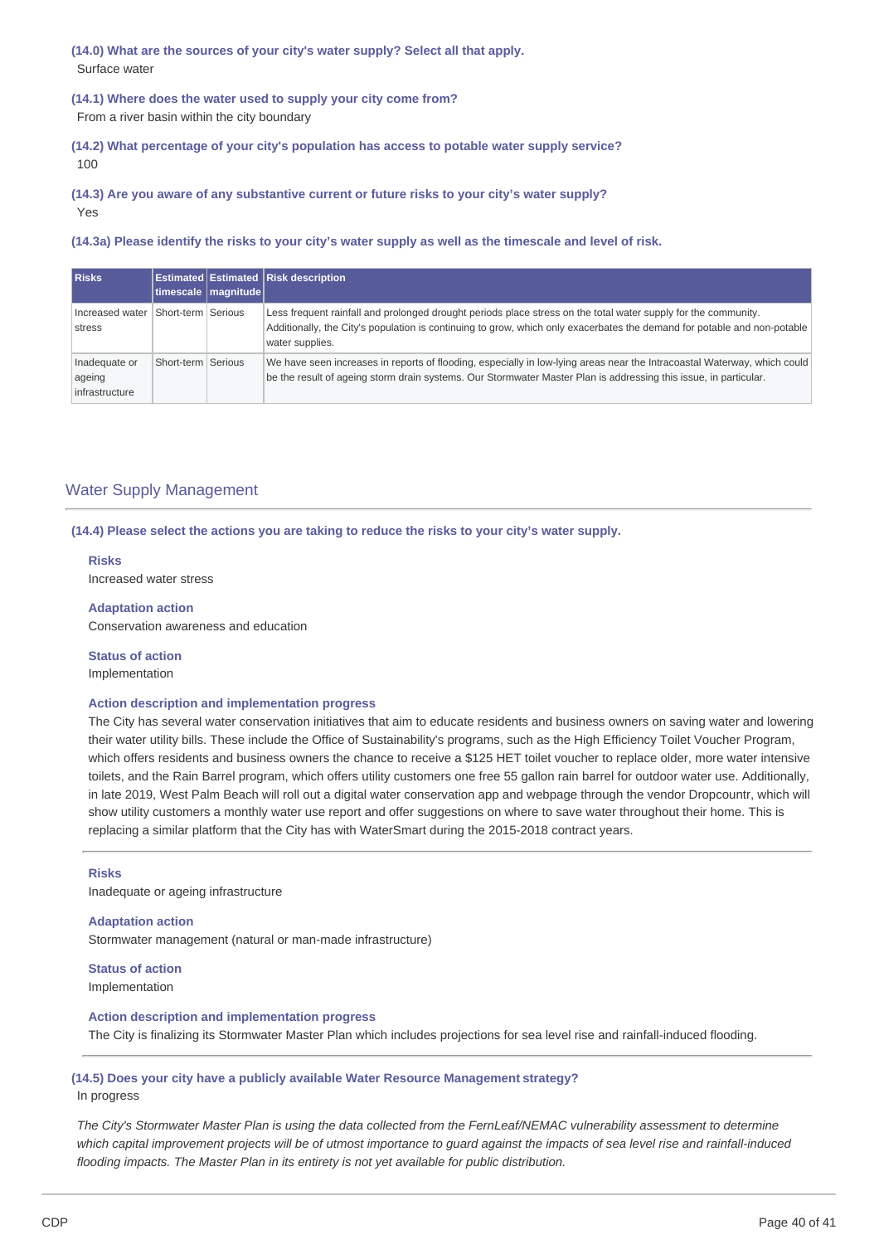**(14.0) What are the sources of your city's water supply? Select all that apply.** Surface water

**(14.1) Where does the water used to supply your city come from?** From a river basin within the city boundary

**(14.2) What percentage of your city's population has access to potable water supply service?** 100

**(14.3) Are you aware of any substantive current or future risks to your city's water supply?**

Yes

(14.3a) Please identify the risks to your city's water supply as well as the timescale and level of risk.

| <b>Risks</b>                              |                    | timescale magnitude | <b>Estimated Estimated Risk description</b>                                                                                                                                                                                                                   |
|-------------------------------------------|--------------------|---------------------|---------------------------------------------------------------------------------------------------------------------------------------------------------------------------------------------------------------------------------------------------------------|
| Increased water<br>stress                 | Short-term Serious |                     | Less frequent rainfall and prolonged drought periods place stress on the total water supply for the community.<br>Additionally, the City's population is continuing to grow, which only exacerbates the demand for potable and non-potable<br>water supplies. |
| Inadequate or<br>ageing<br>infrastructure | Short-term Serious |                     | We have seen increases in reports of flooding, especially in low-lying areas near the Intracoastal Waterway, which could<br>be the result of ageing storm drain systems. Our Stormwater Master Plan is addressing this issue, in particular.                  |

### Water Supply Management

**(14.4) Please select the actions you are taking to reduce the risks to your city's water supply.**

**Risks** Increased water stress

**Adaptation action**

Conservation awareness and education

**Status of action** Implementation

### **Action description and implementation progress**

The City has several water conservation initiatives that aim to educate residents and business owners on saving water and lowering their water utility bills. These include the Office of Sustainability's programs, such as the High Efficiency Toilet Voucher Program, which offers residents and business owners the chance to receive a \$125 HET toilet voucher to replace older, more water intensive toilets, and the Rain Barrel program, which offers utility customers one free 55 gallon rain barrel for outdoor water use. Additionally, in late 2019, West Palm Beach will roll out a digital water conservation app and webpage through the vendor Dropcountr, which will show utility customers a monthly water use report and offer suggestions on where to save water throughout their home. This is replacing a similar platform that the City has with WaterSmart during the 2015-2018 contract years.

#### **Risks**

Inadequate or ageing infrastructure

**Adaptation action**

Stormwater management (natural or man-made infrastructure)

**Status of action** Implementation

**Action description and implementation progress** The City is finalizing its Stormwater Master Plan which includes projections for sea level rise and rainfall-induced flooding.

### **(14.5) Does your city have a publicly available Water Resource Management strategy?** In progress

The City's Stormwater Master Plan is using the data collected from the FernLeaf/NEMAC vulnerability assessment to determine which capital improvement projects will be of utmost importance to quard against the impacts of sea level rise and rainfall-induced *flooding impacts. The Master Plan in its entirety is not yet available for public distribution.*